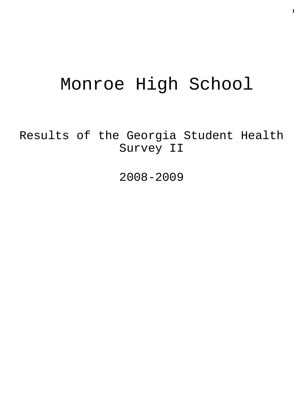# Monroe High School

Results of the Georgia Student Health Survey II

2008-2009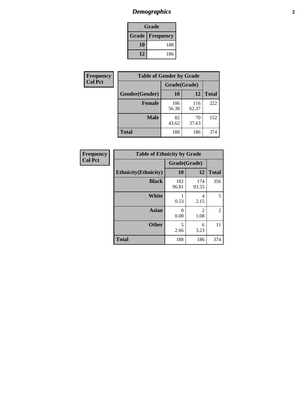# *Demographics* **2**

| Grade                    |     |  |  |  |
|--------------------------|-----|--|--|--|
| <b>Grade   Frequency</b> |     |  |  |  |
| 10                       | 188 |  |  |  |
| 12                       | 186 |  |  |  |

| Frequency      | <b>Table of Gender by Grade</b> |              |              |              |  |  |
|----------------|---------------------------------|--------------|--------------|--------------|--|--|
| <b>Col Pct</b> |                                 | Grade(Grade) |              |              |  |  |
|                | Gender(Gender)                  | 10           | 12           | <b>Total</b> |  |  |
|                | <b>Female</b>                   | 106<br>56.38 | 116<br>62.37 | 222          |  |  |
|                | <b>Male</b>                     | 82<br>43.62  | 70<br>37.63  | 152          |  |  |
|                | <b>Total</b>                    | 188          | 186          | 374          |  |  |

| <b>Frequency</b> |
|------------------|
| <b>Col Pct</b>   |

| <b>Table of Ethnicity by Grade</b> |              |                        |                |  |  |  |  |
|------------------------------------|--------------|------------------------|----------------|--|--|--|--|
|                                    | Grade(Grade) |                        |                |  |  |  |  |
| <b>Ethnicity</b> (Ethnicity)       | 10           | 12                     | <b>Total</b>   |  |  |  |  |
| <b>Black</b>                       | 182<br>96.81 | 174<br>93.55           | 356            |  |  |  |  |
| <b>White</b>                       | 0.53         | 4<br>2.15              | 5              |  |  |  |  |
| <b>Asian</b>                       | 0<br>0.00    | $\mathfrak{D}$<br>1.08 | $\mathfrak{D}$ |  |  |  |  |
| <b>Other</b>                       | 5<br>2.66    | 6<br>3.23              | 11             |  |  |  |  |
| <b>Total</b>                       | 188          | 186                    | 374            |  |  |  |  |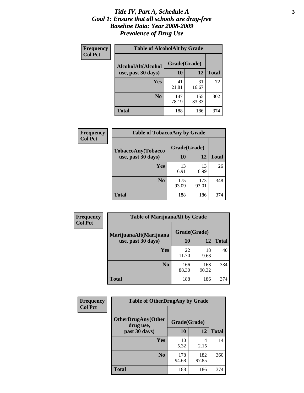#### *Title IV, Part A, Schedule A* **3** *Goal 1: Ensure that all schools are drug-free Baseline Data: Year 2008-2009 Prevalence of Drug Use*

| Frequency<br><b>Col Pct</b> | <b>Table of AlcoholAlt by Grade</b> |              |              |              |  |  |
|-----------------------------|-------------------------------------|--------------|--------------|--------------|--|--|
|                             | AlcoholAlt(Alcohol                  | Grade(Grade) |              |              |  |  |
|                             | use, past 30 days)                  | <b>10</b>    | 12           | <b>Total</b> |  |  |
|                             | Yes                                 | 41<br>21.81  | 31<br>16.67  | 72           |  |  |
|                             | N <sub>0</sub>                      | 147<br>78.19 | 155<br>83.33 | 302          |  |  |
|                             | <b>Total</b>                        | 188          | 186          | 374          |  |  |

| <b>Frequency</b><br><b>Col Pct</b> | <b>Table of TobaccoAny by Grade</b> |              |              |              |  |  |
|------------------------------------|-------------------------------------|--------------|--------------|--------------|--|--|
|                                    | TobaccoAny(Tobacco                  | Grade(Grade) |              |              |  |  |
|                                    | use, past 30 days)                  | 10           | 12           | <b>Total</b> |  |  |
|                                    | Yes                                 | 13<br>6.91   | 13<br>6.99   | 26           |  |  |
|                                    | N <sub>0</sub>                      | 175<br>93.09 | 173<br>93.01 | 348          |  |  |
|                                    | <b>Total</b>                        | 188          | 186          | 374          |  |  |

| Frequency<br><b>Col Pct</b> | <b>Table of MarijuanaAlt by Grade</b> |              |              |     |  |
|-----------------------------|---------------------------------------|--------------|--------------|-----|--|
|                             | MarijuanaAlt(Marijuana                | Grade(Grade) |              |     |  |
| use, past 30 days)          | 10                                    | 12           | <b>Total</b> |     |  |
|                             | <b>Yes</b>                            | 22<br>11.70  | 18<br>9.68   | 40  |  |
|                             | N <sub>0</sub>                        | 166<br>88.30 | 168<br>90.32 | 334 |  |
|                             | <b>Total</b>                          | 188          | 186          | 374 |  |

| Frequency<br><b>Col Pct</b> | <b>Table of OtherDrugAny by Grade</b>  |              |              |              |  |
|-----------------------------|----------------------------------------|--------------|--------------|--------------|--|
|                             | <b>OtherDrugAny(Other</b><br>drug use, | Grade(Grade) |              |              |  |
|                             | past 30 days)                          | 10           | 12           | <b>Total</b> |  |
|                             | Yes                                    | 10<br>5.32   | 4<br>2.15    | 14           |  |
|                             | N <sub>0</sub>                         | 178<br>94.68 | 182<br>97.85 | 360          |  |
|                             | <b>Total</b>                           | 188          | 186          | 374          |  |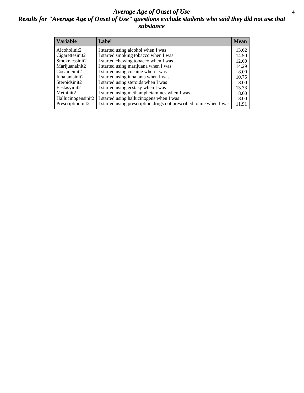#### *Average Age of Onset of Use* **4** *Results for "Average Age of Onset of Use" questions exclude students who said they did not use that substance*

| <b>Variable</b>    | Label                                                              | <b>Mean</b> |
|--------------------|--------------------------------------------------------------------|-------------|
| Alcoholinit2       | I started using alcohol when I was                                 | 13.62       |
| Cigarettesinit2    | I started smoking tobacco when I was                               | 14.50       |
| Smokelessinit2     | I started chewing tobacco when I was                               | 12.60       |
| Marijuanainit2     | I started using marijuana when I was                               | 14.29       |
| Cocaineinit2       | I started using cocaine when I was                                 | 8.00        |
| Inhalantsinit2     | I started using inhalants when I was                               | 10.75       |
| Steroidsinit2      | I started using steroids when I was                                | 8.00        |
| Ecstasyinit2       | I started using ecstasy when I was                                 | 13.33       |
| Methinit2          | I started using methamphetamines when I was                        | 8.00        |
| Hallucinogensinit2 | I started using hallucinogens when I was                           | 8.00        |
| Prescriptioninit2  | I started using prescription drugs not prescribed to me when I was | 11.91       |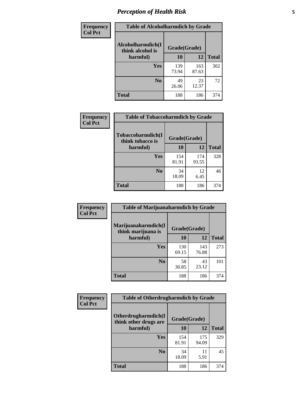# *Perception of Health Risk* **5**

| Frequency      | <b>Table of Alcoholharmdich by Grade</b> |              |              |              |  |
|----------------|------------------------------------------|--------------|--------------|--------------|--|
| <b>Col Pct</b> | Alcoholharmdich(I<br>think alcohol is    | Grade(Grade) |              |              |  |
|                | harmful)                                 | 10           | 12           | <b>Total</b> |  |
|                | <b>Yes</b>                               | 139<br>73.94 | 163<br>87.63 | 302          |  |
|                | N <sub>0</sub>                           | 49<br>26.06  | 23<br>12.37  | 72           |  |
|                | <b>Total</b>                             | 188          | 186          | 374          |  |

| Frequency      | <b>Table of Tobaccoharmdich by Grade</b> |              |              |              |  |
|----------------|------------------------------------------|--------------|--------------|--------------|--|
| <b>Col Pct</b> | Tobaccoharmdich(I<br>think tobacco is    | Grade(Grade) |              |              |  |
|                | harmful)                                 | 10           | 12           | <b>Total</b> |  |
|                | Yes                                      | 154<br>81.91 | 174<br>93.55 | 328          |  |
|                | N <sub>0</sub>                           | 34<br>18.09  | 12<br>6.45   | 46           |  |
|                | Total                                    | 188          | 186          | 374          |  |

| Frequency      | <b>Table of Marijuanaharmdich by Grade</b>                |              |              |              |  |  |
|----------------|-----------------------------------------------------------|--------------|--------------|--------------|--|--|
| <b>Col Pct</b> | Marijuanaharmdich(I<br>Grade(Grade)<br>think marijuana is |              |              |              |  |  |
|                | harmful)                                                  | <b>10</b>    | 12           | <b>Total</b> |  |  |
|                | Yes                                                       | 130<br>69.15 | 143<br>76.88 | 273          |  |  |
|                | N <sub>0</sub>                                            | 58<br>30.85  | 43<br>23.12  | 101          |  |  |
|                | <b>Total</b>                                              | 188          | 186          | 374          |  |  |

| Frequency      | <b>Table of Otherdrugharmdich by Grade</b>   |              |              |              |  |  |  |
|----------------|----------------------------------------------|--------------|--------------|--------------|--|--|--|
| <b>Col Pct</b> | Otherdrugharmdich(I<br>think other drugs are | Grade(Grade) |              |              |  |  |  |
|                | harmful)                                     | 10           | 12           | <b>Total</b> |  |  |  |
|                | Yes                                          | 154<br>81.91 | 175<br>94.09 | 329          |  |  |  |
|                | N <sub>0</sub>                               | 34<br>18.09  | 11<br>5.91   | 45           |  |  |  |
|                | <b>Total</b>                                 | 188          | 186          | 374          |  |  |  |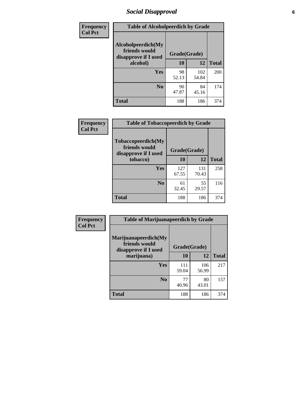# *Social Disapproval* **6**

| Frequency      | <b>Table of Alcoholpeerdich by Grade</b>                    |              |              |     |  |  |  |
|----------------|-------------------------------------------------------------|--------------|--------------|-----|--|--|--|
| <b>Col Pct</b> | Alcoholpeerdich(My<br>friends would<br>disapprove if I used | Grade(Grade) |              |     |  |  |  |
|                | alcohol)                                                    | 10           | <b>Total</b> |     |  |  |  |
|                | <b>Yes</b>                                                  | 98<br>52.13  | 102<br>54.84 | 200 |  |  |  |
|                | N <sub>0</sub>                                              | 90<br>47.87  | 84<br>45.16  | 174 |  |  |  |
|                | <b>Total</b>                                                | 188          | 186          | 374 |  |  |  |

| <b>Frequency</b> |
|------------------|
| <b>Col Pct</b>   |

| <b>Table of Tobaccopeerdich by Grade</b>                    |              |              |              |  |  |  |  |
|-------------------------------------------------------------|--------------|--------------|--------------|--|--|--|--|
| Tobaccopeerdich(My<br>friends would<br>disapprove if I used | Grade(Grade) |              |              |  |  |  |  |
| tobacco)                                                    | 10           | 12           | <b>Total</b> |  |  |  |  |
| Yes                                                         | 127<br>67.55 | 131<br>70.43 | 258          |  |  |  |  |
| N <sub>0</sub>                                              | 61<br>32.45  | 55<br>29.57  | 116          |  |  |  |  |
| <b>Total</b>                                                | 188          | 186          | 374          |  |  |  |  |

| <b>Frequency</b> | <b>Table of Marijuanapeerdich by Grade</b>                    |              |              |              |  |  |  |  |  |
|------------------|---------------------------------------------------------------|--------------|--------------|--------------|--|--|--|--|--|
| <b>Col Pct</b>   | Marijuanapeerdich(My<br>friends would<br>disapprove if I used | Grade(Grade) |              |              |  |  |  |  |  |
|                  | marijuana)                                                    | 10           | 12           | <b>Total</b> |  |  |  |  |  |
|                  | <b>Yes</b>                                                    | 111<br>59.04 | 106<br>56.99 | 217          |  |  |  |  |  |
|                  | N <sub>0</sub>                                                | 77<br>40.96  | 80<br>43.01  | 157          |  |  |  |  |  |
|                  | <b>Total</b>                                                  | 188          | 186          | 374          |  |  |  |  |  |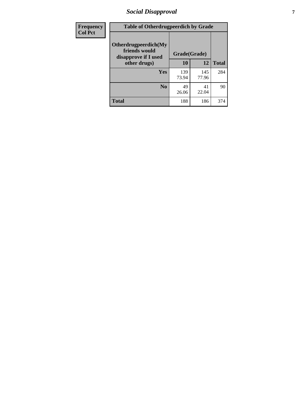# *Social Disapproval* **7**

| Frequency      | <b>Table of Otherdrugpeerdich by Grade</b>                    |              |              |              |  |  |  |  |
|----------------|---------------------------------------------------------------|--------------|--------------|--------------|--|--|--|--|
| <b>Col Pct</b> | Otherdrugpeerdich(My<br>friends would<br>disapprove if I used | Grade(Grade) |              |              |  |  |  |  |
|                | other drugs)                                                  | 10           | 12           | <b>Total</b> |  |  |  |  |
|                | Yes                                                           | 139<br>73.94 | 145<br>77.96 | 284          |  |  |  |  |
|                | N <sub>0</sub>                                                | 49<br>26.06  | 41<br>22.04  | 90           |  |  |  |  |
|                | <b>Total</b>                                                  | 188          | 186          | 374          |  |  |  |  |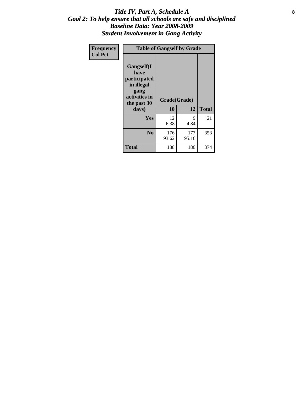#### Title IV, Part A, Schedule A **8** *Goal 2: To help ensure that all schools are safe and disciplined Baseline Data: Year 2008-2009 Student Involvement in Gang Activity*

| Frequency      | <b>Table of Gangself by Grade</b>                                                                 |                    |              |              |
|----------------|---------------------------------------------------------------------------------------------------|--------------------|--------------|--------------|
| <b>Col Pct</b> | Gangself(I<br>have<br>participated<br>in illegal<br>gang<br>activities in<br>the past 30<br>days) | Grade(Grade)<br>10 | 12           | <b>Total</b> |
|                | Yes                                                                                               | 12<br>6.38         | 9<br>4.84    | 21           |
|                | N <sub>0</sub>                                                                                    | 176<br>93.62       | 177<br>95.16 | 353          |
|                | <b>Total</b>                                                                                      | 188                | 186          | 374          |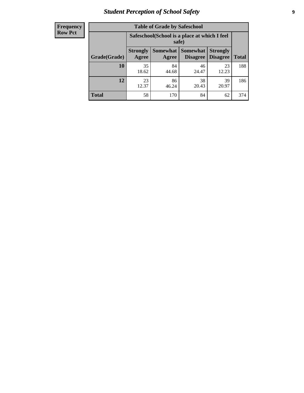# *Student Perception of School Safety* **9**

| <b>Frequency</b><br>Row Pct |
|-----------------------------|
|                             |

| <b>Table of Grade by Safeschool</b> |                                                                                                                                           |                                                        |             |             |     |  |  |
|-------------------------------------|-------------------------------------------------------------------------------------------------------------------------------------------|--------------------------------------------------------|-------------|-------------|-----|--|--|
|                                     |                                                                                                                                           | Safeschool (School is a place at which I feel<br>safe) |             |             |     |  |  |
| Grade(Grade)                        | <b>Somewhat</b><br><b>Somewhat</b><br><b>Strongly</b><br><b>Strongly</b><br><b>Disagree</b><br>Agree<br>Disagree<br><b>Total</b><br>Agree |                                                        |             |             |     |  |  |
| 10                                  | 35<br>18.62                                                                                                                               | 84<br>44.68                                            | 46<br>24.47 | 23<br>12.23 | 188 |  |  |
| 12                                  | 23<br>12.37                                                                                                                               | 86<br>46.24                                            | 38<br>20.43 | 39<br>20.97 | 186 |  |  |
| <b>Total</b>                        | 58                                                                                                                                        | 170                                                    | 84          | 62          | 374 |  |  |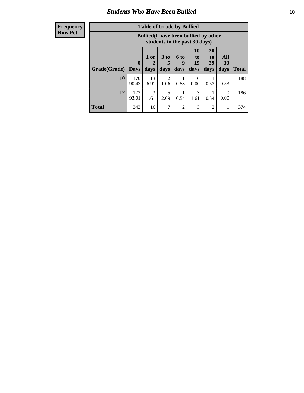#### *Students Who Have Been Bullied* **10**

| <b>Frequency</b> |
|------------------|
| Row Pct          |

| <b>Table of Grade by Bullied</b> |                            |                                                                               |                              |                   |                        |                        |                   |              |
|----------------------------------|----------------------------|-------------------------------------------------------------------------------|------------------------------|-------------------|------------------------|------------------------|-------------------|--------------|
|                                  |                            | <b>Bullied</b> (I have been bullied by other<br>students in the past 30 days) |                              |                   |                        |                        |                   |              |
| Grade(Grade)                     | $\mathbf 0$<br><b>Days</b> | 1 or<br>2<br>days                                                             | 3 <sub>to</sub><br>5<br>days | 6 to<br>9<br>days | 10<br>to<br>19<br>days | 20<br>to<br>29<br>days | All<br>30<br>days | <b>Total</b> |
| 10                               | 170<br>90.43               | 13<br>6.91                                                                    | $\overline{2}$<br>1.06       | 0.53              | 0<br>0.00              | 0.53                   | 0.53              | 188          |
| 12                               | 173<br>93.01               | 3<br>1.61                                                                     | 5<br>2.69                    | 0.54              | 3<br>1.61              | 0.54                   | $\Omega$<br>0.00  | 186          |
| <b>Total</b>                     | 343                        | 16                                                                            | 7                            | $\overline{2}$    | 3                      | 2                      |                   | 374          |

 $\blacksquare$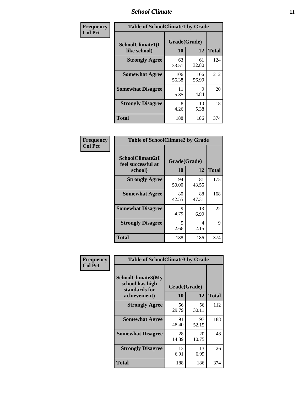### *School Climate* **11**

| Frequency      | <b>Table of SchoolClimate1 by Grade</b> |                    |              |              |  |  |  |
|----------------|-----------------------------------------|--------------------|--------------|--------------|--|--|--|
| <b>Col Pct</b> | SchoolClimate1(I<br>like school)        | Grade(Grade)<br>10 | 12           | <b>Total</b> |  |  |  |
|                | <b>Strongly Agree</b>                   | 63<br>33.51        | 61<br>32.80  | 124          |  |  |  |
|                | <b>Somewhat Agree</b>                   | 106<br>56.38       | 106<br>56.99 | 212          |  |  |  |
|                | <b>Somewhat Disagree</b>                | 11<br>5.85         | 9<br>4.84    | 20           |  |  |  |
|                | <b>Strongly Disagree</b>                | 8<br>4.26          | 10<br>5.38   | 18           |  |  |  |
|                | Total                                   | 188                | 186          | 374          |  |  |  |

| Frequency      | <b>Table of SchoolClimate2 by Grade</b>           |                    |             |              |
|----------------|---------------------------------------------------|--------------------|-------------|--------------|
| <b>Col Pct</b> | SchoolClimate2(I<br>feel successful at<br>school) | Grade(Grade)<br>10 | 12          | <b>Total</b> |
|                | <b>Strongly Agree</b>                             | 94<br>50.00        | 81<br>43.55 | 175          |
|                | <b>Somewhat Agree</b>                             | 80<br>42.55        | 88<br>47.31 | 168          |
|                | <b>Somewhat Disagree</b>                          | 9<br>4.79          | 13<br>6.99  | 22           |
|                | <b>Strongly Disagree</b>                          | 5<br>2.66          | 4<br>2.15   | 9            |
|                | <b>Total</b>                                      | 188                | 186         | 374          |

| Frequency      | <b>Table of SchoolClimate3 by Grade</b>                                      |                           |             |              |  |
|----------------|------------------------------------------------------------------------------|---------------------------|-------------|--------------|--|
| <b>Col Pct</b> | <b>SchoolClimate3(My</b><br>school has high<br>standards for<br>achievement) | Grade(Grade)<br><b>10</b> | 12          | <b>Total</b> |  |
|                | <b>Strongly Agree</b>                                                        | 56<br>29.79               | 56<br>30.11 | 112          |  |
|                | <b>Somewhat Agree</b>                                                        | 91<br>48.40               | 97<br>52.15 | 188          |  |
|                | <b>Somewhat Disagree</b>                                                     | 28<br>14.89               | 20<br>10.75 | 48           |  |
|                | <b>Strongly Disagree</b>                                                     | 13<br>6.91                | 13<br>6.99  | 26           |  |
|                | Total                                                                        | 188                       | 186         | 374          |  |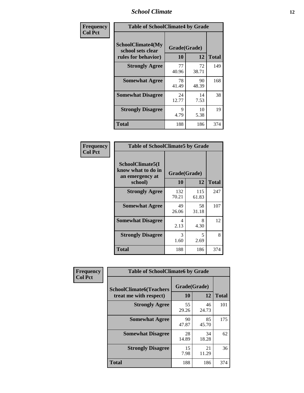### *School Climate* **12**

| Frequency      |                                                                      | <b>Table of SchoolClimate4 by Grade</b> |             |              |  |
|----------------|----------------------------------------------------------------------|-----------------------------------------|-------------|--------------|--|
| <b>Col Pct</b> | <b>SchoolClimate4(My</b><br>school sets clear<br>rules for behavior) | Grade(Grade)<br>10                      | 12          | <b>Total</b> |  |
|                | <b>Strongly Agree</b>                                                | 77<br>40.96                             | 72<br>38.71 | 149          |  |
|                | <b>Somewhat Agree</b>                                                | 78<br>41.49                             | 90<br>48.39 | 168          |  |
|                | <b>Somewhat Disagree</b>                                             | 24<br>12.77                             | 14<br>7.53  | 38           |  |
|                | <b>Strongly Disagree</b>                                             | 9<br>4.79                               | 10<br>5.38  | 19           |  |
|                | <b>Total</b>                                                         | 188                                     | 186         | 374          |  |

| <b>Table of SchoolClimate5 by Grade</b>                              |                    |              |     |  |
|----------------------------------------------------------------------|--------------------|--------------|-----|--|
| SchoolClimate5(I<br>know what to do in<br>an emergency at<br>school) | Grade(Grade)<br>10 | <b>Total</b> |     |  |
|                                                                      |                    | 12           |     |  |
| <b>Strongly Agree</b>                                                | 132<br>70.21       | 115<br>61.83 | 247 |  |
| <b>Somewhat Agree</b>                                                | 49<br>26.06        | 58<br>31.18  | 107 |  |
| <b>Somewhat Disagree</b>                                             | 4<br>2.13          | 8<br>4.30    | 12  |  |
| <b>Strongly Disagree</b>                                             | 3<br>1.60          | 5<br>2.69    | 8   |  |
| <b>Total</b>                                                         | 188                | 186          | 374 |  |

| Frequency      | <b>Table of SchoolClimate6 by Grade</b>                  |                    |             |              |
|----------------|----------------------------------------------------------|--------------------|-------------|--------------|
| <b>Col Pct</b> | <b>SchoolClimate6(Teachers</b><br>treat me with respect) | Grade(Grade)<br>10 | 12          | <b>Total</b> |
|                | <b>Strongly Agree</b>                                    | 55<br>29.26        | 46<br>24.73 | 101          |
|                | <b>Somewhat Agree</b>                                    | 90<br>47.87        | 85<br>45.70 | 175          |
|                | <b>Somewhat Disagree</b>                                 | 28<br>14.89        | 34<br>18.28 | 62           |
|                | <b>Strongly Disagree</b>                                 | 15<br>7.98         | 21<br>11.29 | 36           |
|                | <b>Total</b>                                             | 188                | 186         | 374          |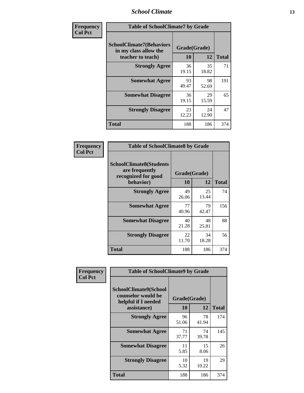### *School Climate* **13**

| Frequency      |                                                                               | <b>Table of SchoolClimate7 by Grade</b> |             |              |  |
|----------------|-------------------------------------------------------------------------------|-----------------------------------------|-------------|--------------|--|
| <b>Col Pct</b> | <b>SchoolClimate7(Behaviors</b><br>in my class allow the<br>teacher to teach) | Grade(Grade)<br><b>10</b>               | 12          | <b>Total</b> |  |
|                | <b>Strongly Agree</b>                                                         | 36<br>19.15                             | 35<br>18.82 | 71           |  |
|                | <b>Somewhat Agree</b>                                                         | 93<br>49.47                             | 98<br>52.69 | 191          |  |
|                | <b>Somewhat Disagree</b>                                                      | 36<br>19.15                             | 29<br>15.59 | 65           |  |
|                | <b>Strongly Disagree</b>                                                      | 23<br>12.23                             | 24<br>12.90 | 47           |  |
|                | <b>Total</b>                                                                  | 188                                     | 186         | 374          |  |

| Frequency      | <b>Table of SchoolClimate8 by Grade</b>                                              |                    |             |              |
|----------------|--------------------------------------------------------------------------------------|--------------------|-------------|--------------|
| <b>Col Pct</b> | <b>SchoolClimate8(Students</b><br>are frequently<br>recognized for good<br>behavior) | Grade(Grade)<br>10 | 12          | <b>Total</b> |
|                | <b>Strongly Agree</b>                                                                | 49<br>26.06        | 25<br>13.44 | 74           |
|                | <b>Somewhat Agree</b>                                                                | 77<br>40.96        | 79<br>42.47 | 156          |
|                | <b>Somewhat Disagree</b>                                                             | 40<br>21.28        | 48<br>25.81 | 88           |
|                | <b>Strongly Disagree</b>                                                             | 22<br>11.70        | 34<br>18.28 | 56           |
|                | <b>Total</b>                                                                         | 188                | 186         | 374          |

| Frequency      | <b>Table of SchoolClimate9 by Grade</b>                                                  |                    |             |              |
|----------------|------------------------------------------------------------------------------------------|--------------------|-------------|--------------|
| <b>Col Pct</b> | <b>SchoolClimate9(School</b><br>counselor would be<br>helpful if I needed<br>assistance) | Grade(Grade)<br>10 | 12          | <b>Total</b> |
|                | <b>Strongly Agree</b>                                                                    | 96<br>51.06        | 78<br>41.94 | 174          |
|                | <b>Somewhat Agree</b>                                                                    | 71<br>37.77        | 74<br>39.78 | 145          |
|                | <b>Somewhat Disagree</b>                                                                 | 11<br>5.85         | 15<br>8.06  | 26           |
|                | <b>Strongly Disagree</b>                                                                 | 10<br>5.32         | 19<br>10.22 | 29           |
|                | Total                                                                                    | 188                | 186         | 374          |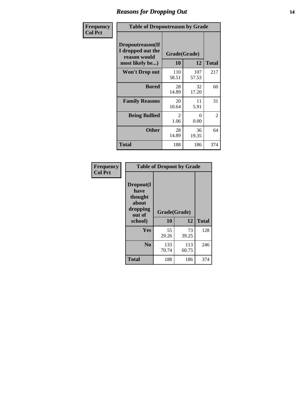### *Reasons for Dropping Out* **14**

| Frequency      | <b>Table of Dropoutreason by Grade</b>                                   |                    |              |              |
|----------------|--------------------------------------------------------------------------|--------------------|--------------|--------------|
| <b>Col Pct</b> | Dropoutreason(If<br>I dropped out the<br>reason would<br>most likely be) | Grade(Grade)<br>10 | 12           | <b>Total</b> |
|                | Won't Drop out                                                           | 110<br>58.51       | 107<br>57.53 | 217          |
|                | <b>Bored</b>                                                             | 28<br>14.89        | 32<br>17.20  | 60           |
|                | <b>Family Reasons</b>                                                    | 20<br>10.64        | 11<br>5.91   | 31           |
|                | <b>Being Bullied</b>                                                     | 2<br>1.06          | 0<br>0.00    | 2            |
|                | <b>Other</b>                                                             | 28<br>14.89        | 36<br>19.35  | 64           |
|                | Total                                                                    | 188                | 186          | 374          |

| Frequency      | <b>Table of Dropout by Grade</b>                                       |                    |              |              |  |  |
|----------------|------------------------------------------------------------------------|--------------------|--------------|--------------|--|--|
| <b>Col Pct</b> | Dropout(I<br>have<br>thought<br>about<br>dropping<br>out of<br>school) | Grade(Grade)<br>10 | 12           | <b>Total</b> |  |  |
|                | Yes                                                                    | 55                 | 73           | 128          |  |  |
|                |                                                                        | 29.26              | 39.25        |              |  |  |
|                | N <sub>0</sub>                                                         | 133<br>70.74       | 113<br>60.75 | 246          |  |  |
|                | <b>Total</b>                                                           | 188                | 186          | 374          |  |  |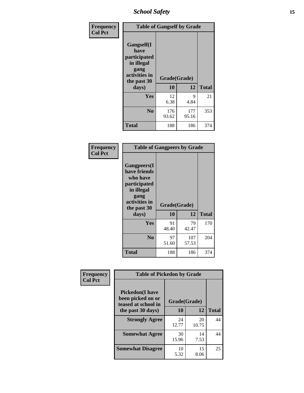*School Safety* **15**

| Frequency      | <b>Table of Gangself by Grade</b>                                                                 |                          |              |              |
|----------------|---------------------------------------------------------------------------------------------------|--------------------------|--------------|--------------|
| <b>Col Pct</b> | Gangself(I<br>have<br>participated<br>in illegal<br>gang<br>activities in<br>the past 30<br>days) | Grade(Grade)<br>10<br>12 |              | <b>Total</b> |
|                | Yes                                                                                               | 12<br>6.38               | 9<br>4.84    | 21           |
|                | N <sub>0</sub>                                                                                    | 176<br>93.62             | 177<br>95.16 | 353          |
|                | <b>Total</b>                                                                                      | 188                      | 186          | 374          |

| Frequency<br><b>Col Pct</b> | <b>Table of Gangpeers by Grade</b>                                                                                             |                    |              |              |
|-----------------------------|--------------------------------------------------------------------------------------------------------------------------------|--------------------|--------------|--------------|
|                             | <b>Gangpeers</b> (I<br>have friends<br>who have<br>participated<br>in illegal<br>gang<br>activities in<br>the past 30<br>days) | Grade(Grade)<br>10 | 12           | <b>Total</b> |
|                             | Yes                                                                                                                            | 91<br>48.40        | 79<br>42.47  | 170          |
|                             | N <sub>0</sub>                                                                                                                 | 97<br>51.60        | 107<br>57.53 | 204          |
|                             | <b>Total</b>                                                                                                                   | 188                | 186          | 374          |

| Frequency      | <b>Table of Pickedon by Grade</b>                                   |              |             |              |
|----------------|---------------------------------------------------------------------|--------------|-------------|--------------|
| <b>Col Pct</b> | <b>Pickedon</b> (I have<br>been picked on or<br>teased at school in | Grade(Grade) |             |              |
|                | the past 30 days)                                                   | 10           | 12          | <b>Total</b> |
|                | <b>Strongly Agree</b>                                               | 24<br>12.77  | 20<br>10.75 | 44           |
|                | <b>Somewhat Agree</b>                                               | 30<br>15.96  | 14<br>7.53  | 44           |
|                | <b>Somewhat Disagree</b>                                            | 10<br>5.32   | 15<br>8.06  | 25           |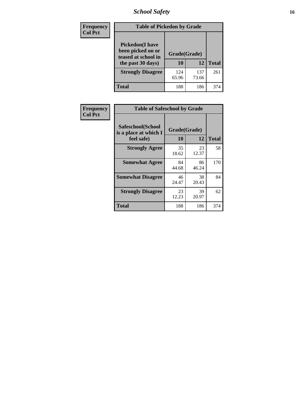# *School Safety* **16**

| <b>Frequency</b> |                                                                                          | <b>Table of Pickedon by Grade</b> |              |     |  |  |  |  |  |  |  |  |  |
|------------------|------------------------------------------------------------------------------------------|-----------------------------------|--------------|-----|--|--|--|--|--|--|--|--|--|
| <b>Col Pct</b>   | <b>Pickedon</b> (I have<br>been picked on or<br>teased at school in<br>the past 30 days) | Grade(Grade)<br>10                | <b>Total</b> |     |  |  |  |  |  |  |  |  |  |
|                  | <b>Strongly Disagree</b>                                                                 | 124<br>65.96                      | 137<br>73.66 | 261 |  |  |  |  |  |  |  |  |  |
|                  | Total                                                                                    | 188                               | 186          | 374 |  |  |  |  |  |  |  |  |  |

| Frequency      |                                                          | <b>Table of Safeschool by Grade</b> |             |              |  |  |  |  |  |  |  |  |
|----------------|----------------------------------------------------------|-------------------------------------|-------------|--------------|--|--|--|--|--|--|--|--|
| <b>Col Pct</b> | Safeschool(School<br>is a place at which I<br>feel safe) | Grade(Grade)<br>10                  | 12          | <b>Total</b> |  |  |  |  |  |  |  |  |
|                | <b>Strongly Agree</b>                                    | 35<br>18.62                         | 23<br>12.37 | 58           |  |  |  |  |  |  |  |  |
|                | <b>Somewhat Agree</b>                                    | 84<br>44.68                         | 86<br>46.24 | 170          |  |  |  |  |  |  |  |  |
|                | <b>Somewhat Disagree</b>                                 | 46<br>24.47                         | 38<br>20.43 | 84           |  |  |  |  |  |  |  |  |
|                | <b>Strongly Disagree</b>                                 | 23<br>12.23                         | 39<br>20.97 | 62           |  |  |  |  |  |  |  |  |
|                | Total                                                    | 188                                 | 186         | 374          |  |  |  |  |  |  |  |  |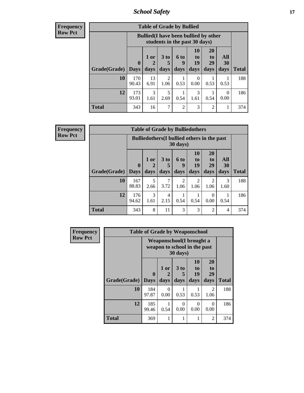*School Safety* **17**

**Frequency Row Pct**

|              | <b>Table of Grade by Bullied</b>                                                        |                                                                               |                              |                   |                        |                               |                          |              |  |  |
|--------------|-----------------------------------------------------------------------------------------|-------------------------------------------------------------------------------|------------------------------|-------------------|------------------------|-------------------------------|--------------------------|--------------|--|--|
|              |                                                                                         | <b>Bullied</b> (I have been bullied by other<br>students in the past 30 days) |                              |                   |                        |                               |                          |              |  |  |
| Grade(Grade) | 0<br><b>Days</b>                                                                        | 1 or<br>2<br>days                                                             | 3 <sub>to</sub><br>5<br>days | 6 to<br>q<br>days | 10<br>to<br>19<br>days | <b>20</b><br>to<br>29<br>days | All<br><b>30</b><br>days | <b>Total</b> |  |  |
| 10           | 170<br>90.43                                                                            | 13<br>6.91                                                                    | 2<br>1.06                    | 0.53              | $\Omega$<br>0.00       | 0.53                          | 0.53                     | 188          |  |  |
| 12           | 173<br>3<br>5<br>3<br>$\theta$<br>93.01<br>0.00<br>0.54<br>1.61<br>1.61<br>2.69<br>0.54 |                                                                               |                              |                   |                        |                               |                          |              |  |  |
| <b>Total</b> | 343                                                                                     | 16                                                                            | 7                            | $\overline{c}$    | 3                      | 2                             | 1                        | 374          |  |  |

| <b>Table of Grade by Bulliedothers</b> |                                                                         |                   |                              |                        |                               |                               |                   |              |  |  |
|----------------------------------------|-------------------------------------------------------------------------|-------------------|------------------------------|------------------------|-------------------------------|-------------------------------|-------------------|--------------|--|--|
|                                        | <b>Bulliedothers</b> (I bullied others in the past<br>$30 \text{ days}$ |                   |                              |                        |                               |                               |                   |              |  |  |
| Grade(Grade)                           | $\mathbf{0}$<br><b>Days</b>                                             | 1 or<br>2<br>days | 3 <sub>to</sub><br>5<br>days | 6 to<br>9<br>days      | <b>10</b><br>to<br>19<br>days | <b>20</b><br>to<br>29<br>days | All<br>30<br>days | <b>Total</b> |  |  |
| 10                                     | 167<br>88.83                                                            | 5<br>2.66         | 7<br>3.72                    | $\overline{c}$<br>1.06 | $\overline{2}$<br>1.06        | 2<br>1.06                     | 3<br>1.60         | 188          |  |  |
| 12                                     | 176<br>94.62                                                            | 3<br>1.61         | 4<br>2.15                    | 0.54                   | 0.54                          | $\Omega$<br>0.00              | 0.54              | 186          |  |  |
| <b>Total</b>                           | 343                                                                     | 8                 | 11                           | 3                      | 3                             | $\overline{2}$                | $\overline{4}$    | 374          |  |  |

| Frequency      | <b>Table of Grade by Weaponschool</b> |                                                                  |                   |                              |                        |                        |              |  |  |  |  |
|----------------|---------------------------------------|------------------------------------------------------------------|-------------------|------------------------------|------------------------|------------------------|--------------|--|--|--|--|
| <b>Row Pct</b> |                                       | <b>Weaponschool</b> (I brought a<br>weapon to school in the past |                   |                              |                        |                        |              |  |  |  |  |
|                | <b>Grade(Grade)</b>                   | $\bf{0}$<br><b>Days</b>                                          | 1 or<br>2<br>days | 3 <sub>to</sub><br>5<br>days | 10<br>to<br>19<br>days | 20<br>to<br>29<br>days | <b>Total</b> |  |  |  |  |
|                | 10                                    | 184<br>97.87                                                     | $\Omega$<br>0.00  | 0.53                         | 0.53                   | $\mathfrak{D}$<br>1.06 | 188          |  |  |  |  |
|                | 12                                    | 185<br>99.46                                                     | 0.54              | $\Omega$<br>0.00             | $\Omega$<br>0.00       | 0<br>0.00              | 186          |  |  |  |  |
|                | <b>Total</b>                          | 369                                                              |                   | 1                            |                        | $\overline{2}$         | 374          |  |  |  |  |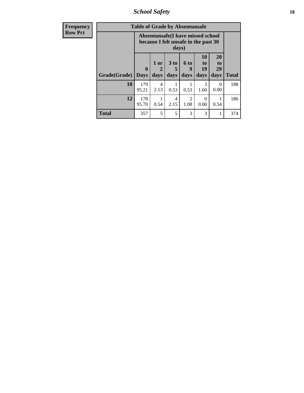*School Safety* **18**

| <b>Frequency</b> |              | <b>Table of Grade by Absentunsafe</b> |                                                                           |                              |                        |                        |                        |              |
|------------------|--------------|---------------------------------------|---------------------------------------------------------------------------|------------------------------|------------------------|------------------------|------------------------|--------------|
| <b>Row Pct</b>   |              |                                       | Absentunsafe(I have missed school<br>because I felt unsafe in the past 30 | days)                        |                        |                        |                        |              |
|                  | Grade(Grade) | $\bf{0}$<br><b>Days</b>               | 1 or<br>2<br>days                                                         | 3 <sub>to</sub><br>5<br>days | 6 to<br>9<br>days      | 10<br>to<br>19<br>days | 20<br>to<br>29<br>days | <b>Total</b> |
|                  | 10           | 179<br>95.21                          | 4<br>2.13                                                                 | 0.53                         | 0.53                   | 3<br>1.60              | 0<br>0.00              | 188          |
|                  | 12           | 178<br>95.70                          | 0.54                                                                      | 4<br>2.15                    | $\mathfrak{D}$<br>1.08 | $\Omega$<br>0.00       | 0.54                   | 186          |
|                  | <b>Total</b> | 357                                   | 5                                                                         | 5                            | 3                      | 3                      | 1                      | 374          |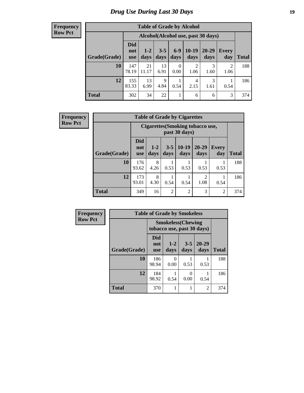# *Drug Use During Last 30 Days* **19**

| <b>Table of Grade by Alcohol</b> |                          |                                    |                 |                  |                 |                   |              |              |  |  |  |  |
|----------------------------------|--------------------------|------------------------------------|-----------------|------------------|-----------------|-------------------|--------------|--------------|--|--|--|--|
|                                  |                          | Alcohol(Alcohol use, past 30 days) |                 |                  |                 |                   |              |              |  |  |  |  |
| Grade(Grade)                     | Did<br>not<br><b>use</b> | $1-2$<br>days                      | $3 - 5$<br>days | $6 - 9$<br>days  | $10-19$<br>days | $20 - 29$<br>days | Every<br>day | <b>Total</b> |  |  |  |  |
| 10                               | 147<br>78.19             | 21<br>11.17                        | 13<br>6.91      | $\Omega$<br>0.00 | 2<br>1.06       | 3<br>1.60         | 2<br>1.06    | 188          |  |  |  |  |
| 12                               | 155<br>83.33             | 13<br>6.99                         | 9<br>4.84       | 0.54             | 4<br>2.15       | 3<br>1.61         | 0.54         | 186          |  |  |  |  |
| <b>Total</b>                     | 302                      | 34                                 | 22              | 1                | 6               | 6                 | 3            | 374          |  |  |  |  |

| <b>Frequency</b> |              |                                                   |               |               | <b>Table of Grade by Cigarettes</b> |                        |                     |              |  |  |
|------------------|--------------|---------------------------------------------------|---------------|---------------|-------------------------------------|------------------------|---------------------|--------------|--|--|
| <b>Row Pct</b>   |              | Cigarettes (Smoking tobacco use,<br>past 30 days) |               |               |                                     |                        |                     |              |  |  |
|                  | Grade(Grade) | <b>Did</b><br>not<br><b>use</b>                   | $1-2$<br>days | $3-5$<br>days | $10-19$<br>days                     | 20-29<br>days          | <b>Every</b><br>day | <b>Total</b> |  |  |
|                  | 10           | 176<br>93.62                                      | 8<br>4.26     | 0.53          | 0.53                                | 0.53                   | 0.53                | 188          |  |  |
|                  | 12           | 173<br>93.01                                      | 8<br>4.30     | 0.54          | 0.54                                | $\mathfrak{D}$<br>1.08 | 0.54                | 186          |  |  |
|                  | <b>Total</b> | 349                                               | 16            | 2             | $\overline{2}$                      | 3                      | 2                   | 374          |  |  |

| <b>Frequency</b> |              | <b>Table of Grade by Smokeless</b>                      |                  |                 |                |              |  |  |  |
|------------------|--------------|---------------------------------------------------------|------------------|-----------------|----------------|--------------|--|--|--|
| <b>Row Pct</b>   |              | <b>Smokeless</b> (Chewing<br>tobacco use, past 30 days) |                  |                 |                |              |  |  |  |
|                  | Grade(Grade) | <b>Did</b><br>not<br><b>use</b>                         | $1 - 2$<br>days  | $3 - 5$<br>days | 20-29<br>days  | <b>Total</b> |  |  |  |
|                  | 10           | 186<br>98.94                                            | $\Omega$<br>0.00 | 0.53            | 0.53           | 188          |  |  |  |
|                  | 12           | 184<br>98.92                                            | 0.54             | 0<br>0.00       | 0.54           | 186          |  |  |  |
|                  | <b>Total</b> | 370                                                     | 1                |                 | $\overline{c}$ | 374          |  |  |  |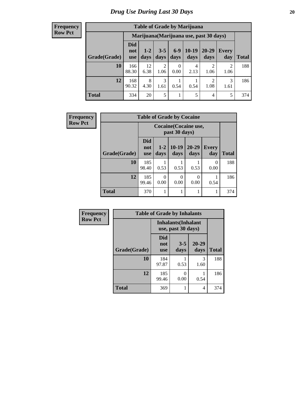| <b>Table of Grade by Marijuana</b> |                                         |                 |                        |               |                 |                                     |                        |       |  |  |  |
|------------------------------------|-----------------------------------------|-----------------|------------------------|---------------|-----------------|-------------------------------------|------------------------|-------|--|--|--|
|                                    | Marijuana (Marijuana use, past 30 days) |                 |                        |               |                 |                                     |                        |       |  |  |  |
| Grade(Grade)                       | Did<br>not<br><b>use</b>                | $1 - 2$<br>days | $3 - 5$<br>days        | $6-9$<br>days | $10-19$<br>days | 20-29<br>days                       | Every<br>day           | Total |  |  |  |
| 10                                 | 166<br>88.30                            | 12<br>6.38      | $\mathfrak{D}$<br>1.06 | 0<br>0.00     | 4<br>2.13       | $\mathcal{D}_{\mathcal{L}}$<br>1.06 | $\mathfrak{D}$<br>1.06 | 188   |  |  |  |
| 12                                 | 168<br>90.32                            | 8<br>4.30       | 3<br>1.61              | 0.54          | 0.54            | $\mathfrak{D}$<br>1.08              | 3<br>1.61              | 186   |  |  |  |
| <b>Total</b>                       | 334                                     | 20              | 5                      |               | 5               | 4                                   | 5                      | 374   |  |  |  |

| <b>Frequency</b> |              |                                 |                                        | <b>Table of Grade by Cocaine</b> |                   |                     |              |  |  |  |
|------------------|--------------|---------------------------------|----------------------------------------|----------------------------------|-------------------|---------------------|--------------|--|--|--|
| <b>Row Pct</b>   |              |                                 | Cocaine (Cocaine use,<br>past 30 days) |                                  |                   |                     |              |  |  |  |
|                  | Grade(Grade) | <b>Did</b><br>not<br><b>use</b> | $1 - 2$<br>days                        | $10-19$<br>days                  | $20 - 29$<br>days | <b>Every</b><br>day | <b>Total</b> |  |  |  |
|                  | 10           | 185<br>98.40                    | 0.53                                   | 0.53                             | 0.53              | 0<br>0.00           | 188          |  |  |  |
|                  | 12           | 185<br>99.46                    | 0.00                                   | $\theta$<br>0.00                 | $\theta$<br>0.00  | 0.54                | 186          |  |  |  |
|                  | <b>Total</b> | 370                             |                                        |                                  |                   |                     | 374          |  |  |  |

| Frequency      | <b>Table of Grade by Inhalants</b> |                                 |                                                  |                   |              |  |
|----------------|------------------------------------|---------------------------------|--------------------------------------------------|-------------------|--------------|--|
| <b>Row Pct</b> |                                    |                                 | <b>Inhalants</b> (Inhalant<br>use, past 30 days) |                   |              |  |
|                | Grade(Grade)                       | <b>Did</b><br>not<br><b>use</b> | $3 - 5$<br>days                                  | $20 - 29$<br>days | <b>Total</b> |  |
|                | 10                                 | 184<br>97.87                    | 0.53                                             | 3<br>1.60         | 188          |  |
|                | 12                                 | 185<br>99.46                    | 0<br>0.00                                        | 0.54              | 186          |  |
|                | <b>Total</b>                       | 369                             |                                                  | 4                 | 374          |  |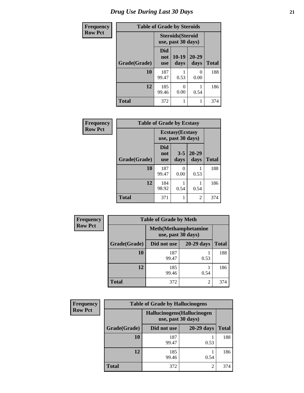| <b>Frequency</b> | <b>Table of Grade by Steroids</b> |                                                |                 |                       |              |
|------------------|-----------------------------------|------------------------------------------------|-----------------|-----------------------|--------------|
| <b>Row Pct</b>   |                                   | <b>Steroids</b> (Steroid<br>use, past 30 days) |                 |                       |              |
|                  | Grade(Grade)                      | <b>Did</b><br>not<br><b>use</b>                | $10-19$<br>days | $20 - 29$<br>days     | <b>Total</b> |
|                  | 10                                | 187<br>99.47                                   | 0.53            | $\mathcal{O}$<br>0.00 | 188          |
|                  | 12                                | 185<br>99.46                                   | 0.00            | 0.54                  | 186          |
|                  | <b>Total</b>                      | 372                                            |                 |                       | 374          |

| Frequency      | <b>Table of Grade by Ecstasy</b> |                                               |                 |                   |              |
|----------------|----------------------------------|-----------------------------------------------|-----------------|-------------------|--------------|
| <b>Row Pct</b> |                                  | <b>Ecstasy</b> (Ecstasy<br>use, past 30 days) |                 |                   |              |
|                | Grade(Grade)                     | Did<br>not<br><b>use</b>                      | $3 - 5$<br>days | $20 - 29$<br>days | <b>Total</b> |
|                | 10                               | 187<br>99.47                                  | 0<br>0.00       | 0.53              | 188          |
|                | 12                               | 184<br>98.92                                  | 0.54            | 0.54              | 186          |
|                | <b>Total</b>                     | 371                                           |                 | 2                 | 374          |

| Frequency      | <b>Table of Grade by Meth</b> |                                                    |                |              |  |  |
|----------------|-------------------------------|----------------------------------------------------|----------------|--------------|--|--|
| <b>Row Pct</b> |                               | <b>Meth</b> (Methamphetamine<br>use, past 30 days) |                |              |  |  |
|                | Grade(Grade)                  | Did not use                                        | 20-29 days     | <b>Total</b> |  |  |
|                | 10                            | 187<br>99.47                                       | 0.53           | 188          |  |  |
|                | 12                            | 185<br>99.46                                       | 0.54           | 186          |  |  |
|                | <b>Total</b>                  | 372                                                | $\mathfrak{D}$ | 374          |  |  |

| Frequency      | <b>Table of Grade by Hallucinogens</b> |                                                   |              |              |  |  |
|----------------|----------------------------------------|---------------------------------------------------|--------------|--------------|--|--|
| <b>Row Pct</b> |                                        | Hallucinogens (Hallucinogen<br>use, past 30 days) |              |              |  |  |
|                | Grade(Grade)                           | Did not use                                       | $20-29$ days | <b>Total</b> |  |  |
|                | 10                                     | 187<br>99.47                                      | 0.53         | 188          |  |  |
|                | 12                                     | 185<br>99.46                                      | 0.54         | 186          |  |  |
|                | <b>Total</b>                           | 372                                               | 2            | 374          |  |  |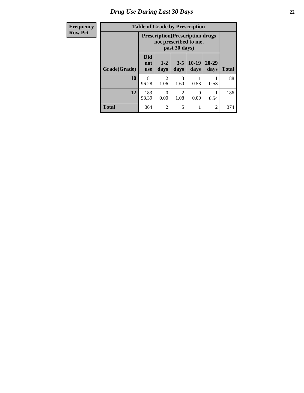# *Drug Use During Last 30 Days* **22**

| Frequency<br><b>Row Pct</b> |  |
|-----------------------------|--|
|-----------------------------|--|

# **Table of Grade by Prescription**

| $\cdots$ |              | rable of Graue by Frescription                                                    |                        |                        |                 |                   |              |
|----------|--------------|-----------------------------------------------------------------------------------|------------------------|------------------------|-----------------|-------------------|--------------|
| Pct      |              | <b>Prescription</b> (Prescription drugs<br>not prescribed to me,<br>past 30 days) |                        |                        |                 |                   |              |
|          | Grade(Grade) | <b>Did</b><br>not<br><b>use</b>                                                   | $1 - 2$<br>days        | $3 - 5$<br>days        | $10-19$<br>days | $20 - 29$<br>days | <b>Total</b> |
|          | 10           | 181<br>96.28                                                                      | $\overline{2}$<br>1.06 | 3<br>1.60              | 0.53            | 0.53              | 188          |
|          | 12           | 183<br>98.39                                                                      | 0<br>0.00              | $\overline{2}$<br>1.08 | 0<br>0.00       | 0.54              | 186          |
|          | <b>Total</b> | 364                                                                               | 2                      | 5                      |                 | 2                 | 374          |

┑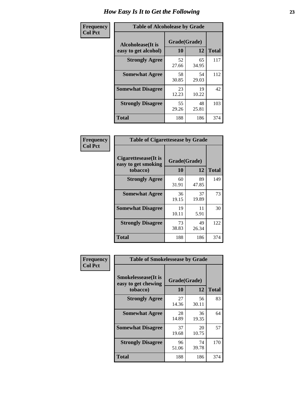| Frequency      | <b>Table of Alcoholease by Grade</b>                                    |             |             |              |  |
|----------------|-------------------------------------------------------------------------|-------------|-------------|--------------|--|
| <b>Col Pct</b> | Grade(Grade)<br><b>Alcoholease</b> (It is<br>10<br>easy to get alcohol) |             | 12          | <b>Total</b> |  |
|                | <b>Strongly Agree</b>                                                   | 52<br>27.66 | 65<br>34.95 | 117          |  |
|                | <b>Somewhat Agree</b>                                                   | 58<br>30.85 | 54<br>29.03 | 112          |  |
|                | <b>Somewhat Disagree</b>                                                | 23<br>12.23 | 19<br>10.22 | 42           |  |
|                | <b>Strongly Disagree</b>                                                | 55<br>29.26 | 48<br>25.81 | 103          |  |
|                | <b>Total</b>                                                            | 188         | 186         | 374          |  |

| Frequency      | <b>Table of Cigarettesease by Grade</b>                  |                    |             |              |  |
|----------------|----------------------------------------------------------|--------------------|-------------|--------------|--|
| <b>Col Pct</b> | Cigarettesease (It is<br>easy to get smoking<br>tobacco) | Grade(Grade)<br>10 | 12          | <b>Total</b> |  |
|                | <b>Strongly Agree</b>                                    | 60<br>31.91        | 89<br>47.85 | 149          |  |
|                | <b>Somewhat Agree</b>                                    | 36<br>19.15        | 37<br>19.89 | 73           |  |
|                | <b>Somewhat Disagree</b>                                 | 19<br>10.11        | 11<br>5.91  | 30           |  |
|                | <b>Strongly Disagree</b>                                 | 73<br>38.83        | 49<br>26.34 | 122          |  |
|                | <b>Total</b>                                             | 188                | 186         | 374          |  |

| Frequency      | <b>Table of Smokelessease by Grade</b>                         |                          |             |              |  |
|----------------|----------------------------------------------------------------|--------------------------|-------------|--------------|--|
| <b>Col Pct</b> | <b>Smokelessease</b> (It is<br>easy to get chewing<br>tobacco) | Grade(Grade)<br>10<br>12 |             | <b>Total</b> |  |
|                | <b>Strongly Agree</b>                                          | 27<br>14.36              | 56<br>30.11 | 83           |  |
|                | <b>Somewhat Agree</b>                                          | 28<br>14.89              | 36<br>19.35 | 64           |  |
|                | <b>Somewhat Disagree</b>                                       | 37<br>19.68              | 20<br>10.75 | 57           |  |
|                | <b>Strongly Disagree</b>                                       | 96<br>51.06              | 74<br>39.78 | 170          |  |
|                | <b>Total</b>                                                   | 188                      | 186         | 374          |  |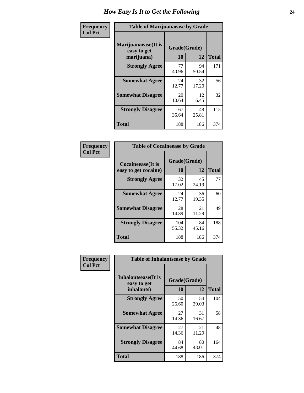| Frequency      | <b>Table of Marijuanaease by Grade</b>           |                    |             |              |  |
|----------------|--------------------------------------------------|--------------------|-------------|--------------|--|
| <b>Col Pct</b> | Marijuanaease(It is<br>easy to get<br>marijuana) | Grade(Grade)<br>10 | 12          | <b>Total</b> |  |
|                | <b>Strongly Agree</b>                            | 77<br>40.96        | 94<br>50.54 | 171          |  |
|                | <b>Somewhat Agree</b>                            | 24<br>12.77        | 32<br>17.20 | 56           |  |
|                | <b>Somewhat Disagree</b>                         | 20<br>10.64        | 12<br>6.45  | 32           |  |
|                | <b>Strongly Disagree</b>                         | 67<br>35.64        | 48<br>25.81 | 115          |  |
|                | <b>Total</b>                                     | 188                | 186         | 374          |  |

| <b>Table of Cocaineease by Grade</b>              |                    |              |     |  |  |
|---------------------------------------------------|--------------------|--------------|-----|--|--|
| <b>Cocaineease</b> (It is<br>easy to get cocaine) | Grade(Grade)<br>10 | <b>Total</b> |     |  |  |
| <b>Strongly Agree</b>                             | 32<br>17.02        | 45<br>24.19  | 77  |  |  |
| <b>Somewhat Agree</b>                             | 24<br>12.77        | 36<br>19.35  | 60  |  |  |
| <b>Somewhat Disagree</b>                          | 28<br>14.89        | 21<br>11.29  | 49  |  |  |
| <b>Strongly Disagree</b>                          | 104<br>55.32       | 84<br>45.16  | 188 |  |  |
| <b>Total</b>                                      | 188                | 186          | 374 |  |  |

| Frequency      | <b>Table of Inhalantsease by Grade</b>     |              |             |              |
|----------------|--------------------------------------------|--------------|-------------|--------------|
| <b>Col Pct</b> | <b>Inhalantsease</b> (It is<br>easy to get | Grade(Grade) |             |              |
|                | inhalants)                                 | 10           | 12          | <b>Total</b> |
|                | <b>Strongly Agree</b>                      | 50<br>26.60  | 54<br>29.03 | 104          |
|                | <b>Somewhat Agree</b>                      | 27<br>14.36  | 31<br>16.67 | 58           |
|                | <b>Somewhat Disagree</b>                   | 27<br>14.36  | 21<br>11.29 | 48           |
|                | <b>Strongly Disagree</b>                   | 84<br>44.68  | 80<br>43.01 | 164          |
|                | <b>Total</b>                               | 188          | 186         | 374          |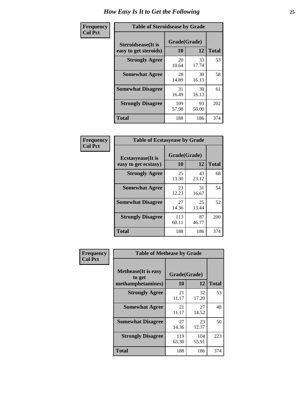| Frequency      | <b>Table of Steroidsease by Grade</b>               |                          |             |     |  |  |  |  |  |  |
|----------------|-----------------------------------------------------|--------------------------|-------------|-----|--|--|--|--|--|--|
| <b>Col Pct</b> | <b>Steroidsease</b> (It is<br>easy to get steroids) | Grade(Grade)<br>10<br>12 |             |     |  |  |  |  |  |  |
|                | <b>Strongly Agree</b>                               | 20<br>10.64              | 33<br>17.74 | 53  |  |  |  |  |  |  |
|                | <b>Somewhat Agree</b>                               | 28<br>14.89              | 30<br>16.13 | 58  |  |  |  |  |  |  |
|                | <b>Somewhat Disagree</b>                            | 31<br>16.49              | 30<br>16.13 | 61  |  |  |  |  |  |  |
|                | <b>Strongly Disagree</b>                            | 109<br>57.98             | 93<br>50.00 | 202 |  |  |  |  |  |  |
|                | <b>Total</b>                                        | 188                      | 186         | 374 |  |  |  |  |  |  |

| Frequency      | <b>Table of Ecstasyease by Grade</b>              |                    |             |              |  |  |  |  |  |
|----------------|---------------------------------------------------|--------------------|-------------|--------------|--|--|--|--|--|
| <b>Col Pct</b> | <b>Ecstasyease</b> (It is<br>easy to get ecstasy) | Grade(Grade)<br>10 | 12          | <b>Total</b> |  |  |  |  |  |
|                | <b>Strongly Agree</b>                             | 25<br>13.30        | 43<br>23.12 | 68           |  |  |  |  |  |
|                | <b>Somewhat Agree</b>                             | 23<br>12.23        | 31<br>16.67 | 54           |  |  |  |  |  |
|                | <b>Somewhat Disagree</b>                          | 27<br>14.36        | 25<br>13.44 | 52           |  |  |  |  |  |
|                | <b>Strongly Disagree</b>                          | 113<br>60.11       | 87<br>46.77 | 200          |  |  |  |  |  |
|                | Total                                             | 188                | 186         | 374          |  |  |  |  |  |

| Frequency      | <b>Table of Methease by Grade</b>     |              |              |              |
|----------------|---------------------------------------|--------------|--------------|--------------|
| <b>Col Pct</b> | <b>Methease</b> (It is easy<br>to get | Grade(Grade) |              |              |
|                | methamphetamines)                     | 10           | 12           | <b>Total</b> |
|                | <b>Strongly Agree</b>                 | 21<br>11.17  | 32<br>17.20  | 53           |
|                | <b>Somewhat Agree</b>                 | 21<br>11.17  | 27<br>14.52  | 48           |
|                | <b>Somewhat Disagree</b>              | 27<br>14.36  | 23<br>12.37  | 50           |
|                | <b>Strongly Disagree</b>              | 119<br>63.30 | 104<br>55.91 | 223          |
|                | Total                                 | 188          | 186          | 374          |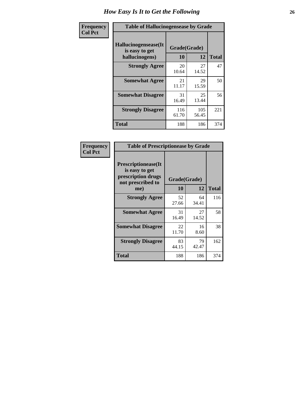| <b>Frequency</b> | <b>Table of Hallucinogensease by Grade</b>               |                    |              |              |  |  |  |  |  |  |  |
|------------------|----------------------------------------------------------|--------------------|--------------|--------------|--|--|--|--|--|--|--|
| <b>Col Pct</b>   | Hallucinogensease(It<br>is easy to get<br>hallucinogens) | Grade(Grade)<br>10 | 12           | <b>Total</b> |  |  |  |  |  |  |  |
|                  | <b>Strongly Agree</b>                                    | 20<br>10.64        | 27<br>14.52  | 47           |  |  |  |  |  |  |  |
|                  | <b>Somewhat Agree</b>                                    | 21<br>11.17        | 29<br>15.59  | 50           |  |  |  |  |  |  |  |
|                  | <b>Somewhat Disagree</b>                                 | 31<br>16.49        | 25<br>13.44  | 56           |  |  |  |  |  |  |  |
|                  | <b>Strongly Disagree</b>                                 | 116<br>61.70       | 105<br>56.45 | 221          |  |  |  |  |  |  |  |
|                  | <b>Total</b>                                             | 188                | 186          | 374          |  |  |  |  |  |  |  |

| Frequency<br>Col Pct |
|----------------------|
|                      |

| <b>Table of Prescriptionease by Grade</b>                                                |              |             |              |  |  |  |  |  |
|------------------------------------------------------------------------------------------|--------------|-------------|--------------|--|--|--|--|--|
| <b>Prescriptionease</b> (It<br>is easy to get<br>prescription drugs<br>not prescribed to | Grade(Grade) |             |              |  |  |  |  |  |
| me)                                                                                      | 10           | 12          | <b>Total</b> |  |  |  |  |  |
| <b>Strongly Agree</b>                                                                    | 52<br>27.66  | 64<br>34.41 | 116          |  |  |  |  |  |
| <b>Somewhat Agree</b>                                                                    | 31<br>16.49  | 27<br>14.52 | 58           |  |  |  |  |  |
| <b>Somewhat Disagree</b>                                                                 | 22<br>11.70  | 16<br>8.60  | 38           |  |  |  |  |  |
| <b>Strongly Disagree</b>                                                                 | 83<br>44.15  | 79<br>42.47 | 162          |  |  |  |  |  |
| Total                                                                                    | 188          | 186         | 374          |  |  |  |  |  |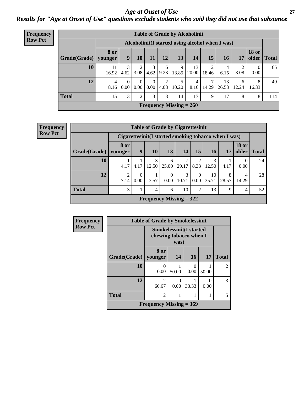*Age at Onset of Use* **27** *Results for "Age at Onset of Use" questions exclude students who said they did not use that substance*

| Frequency      |                                                  |                        |           |                  |                  |           |                           | <b>Table of Grade by Alcoholinit</b> |             |             |            |                        |              |
|----------------|--------------------------------------------------|------------------------|-----------|------------------|------------------|-----------|---------------------------|--------------------------------------|-------------|-------------|------------|------------------------|--------------|
| <b>Row Pct</b> | Alcoholinit (I started using alcohol when I was) |                        |           |                  |                  |           |                           |                                      |             |             |            |                        |              |
|                | Grade(Grade)                                     | <b>8 or</b><br>younger | 9         | 10               | 11               | 12        | 13                        | 14                                   | 15          | 16          | 17         | <b>18 or</b><br>older  | <b>Total</b> |
|                | 10                                               | 11<br>16.92            | 4.62      | 3.08             | 4.62             | 6<br>9.23 | 9                         | 13<br>13.85 20.00                    | 12<br>18.46 | 4<br>6.15   | C<br>3.08  | $\overline{0}$<br>0.00 | 65           |
|                | 12                                               | $\overline{4}$<br>8.16 | 0<br>0.00 | $\Omega$<br>0.00 | $\Omega$<br>0.00 | 2<br>4.08 | 5.<br>10.20               | 4<br>8.16                            | 7<br>14.29  | 13<br>26.53 | 6<br>12.24 | 8<br>16.33             | 49           |
|                | <b>Total</b>                                     | 15                     | 3         | 2                | 3                | 8         | 14                        | 17                                   | 19          | 17          | 8          | 8                      | 114          |
|                |                                                  |                        |           |                  |                  |           | Frequency Missing $= 260$ |                                      |             |             |            |                        |              |

| <b>Table of Grade by Cigarettesinit</b>               |                        |           |                                |                  |            |                        |             |            |                       |              |
|-------------------------------------------------------|------------------------|-----------|--------------------------------|------------------|------------|------------------------|-------------|------------|-----------------------|--------------|
| Cigarettesinit (I started smoking tobacco when I was) |                        |           |                                |                  |            |                        |             |            |                       |              |
| Grade(Grade)                                          | 8 or<br>younger        | 9         | 10                             | 13               | 14         | 15                     | 16          | 17         | <b>18 or</b><br>older | <b>Total</b> |
| 10                                                    | 4.17                   | 4.17      | 3<br>12.50                     | 6<br>25.00       | 29.17      | $\mathfrak{D}$<br>8.33 | 12.50       | 4.17       | $\theta$<br>0.00      | 24           |
| 12                                                    | $\overline{2}$<br>7.14 | 0<br>0.00 | 3.57                           | $\Omega$<br>0.00 | 3<br>10.71 | $\Omega$<br>0.00       | 10<br>35.71 | 8<br>28.57 | 4<br>14.29            | 28           |
| <b>Total</b>                                          | 3                      | 1.        | 4                              | 6                | 10         | 2                      | 13          | 9          | 4                     | 52           |
|                                                       |                        |           | <b>Frequency Missing = 322</b> |                  |            |                        |             |            |                       |              |

| Frequency      | <b>Table of Grade by Smokelessinit</b>                           |                           |                           |                       |           |                |  |  |
|----------------|------------------------------------------------------------------|---------------------------|---------------------------|-----------------------|-----------|----------------|--|--|
| <b>Row Pct</b> | <b>Smokelessinit(I started</b><br>chewing tobacco when I<br>was) |                           |                           |                       |           |                |  |  |
|                | Grade(Grade)                                                     | 8 or<br>younger           | 14                        | <b>16</b>             | <b>17</b> | <b>Total</b>   |  |  |
|                | 10                                                               | $\Omega$<br>0.00          | 50.00                     | $\mathcal{O}$<br>0.00 | 50.00     | $\mathfrak{D}$ |  |  |
|                | 12                                                               | $\overline{2}$<br>66.67   | $\mathbf{\Omega}$<br>0.00 | 33.33                 | 0<br>0.00 | 3              |  |  |
|                | <b>Total</b>                                                     | $\overline{2}$            |                           |                       |           | 5              |  |  |
|                |                                                                  | Frequency Missing $= 369$ |                           |                       |           |                |  |  |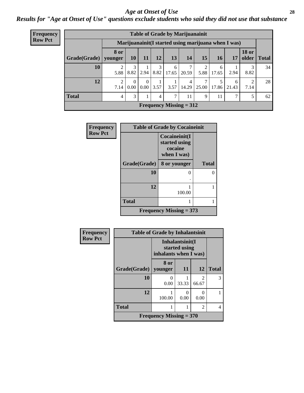#### *Age at Onset of Use* **28**

*Results for "Age at Onset of Use" questions exclude students who said they did not use that substance*

| Frequency      |                        | <b>Table of Grade by Marijuanainit</b> |                                                      |           |           |            |                           |                 |            |            |                               |    |
|----------------|------------------------|----------------------------------------|------------------------------------------------------|-----------|-----------|------------|---------------------------|-----------------|------------|------------|-------------------------------|----|
| <b>Row Pct</b> |                        |                                        | Marijuanainit (I started using marijuana when I was) |           |           |            |                           |                 |            |            |                               |    |
|                | Grade(Grade)   younger | <b>8 or</b>                            | <b>10</b>                                            | 11        | <b>12</b> | 13         | 14                        | 15 <sup>1</sup> | 16         | 17         | <b>18 or</b><br>older   Total |    |
|                | 10                     | 5.88                                   | 8.82                                                 | 2.94      | 8.82      | 6<br>17.65 | 20.59                     | 5.88            | 6<br>17.65 | 2.94       | 3<br>8.82                     | 34 |
|                | 12                     | 7.14                                   | 0<br>0.00                                            | 0<br>0.00 | 3.57      | 3.57       | 4<br>14.29                | 25.00           | 17.86      | 6<br>21.43 | $\overline{2}$<br>7.14        | 28 |
|                | <b>Total</b>           | 4                                      | 3                                                    |           | 4         | 7          | 11                        | 9               | 11         |            | 5                             | 62 |
|                |                        |                                        |                                                      |           |           |            | Frequency Missing $= 312$ |                 |            |            |                               |    |

| <b>Frequency</b> |              | <b>Table of Grade by Cocaineinit</b>                     |              |  |  |  |  |  |
|------------------|--------------|----------------------------------------------------------|--------------|--|--|--|--|--|
| <b>Row Pct</b>   |              | Cocaineinit(I<br>started using<br>cocaine<br>when I was) |              |  |  |  |  |  |
|                  | Grade(Grade) | 8 or younger                                             | <b>Total</b> |  |  |  |  |  |
|                  | 10           | 0                                                        | 0            |  |  |  |  |  |
|                  | 12           | 100.00                                                   |              |  |  |  |  |  |
|                  | <b>Total</b> |                                                          |              |  |  |  |  |  |
|                  |              | Frequency Missing $= 373$                                |              |  |  |  |  |  |

| Frequency      | <b>Table of Grade by Inhalantsinit</b> |                                |                                  |                         |              |
|----------------|----------------------------------------|--------------------------------|----------------------------------|-------------------------|--------------|
| <b>Row Pct</b> |                                        | inhalants when I was)          | Inhalantsinit(I<br>started using |                         |              |
|                | Grade(Grade)   younger                 | 8 or                           | <b>11</b>                        | 12                      | <b>Total</b> |
|                | 10                                     | 0<br>0.00                      | 33.33                            | $\mathfrak{D}$<br>66.67 | 3            |
|                | 12                                     | 100.00                         | 0.00                             | $\mathbf{0}$<br>0.00    | 1            |
|                | <b>Total</b>                           |                                |                                  | 2                       | 4            |
|                |                                        | <b>Frequency Missing = 370</b> |                                  |                         |              |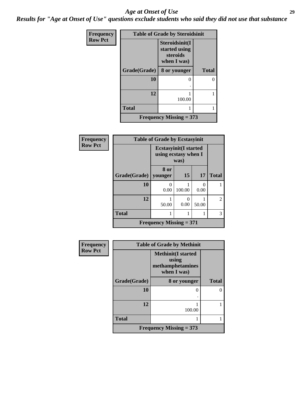#### *Age at Onset of Use* **29**

*Results for "Age at Onset of Use" questions exclude students who said they did not use that substance*

| Frequency      | <b>Table of Grade by Steroidsinit</b> |                                                            |              |  |
|----------------|---------------------------------------|------------------------------------------------------------|--------------|--|
| <b>Row Pct</b> |                                       | Steroidsinit(I<br>started using<br>steroids<br>when I was) |              |  |
|                | Grade(Grade)                          | 8 or younger                                               | <b>Total</b> |  |
|                | 10                                    | $\theta$                                                   |              |  |
|                |                                       |                                                            |              |  |
|                | 12                                    | 100.00                                                     |              |  |
|                | <b>Total</b>                          |                                                            |              |  |
|                |                                       | Frequency Missing $= 373$                                  |              |  |

| Frequency      | <b>Table of Grade by Ecstasyinit</b> |                                                               |           |       |                |
|----------------|--------------------------------------|---------------------------------------------------------------|-----------|-------|----------------|
| <b>Row Pct</b> |                                      | <b>Ecstasyinit</b> (I started<br>using ecstasy when I<br>was) |           |       |                |
|                | Grade(Grade)                         | 8 or<br>younger                                               | 15        | 17    | <b>Total</b>   |
|                | 10                                   | 0<br>0.00                                                     | 100.00    | 0.00  |                |
|                | 12                                   | 50.00                                                         | 0<br>0.00 | 50.00 | $\mathfrak{D}$ |
|                | <b>Total</b>                         | 1                                                             |           | 1     | 3              |
|                |                                      | <b>Frequency Missing = 371</b>                                |           |       |                |

| Frequency      | <b>Table of Grade by Methinit</b> |                                                                       |              |  |
|----------------|-----------------------------------|-----------------------------------------------------------------------|--------------|--|
| <b>Row Pct</b> |                                   | <b>Methinit(I started</b><br>using<br>methamphetamines<br>when I was) |              |  |
|                | Grade(Grade)                      | 8 or younger                                                          | <b>Total</b> |  |
|                | 10                                | O                                                                     |              |  |
|                |                                   |                                                                       |              |  |
|                | 12                                | 100.00                                                                |              |  |
|                | <b>Total</b>                      |                                                                       |              |  |
|                |                                   | <b>Frequency Missing = 373</b>                                        |              |  |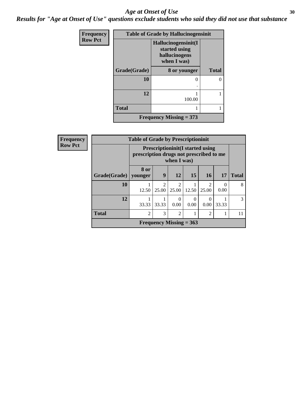#### Age at Onset of Use **30**

*Results for "Age at Onset of Use" questions exclude students who said they did not use that substance*

| Frequency      | <b>Table of Grade by Hallucinogensinit</b> |                                                                      |              |  |
|----------------|--------------------------------------------|----------------------------------------------------------------------|--------------|--|
| <b>Row Pct</b> |                                            | Hallucinogensinit(I<br>started using<br>hallucinogens<br>when I was) |              |  |
|                | Grade(Grade)                               | 8 or younger                                                         | <b>Total</b> |  |
|                | 10                                         | $\theta$                                                             | 0            |  |
|                |                                            |                                                                      |              |  |
|                | 12                                         | 100.00                                                               |              |  |
|                | <b>Total</b>                               |                                                                      |              |  |
|                |                                            | Frequency Missing $= 373$                                            |              |  |

| Frequency      | <b>Table of Grade by Prescriptioninit</b> |                |                                                                                                    |                                      |                           |                         |           |              |
|----------------|-------------------------------------------|----------------|----------------------------------------------------------------------------------------------------|--------------------------------------|---------------------------|-------------------------|-----------|--------------|
| <b>Row Pct</b> |                                           |                | <b>Prescriptioninit (I started using</b><br>prescription drugs not prescribed to me<br>when I was) |                                      |                           |                         |           |              |
|                | Grade(Grade)   younger                    | 8 or           | 9                                                                                                  | 12                                   | 15                        | <b>16</b>               | 17        | <b>Total</b> |
|                | 10                                        | 12.50          | ာ<br>25.00                                                                                         | $\mathcal{D}_{\mathcal{L}}$<br>25.00 | 12.50                     | $\mathfrak{D}$<br>25.00 | 0<br>0.00 | 8            |
|                | 12                                        | 33.33          | 33.33                                                                                              | 0<br>0.00                            | 0<br>0.00                 | $\Omega$<br>0.00        | 33.33     | 3            |
|                | <b>Total</b>                              | $\mathfrak{D}$ | 3                                                                                                  | $\mathfrak{D}$                       |                           | $\overline{2}$          |           | 11           |
|                |                                           |                |                                                                                                    |                                      | Frequency Missing $= 363$ |                         |           |              |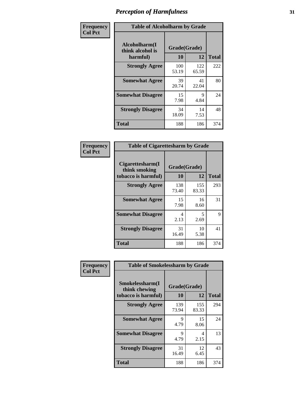| Frequency      | <b>Table of Alcoholharm by Grade</b>          |                    |              |              |
|----------------|-----------------------------------------------|--------------------|--------------|--------------|
| <b>Col Pct</b> | Alcoholharm(I<br>think alcohol is<br>harmful) | Grade(Grade)<br>10 | 12           | <b>Total</b> |
|                | <b>Strongly Agree</b>                         | 100<br>53.19       | 122<br>65.59 | 222          |
|                | <b>Somewhat Agree</b>                         | 39<br>20.74        | 41<br>22.04  | 80           |
|                | <b>Somewhat Disagree</b>                      | 15<br>7.98         | 9<br>4.84    | 24           |
|                | <b>Strongly Disagree</b>                      | 34<br>18.09        | 14<br>7.53   | 48           |
|                | <b>Total</b>                                  | 188                | 186          | 374          |

| <b>Table of Cigarettesharm by Grade</b>                  |                    |              |              |  |  |
|----------------------------------------------------------|--------------------|--------------|--------------|--|--|
| Cigarettesharm(I<br>think smoking<br>tobacco is harmful) | Grade(Grade)<br>10 | 12           | <b>Total</b> |  |  |
| <b>Strongly Agree</b>                                    | 138<br>73.40       | 155<br>83.33 | 293          |  |  |
| <b>Somewhat Agree</b>                                    | 15<br>7.98         | 16<br>8.60   | 31           |  |  |
| <b>Somewhat Disagree</b>                                 | 4<br>2.13          | 5<br>2.69    | 9            |  |  |
| <b>Strongly Disagree</b>                                 | 31<br>16.49        | 10<br>5.38   | 41           |  |  |
| <b>Total</b>                                             | 188                | 186          | 374          |  |  |

| Frequency      | <b>Table of Smokelessharm by Grade</b>                  |                    |              |              |  |
|----------------|---------------------------------------------------------|--------------------|--------------|--------------|--|
| <b>Col Pct</b> | Smokelessharm(I<br>think chewing<br>tobacco is harmful) | Grade(Grade)<br>10 | 12           | <b>Total</b> |  |
|                | <b>Strongly Agree</b>                                   | 139<br>73.94       | 155<br>83.33 | 294          |  |
|                | <b>Somewhat Agree</b>                                   | 9<br>4.79          | 15<br>8.06   | 24           |  |
|                | <b>Somewhat Disagree</b>                                | 9<br>4.79          | 4<br>2.15    | 13           |  |
|                | <b>Strongly Disagree</b>                                | 31<br>16.49        | 12<br>6.45   | 43           |  |
|                | <b>Total</b>                                            | 188                | 186          | 374          |  |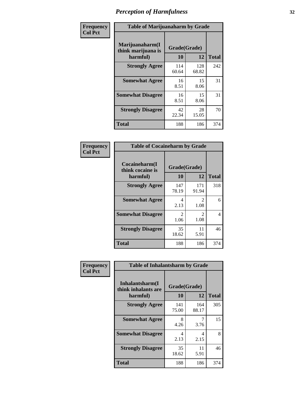| Frequency      | <b>Table of Marijuanaharm by Grade</b>            |                    |              |              |
|----------------|---------------------------------------------------|--------------------|--------------|--------------|
| <b>Col Pct</b> | Marijuanaharm(I<br>think marijuana is<br>harmful) | Grade(Grade)<br>10 | 12           | <b>Total</b> |
|                | <b>Strongly Agree</b>                             | 114<br>60.64       | 128<br>68.82 | 242          |
|                | <b>Somewhat Agree</b>                             | 16<br>8.51         | 15<br>8.06   | 31           |
|                | <b>Somewhat Disagree</b>                          | 16<br>8.51         | 15<br>8.06   | 31           |
|                | <b>Strongly Disagree</b>                          | 42<br>22.34        | 28<br>15.05  | 70           |
|                | <b>Total</b>                                      | 188                | 186          | 374          |

| <b>Table of Cocaineharm by Grade</b>          |                    |              |              |  |  |
|-----------------------------------------------|--------------------|--------------|--------------|--|--|
| Cocaineharm(I<br>think cocaine is<br>harmful) | Grade(Grade)<br>10 | 12           | <b>Total</b> |  |  |
| <b>Strongly Agree</b>                         | 147<br>78.19       | 171<br>91.94 | 318          |  |  |
| <b>Somewhat Agree</b>                         | 4<br>2.13          | 2<br>1.08    | 6            |  |  |
| <b>Somewhat Disagree</b>                      | 2<br>1.06          | 2<br>1.08    | 4            |  |  |
| <b>Strongly Disagree</b>                      | 35<br>18.62        | 11<br>5.91   | 46           |  |  |
| <b>Total</b>                                  | 188                | 186          | 374          |  |  |

| Frequency      | <b>Table of Inhalantsharm by Grade</b>             |                        |              |              |
|----------------|----------------------------------------------------|------------------------|--------------|--------------|
| <b>Col Pct</b> | Inhalantsharm(I<br>think inhalants are<br>harmful) | Grade(Grade)<br>10     | 12           | <b>Total</b> |
|                | <b>Strongly Agree</b>                              | 141<br>75.00           | 164<br>88.17 | 305          |
|                | <b>Somewhat Agree</b>                              | 8<br>4.26              | 3.76         | 15           |
|                | <b>Somewhat Disagree</b>                           | $\overline{4}$<br>2.13 | 4<br>2.15    | 8            |
|                | <b>Strongly Disagree</b>                           | 35<br>18.62            | 11<br>5.91   | 46           |
|                | <b>Total</b>                                       | 188                    | 186          | 374          |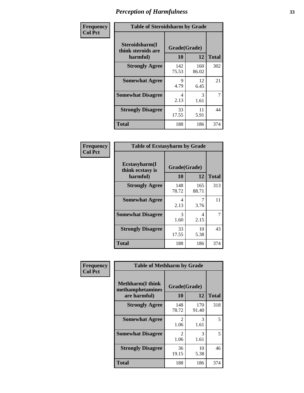| Frequency      | <b>Table of Steroidsharm by Grade</b>            |                    |              |              |
|----------------|--------------------------------------------------|--------------------|--------------|--------------|
| <b>Col Pct</b> | Steroidsharm(I<br>think steroids are<br>harmful) | Grade(Grade)<br>10 | 12           | <b>Total</b> |
|                | <b>Strongly Agree</b>                            | 142<br>75.53       | 160<br>86.02 | 302          |
|                | <b>Somewhat Agree</b>                            | 9<br>4.79          | 12<br>6.45   | 21           |
|                | <b>Somewhat Disagree</b>                         | 4<br>2.13          | 3<br>1.61    | 7            |
|                | <b>Strongly Disagree</b>                         | 33<br>17.55        | 11<br>5.91   | 44           |
|                | <b>Total</b>                                     | 188                | 186          | 374          |

| <b>Table of Ecstasyharm by Grade</b>          |                    |              |     |  |
|-----------------------------------------------|--------------------|--------------|-----|--|
| Ecstasyharm(I<br>think ecstasy is<br>harmful) | Grade(Grade)<br>10 | <b>Total</b> |     |  |
| <b>Strongly Agree</b>                         | 148<br>78.72       | 165<br>88.71 | 313 |  |
| <b>Somewhat Agree</b>                         | 4<br>2.13          | 3.76         | 11  |  |
| <b>Somewhat Disagree</b>                      | 3<br>1.60          | 4<br>2.15    | 7   |  |
| <b>Strongly Disagree</b>                      | 33<br>17.55        | 10<br>5.38   | 43  |  |
| <b>Total</b>                                  | 188                | 186          | 374 |  |

| Frequency      | <b>Table of Methharm by Grade</b>                            |                           |              |              |
|----------------|--------------------------------------------------------------|---------------------------|--------------|--------------|
| <b>Col Pct</b> | <b>Methharm</b> (I think<br>methamphetamines<br>are harmful) | Grade(Grade)<br><b>10</b> | 12           | <b>Total</b> |
|                | <b>Strongly Agree</b>                                        | 148<br>78.72              | 170<br>91.40 | 318          |
|                | <b>Somewhat Agree</b>                                        | 2<br>1.06                 | 3<br>1.61    | 5            |
|                | <b>Somewhat Disagree</b>                                     | 2<br>1.06                 | 3<br>1.61    | 5            |
|                | <b>Strongly Disagree</b>                                     | 36<br>19.15               | 10<br>5.38   | 46           |
|                | Total                                                        | 188                       | 186          | 374          |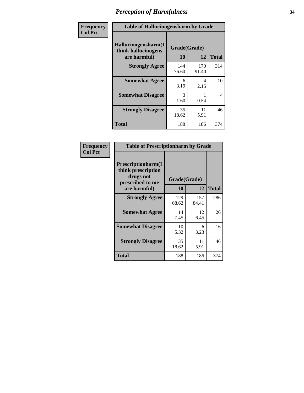| Frequency      | <b>Table of Hallucinogensharm by Grade</b>                 |                    |              |              |
|----------------|------------------------------------------------------------|--------------------|--------------|--------------|
| <b>Col Pct</b> | Hallucinogensharm(I<br>think hallucinogens<br>are harmful) | Grade(Grade)<br>10 | 12           | <b>Total</b> |
|                | <b>Strongly Agree</b>                                      | 144<br>76.60       | 170<br>91.40 | 314          |
|                | <b>Somewhat Agree</b>                                      | 6<br>3.19          | 4<br>2.15    | 10           |
|                | <b>Somewhat Disagree</b>                                   | 3<br>1.60          | 0.54         | 4            |
|                | <b>Strongly Disagree</b>                                   | 35<br>18.62        | 11<br>5.91   | 46           |
|                | <b>Total</b>                                               | 188                | 186          | 374          |

| <b>Table of Prescriptionharm by Grade</b>                                         |              |              |              |  |
|-----------------------------------------------------------------------------------|--------------|--------------|--------------|--|
| <b>Prescriptionharm</b> (I<br>think prescription<br>drugs not<br>prescribed to me | Grade(Grade) |              |              |  |
| are harmful)                                                                      | 10           | 12           | <b>Total</b> |  |
| <b>Strongly Agree</b>                                                             | 129<br>68.62 | 157<br>84.41 | 286          |  |
| <b>Somewhat Agree</b>                                                             | 14<br>7.45   | 12<br>6.45   | 26           |  |
| <b>Somewhat Disagree</b>                                                          | 10<br>5.32   | 6<br>3.23    | 16           |  |
| <b>Strongly Disagree</b>                                                          | 35<br>18.62  | 11<br>5.91   | 46           |  |
| <b>Total</b>                                                                      | 188          | 186          | 374          |  |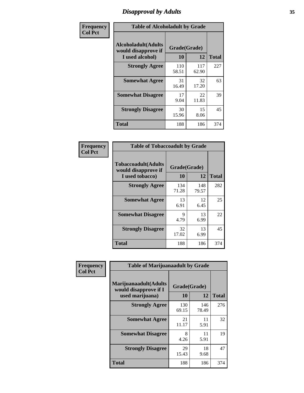# *Disapproval by Adults* **35**

| Frequency      | <b>Table of Alcoholadult by Grade</b>                                 |                    |              |              |
|----------------|-----------------------------------------------------------------------|--------------------|--------------|--------------|
| <b>Col Pct</b> | <b>Alcoholadult</b> (Adults<br>would disapprove if<br>I used alcohol) | Grade(Grade)<br>10 | 12           | <b>Total</b> |
|                | <b>Strongly Agree</b>                                                 | 110<br>58.51       | 117<br>62.90 | 227          |
|                | <b>Somewhat Agree</b>                                                 | 31<br>16.49        | 32<br>17.20  | 63           |
|                | <b>Somewhat Disagree</b>                                              | 17<br>9.04         | 22<br>11.83  | 39           |
|                | <b>Strongly Disagree</b>                                              | 30<br>15.96        | 15<br>8.06   | 45           |
|                | <b>Total</b>                                                          | 188                | 186          | 374          |

| <b>Table of Tobaccoadult by Grade</b>                                                             |              |              |     |  |  |
|---------------------------------------------------------------------------------------------------|--------------|--------------|-----|--|--|
| <b>Tobaccoadult</b> (Adults<br>Grade(Grade)<br>would disapprove if<br>10<br>12<br>I used tobacco) |              |              |     |  |  |
| <b>Strongly Agree</b>                                                                             | 134<br>71.28 | 148<br>79.57 | 282 |  |  |
| <b>Somewhat Agree</b>                                                                             | 13<br>6.91   | 12<br>6.45   | 25  |  |  |
| <b>Somewhat Disagree</b>                                                                          | 9<br>4.79    | 13<br>6.99   | 22  |  |  |
| <b>Strongly Disagree</b>                                                                          | 32<br>17.02  | 13<br>6.99   | 45  |  |  |
| Total                                                                                             | 188          | 186          | 374 |  |  |

| Frequency      | <b>Table of Marijuanaadult by Grade</b>                           |                    |              |              |
|----------------|-------------------------------------------------------------------|--------------------|--------------|--------------|
| <b>Col Pct</b> | Marijuanaadult(Adults<br>would disapprove if I<br>used marijuana) | Grade(Grade)<br>10 | 12           | <b>Total</b> |
|                | <b>Strongly Agree</b>                                             | 130<br>69.15       | 146<br>78.49 | 276          |
|                | <b>Somewhat Agree</b>                                             | 21<br>11.17        | 11<br>5.91   | 32           |
|                | <b>Somewhat Disagree</b>                                          | 8<br>4.26          | 11<br>5.91   | 19           |
|                | <b>Strongly Disagree</b>                                          | 29<br>15.43        | 18<br>9.68   | 47           |
|                | <b>Total</b>                                                      | 188                | 186          | 374          |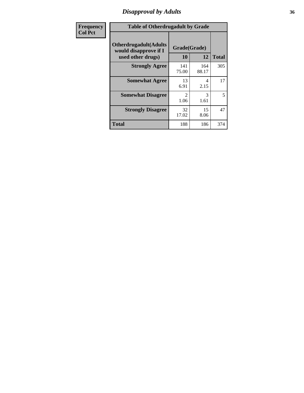# *Disapproval by Adults* **36**

| <b>Frequency</b> | <b>Table of Otherdrugadult by Grade</b>                                     |                        |              |              |
|------------------|-----------------------------------------------------------------------------|------------------------|--------------|--------------|
| <b>Col Pct</b>   | <b>Otherdrugadult</b> (Adults<br>would disapprove if I<br>used other drugs) | Grade(Grade)<br>10     | 12           | <b>Total</b> |
|                  | <b>Strongly Agree</b>                                                       | 141<br>75.00           | 164<br>88.17 | 305          |
|                  | <b>Somewhat Agree</b>                                                       | 13<br>6.91             | 4<br>2.15    | 17           |
|                  | <b>Somewhat Disagree</b>                                                    | $\mathfrak{D}$<br>1.06 | 3<br>1.61    | 5            |
|                  | <b>Strongly Disagree</b>                                                    | 32<br>17.02            | 15<br>8.06   | 47           |
|                  | <b>Total</b>                                                                | 188                    | 186          | 374          |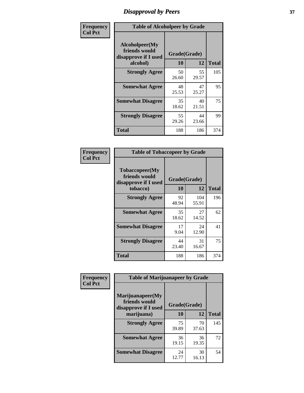# *Disapproval by Peers* **37**

| Frequency      | <b>Table of Alcoholpeer by Grade</b>                    |              |             |              |  |
|----------------|---------------------------------------------------------|--------------|-------------|--------------|--|
| <b>Col Pct</b> | Alcoholpeer(My<br>friends would<br>disapprove if I used | Grade(Grade) |             |              |  |
|                | alcohol)                                                | 10           | 12          | <b>Total</b> |  |
|                | <b>Strongly Agree</b>                                   | 50<br>26.60  | 55<br>29.57 | 105          |  |
|                | <b>Somewhat Agree</b>                                   | 48<br>25.53  | 47<br>25.27 | 95           |  |
|                | <b>Somewhat Disagree</b>                                | 35<br>18.62  | 40<br>21.51 | 75           |  |
|                | <b>Strongly Disagree</b>                                | 55<br>29.26  | 44<br>23.66 | 99           |  |
|                | Total                                                   | 188          | 186         | 374          |  |

| Frequency      | <b>Table of Tobaccopeer by Grade</b>                                |                    |              |              |
|----------------|---------------------------------------------------------------------|--------------------|--------------|--------------|
| <b>Col Pct</b> | Tobaccopeer(My<br>friends would<br>disapprove if I used<br>tobacco) | Grade(Grade)<br>10 | 12           | <b>Total</b> |
|                | <b>Strongly Agree</b>                                               | 92<br>48.94        | 104<br>55.91 | 196          |
|                | <b>Somewhat Agree</b>                                               | 35<br>18.62        | 27<br>14.52  | 62           |
|                | <b>Somewhat Disagree</b>                                            | 17<br>9.04         | 24<br>12.90  | 41           |
|                | <b>Strongly Disagree</b>                                            | 44<br>23.40        | 31<br>16.67  | 75           |
|                | Total                                                               | 188                | 186          | 374          |

| Frequency      | <b>Table of Marijuanapeer by Grade</b> |              |             |              |
|----------------|----------------------------------------|--------------|-------------|--------------|
| <b>Col Pct</b> | Marijuanapeer(My<br>friends would      | Grade(Grade) |             |              |
|                | disapprove if I used<br>marijuana)     | 10           | 12          | <b>Total</b> |
|                | <b>Strongly Agree</b>                  | 75<br>39.89  | 70<br>37.63 | 145          |
|                | <b>Somewhat Agree</b>                  | 36<br>19.15  | 36<br>19.35 | 72           |
|                | <b>Somewhat Disagree</b>               | 24<br>12.77  | 30<br>16.13 | 54           |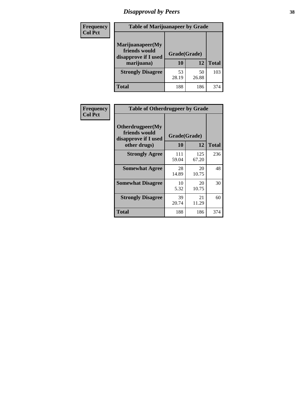# *Disapproval by Peers* **38**

| <b>Frequency</b> | <b>Table of Marijuanapeer by Grade</b>                                  |                           |             |              |  |
|------------------|-------------------------------------------------------------------------|---------------------------|-------------|--------------|--|
| <b>Col Pct</b>   | Marijuanapeer(My<br>friends would<br>disapprove if I used<br>marijuana) | Grade(Grade)<br><b>10</b> | 12          | <b>Total</b> |  |
|                  | <b>Strongly Disagree</b>                                                | 53<br>28.19               | 50<br>26.88 | 103          |  |
|                  | <b>Total</b>                                                            | 188                       | 186         | 374          |  |

| <b>Frequency</b> | <b>Table of Otherdrugpeer by Grade</b>                                    |                    |              |              |
|------------------|---------------------------------------------------------------------------|--------------------|--------------|--------------|
| <b>Col Pct</b>   | Otherdrugpeer(My<br>friends would<br>disapprove if I used<br>other drugs) | Grade(Grade)<br>10 | 12           | <b>Total</b> |
|                  |                                                                           |                    |              |              |
|                  | <b>Strongly Agree</b>                                                     | 111<br>59.04       | 125<br>67.20 | 236          |
|                  | <b>Somewhat Agree</b>                                                     | 28<br>14.89        | 20<br>10.75  | 48           |
|                  | <b>Somewhat Disagree</b>                                                  | 10<br>5.32         | 20<br>10.75  | 30           |
|                  | <b>Strongly Disagree</b>                                                  | 39<br>20.74        | 21<br>11.29  | 60           |
|                  | Total                                                                     | 188                | 186          | 374          |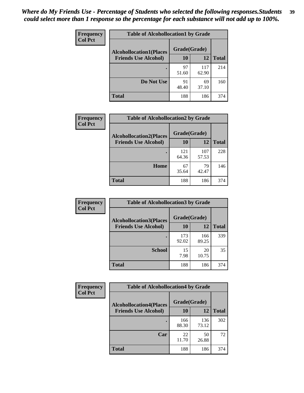| Frequency      | <b>Table of Alcohollocation1 by Grade</b> |              |              |              |
|----------------|-------------------------------------------|--------------|--------------|--------------|
| <b>Col Pct</b> | <b>Alcohollocation1(Places</b>            | Grade(Grade) |              |              |
|                | <b>Friends Use Alcohol)</b>               | 10           | 12           | <b>Total</b> |
|                |                                           | 97<br>51.60  | 117<br>62.90 | 214          |
|                | Do Not Use                                | 91<br>48.40  | 69<br>37.10  | 160          |
|                | <b>Total</b>                              | 188          | 186          | 374          |

| Frequency      | <b>Table of Alcohollocation2 by Grade</b>                     |                    |              |              |
|----------------|---------------------------------------------------------------|--------------------|--------------|--------------|
| <b>Col Pct</b> | <b>Alcohollocation2(Places</b><br><b>Friends Use Alcohol)</b> | Grade(Grade)<br>10 | 12           | <b>Total</b> |
|                |                                                               | 121<br>64.36       | 107<br>57.53 | 228          |
|                | Home                                                          | 67<br>35.64        | 79<br>42.47  | 146          |
|                | <b>Total</b>                                                  | 188                | 186          | 374          |

| Frequency<br><b>Col Pct</b> | <b>Table of Alcohollocation 3 by Grade</b>                    |                    |              |              |  |
|-----------------------------|---------------------------------------------------------------|--------------------|--------------|--------------|--|
|                             | <b>Alcohollocation3(Places</b><br><b>Friends Use Alcohol)</b> | Grade(Grade)<br>10 | 12           | <b>Total</b> |  |
|                             |                                                               | 173<br>92.02       | 166<br>89.25 | 339          |  |
|                             | <b>School</b>                                                 | 15<br>7.98         | 20<br>10.75  | 35           |  |
|                             | <b>Total</b>                                                  | 188                | 186          | 374          |  |

| Frequency      | <b>Table of Alcohollocation4 by Grade</b> |              |              |              |  |
|----------------|-------------------------------------------|--------------|--------------|--------------|--|
| <b>Col Pct</b> | <b>Alcohollocation4(Places</b>            | Grade(Grade) |              |              |  |
|                | <b>Friends Use Alcohol)</b>               | 10           | 12           | <b>Total</b> |  |
|                |                                           | 166<br>88.30 | 136<br>73.12 | 302          |  |
|                | Car                                       | 22<br>11.70  | 50<br>26.88  | 72           |  |
|                | <b>Total</b>                              | 188          | 186          | 374          |  |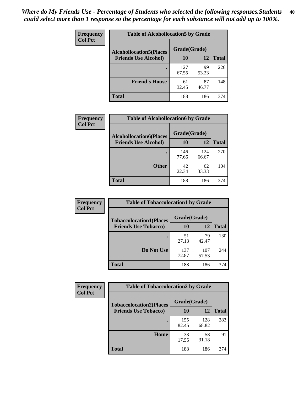| Frequency<br><b>Col Pct</b> | <b>Table of Alcohollocation5 by Grade</b> |              |             |              |  |
|-----------------------------|-------------------------------------------|--------------|-------------|--------------|--|
|                             | <b>Alcohollocation5(Places</b>            | Grade(Grade) |             |              |  |
|                             | <b>Friends Use Alcohol)</b>               | 10           | 12          | <b>Total</b> |  |
|                             |                                           | 127<br>67.55 | 99<br>53.23 | 226          |  |
|                             | <b>Friend's House</b>                     | 61<br>32.45  | 87<br>46.77 | 148          |  |
|                             | <b>Total</b>                              | 188          | 186         | 374          |  |

| Frequency      | <b>Table of Alcohollocation6 by Grade</b>                     |                    |              |              |
|----------------|---------------------------------------------------------------|--------------------|--------------|--------------|
| <b>Col Pct</b> | <b>Alcohollocation6(Places</b><br><b>Friends Use Alcohol)</b> | Grade(Grade)<br>10 | 12           | <b>Total</b> |
|                |                                                               |                    |              |              |
|                |                                                               | 146<br>77.66       | 124<br>66.67 | 270          |
|                | <b>Other</b>                                                  | 42<br>22.34        | 62<br>33.33  | 104          |
|                | Total                                                         | 188                | 186          | 374          |

| Frequency      | <b>Table of Tobaccolocation1 by Grade</b> |              |              |              |
|----------------|-------------------------------------------|--------------|--------------|--------------|
| <b>Col Pct</b> | <b>Tobaccolocation1(Places</b>            | Grade(Grade) |              |              |
|                | <b>Friends Use Tobacco)</b>               | 10           | 12           | <b>Total</b> |
|                |                                           | 51<br>27.13  | 79<br>42.47  | 130          |
|                | Do Not Use                                | 137<br>72.87 | 107<br>57.53 | 244          |
|                | <b>Total</b>                              | 188          | 186          | 374          |

| Frequency      | <b>Table of Tobaccolocation2 by Grade</b> |              |              |              |  |
|----------------|-------------------------------------------|--------------|--------------|--------------|--|
| <b>Col Pct</b> | <b>Tobaccolocation2(Places</b>            | Grade(Grade) |              |              |  |
|                | <b>Friends Use Tobacco)</b>               | 10           | 12           | <b>Total</b> |  |
|                |                                           | 155<br>82.45 | 128<br>68.82 | 283          |  |
|                | Home                                      | 33<br>17.55  | 58<br>31.18  | 91           |  |
|                | <b>Total</b>                              | 188          | 186          | 374          |  |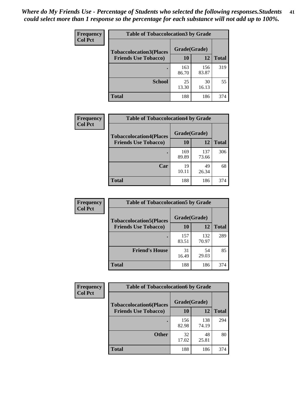| Frequency      | <b>Table of Tobaccolocation3 by Grade</b> |              |              |              |
|----------------|-------------------------------------------|--------------|--------------|--------------|
| <b>Col Pct</b> | <b>Tobaccolocation3(Places</b>            | Grade(Grade) |              |              |
|                | <b>Friends Use Tobacco)</b>               | 10           | 12           | <b>Total</b> |
|                |                                           | 163<br>86.70 | 156<br>83.87 | 319          |
|                | <b>School</b>                             | 25<br>13.30  | 30<br>16.13  | 55           |
|                | <b>Total</b>                              | 188          | 186          | 374          |

| <b>Frequency</b><br><b>Col Pct</b> | <b>Table of Tobaccolocation4 by Grade</b> |              |              |              |
|------------------------------------|-------------------------------------------|--------------|--------------|--------------|
|                                    | <b>Tobaccolocation4(Places</b>            | Grade(Grade) |              |              |
|                                    | <b>Friends Use Tobacco)</b>               | 10           | 12           | <b>Total</b> |
|                                    |                                           | 169<br>89.89 | 137<br>73.66 | 306          |
|                                    | Car                                       | 19<br>10.11  | 49<br>26.34  | 68           |
|                                    | <b>Total</b>                              | 188          | 186          | 374          |

| Frequency<br><b>Col Pct</b> | <b>Table of Tobaccolocation5 by Grade</b>                     |                    |              |              |
|-----------------------------|---------------------------------------------------------------|--------------------|--------------|--------------|
|                             | <b>Tobaccolocation5(Places</b><br><b>Friends Use Tobacco)</b> | Grade(Grade)<br>10 | <b>12</b>    | <b>Total</b> |
|                             |                                                               | 157<br>83.51       | 132<br>70.97 | 289          |
|                             | <b>Friend's House</b>                                         | 31<br>16.49        | 54<br>29.03  | 85           |
|                             | <b>Total</b>                                                  | 188                | 186          | 374          |

| <b>Frequency</b> | <b>Table of Tobaccolocation6 by Grade</b> |              |              |              |  |
|------------------|-------------------------------------------|--------------|--------------|--------------|--|
| <b>Col Pct</b>   | <b>Tobaccolocation6(Places</b>            | Grade(Grade) |              |              |  |
|                  | <b>Friends Use Tobacco)</b>               | 10           | 12           | <b>Total</b> |  |
|                  |                                           | 156<br>82.98 | 138<br>74.19 | 294          |  |
|                  | <b>Other</b>                              | 32<br>17.02  | 48<br>25.81  | 80           |  |
|                  | <b>Total</b>                              | 188          | 186          | 374          |  |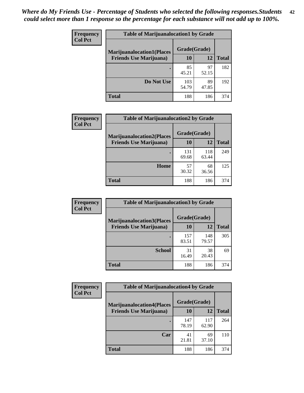| <b>Frequency</b> | <b>Table of Marijuanalocation1 by Grade</b> |              |             |              |
|------------------|---------------------------------------------|--------------|-------------|--------------|
| <b>Col Pct</b>   | <b>Marijuanalocation1(Places</b>            | Grade(Grade) |             |              |
|                  | <b>Friends Use Marijuana</b> )              | 10           | 12          | <b>Total</b> |
|                  |                                             | 85<br>45.21  | 97<br>52.15 | 182          |
|                  | Do Not Use                                  | 103<br>54.79 | 89<br>47.85 | 192          |
|                  | <b>Total</b>                                | 188          | 186         | 374          |

| <b>Frequency</b> | <b>Table of Marijuanalocation2 by Grade</b>                        |                    |              |              |
|------------------|--------------------------------------------------------------------|--------------------|--------------|--------------|
| <b>Col Pct</b>   | <b>Marijuanalocation2(Places</b><br><b>Friends Use Marijuana</b> ) | Grade(Grade)<br>10 | 12           | <b>Total</b> |
|                  |                                                                    | 131<br>69.68       | 118<br>63.44 | 249          |
|                  | Home                                                               | 57<br>30.32        | 68<br>36.56  | 125          |
|                  | <b>Total</b>                                                       | 188                | 186          | 374          |

| <b>Frequency</b> | <b>Table of Marijuanalocation3 by Grade</b> |              |              |              |
|------------------|---------------------------------------------|--------------|--------------|--------------|
| <b>Col Pct</b>   | <b>Marijuanalocation3</b> (Places           | Grade(Grade) |              |              |
|                  | <b>Friends Use Marijuana</b> )              | 10           | 12           | <b>Total</b> |
|                  |                                             | 157<br>83.51 | 148<br>79.57 | 305          |
|                  | <b>School</b>                               | 31<br>16.49  | 38<br>20.43  | 69           |
|                  | <b>Total</b>                                | 188          | 186          | 374          |

| <b>Frequency</b> | <b>Table of Marijuanalocation4 by Grade</b> |              |              |              |  |
|------------------|---------------------------------------------|--------------|--------------|--------------|--|
| <b>Col Pct</b>   | <b>Marijuanalocation4(Places</b>            | Grade(Grade) |              |              |  |
|                  | <b>Friends Use Marijuana</b> )              | <b>10</b>    | 12           | <b>Total</b> |  |
|                  |                                             | 147<br>78.19 | 117<br>62.90 | 264          |  |
|                  | Car                                         | 41<br>21.81  | 69<br>37.10  | 110          |  |
|                  | <b>Total</b>                                | 188          | 186          | 374          |  |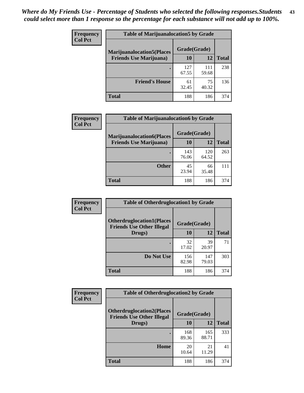| <b>Frequency</b> | <b>Table of Marijuanalocation5 by Grade</b> |              |              |              |
|------------------|---------------------------------------------|--------------|--------------|--------------|
| <b>Col Pct</b>   | <b>Marijuanalocation5</b> (Places           | Grade(Grade) |              |              |
|                  | <b>Friends Use Marijuana</b> )              | 10           | 12           | <b>Total</b> |
|                  |                                             | 127<br>67.55 | 111<br>59.68 | 238          |
|                  | <b>Friend's House</b>                       | 61<br>32.45  | 75<br>40.32  | 136          |
|                  | <b>Total</b>                                | 188          | 186          | 374          |

| <b>Frequency</b> | <b>Table of Marijuanalocation6 by Grade</b>                        |                    |              |              |
|------------------|--------------------------------------------------------------------|--------------------|--------------|--------------|
| <b>Col Pct</b>   | <b>Marijuanalocation6(Places</b><br><b>Friends Use Marijuana</b> ) | Grade(Grade)<br>10 | 12           | <b>Total</b> |
|                  |                                                                    | 143<br>76.06       | 120<br>64.52 | 263          |
|                  | <b>Other</b>                                                       | 45<br>23.94        | 66<br>35.48  | 111          |
|                  | <b>Total</b>                                                       | 188                | 186          | 374          |

| <b>Frequency</b> | <b>Table of Otherdruglocation1 by Grade</b>                          |              |              |              |
|------------------|----------------------------------------------------------------------|--------------|--------------|--------------|
| <b>Col Pct</b>   | <b>Otherdruglocation1(Places</b><br><b>Friends Use Other Illegal</b> | Grade(Grade) |              |              |
|                  | Drugs)                                                               | 10           | 12           | <b>Total</b> |
|                  |                                                                      | 32<br>17.02  | 39<br>20.97  | 71           |
|                  | Do Not Use                                                           | 156<br>82.98 | 147<br>79.03 | 303          |
|                  | <b>Total</b>                                                         | 188          | 186          | 374          |

| Frequency      | <b>Table of Otherdruglocation2 by Grade</b>                          |              |              |              |
|----------------|----------------------------------------------------------------------|--------------|--------------|--------------|
| <b>Col Pct</b> | <b>Otherdruglocation2(Places</b><br><b>Friends Use Other Illegal</b> | Grade(Grade) |              |              |
|                | Drugs)                                                               | 10           | 12           | <b>Total</b> |
|                |                                                                      | 168<br>89.36 | 165<br>88.71 | 333          |
|                | <b>Home</b>                                                          | 20<br>10.64  | 21<br>11.29  | 41           |
|                | <b>Total</b>                                                         | 188          | 186          | 374          |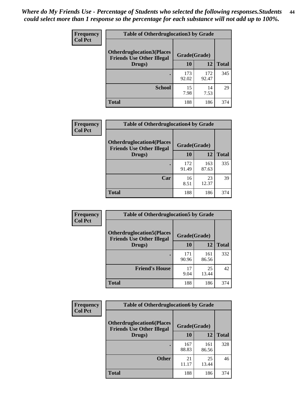| <b>Frequency</b> | <b>Table of Otherdruglocation3 by Grade</b>                          |              |              |              |
|------------------|----------------------------------------------------------------------|--------------|--------------|--------------|
| <b>Col Pct</b>   | <b>Otherdruglocation3(Places</b><br><b>Friends Use Other Illegal</b> | Grade(Grade) |              |              |
|                  | Drugs)                                                               | 10           | 12           | <b>Total</b> |
|                  |                                                                      | 173<br>92.02 | 172<br>92.47 | 345          |
|                  | <b>School</b>                                                        | 15<br>7.98   | 14<br>7.53   | 29           |
|                  | <b>Total</b>                                                         | 188          | 186          | 374          |

| <b>Frequency</b> | <b>Table of Otherdruglocation4 by Grade</b>                          |              |              |              |
|------------------|----------------------------------------------------------------------|--------------|--------------|--------------|
| <b>Col Pct</b>   | <b>Otherdruglocation4(Places</b><br><b>Friends Use Other Illegal</b> | Grade(Grade) |              |              |
|                  | Drugs)                                                               | 10           | 12           | <b>Total</b> |
|                  |                                                                      | 172<br>91.49 | 163<br>87.63 | 335          |
|                  | Car                                                                  | 16<br>8.51   | 23<br>12.37  | 39           |
|                  | <b>Total</b>                                                         | 188          | 186          | 374          |

| <b>Frequency</b> | <b>Table of Otherdruglocation5 by Grade</b>                          |              |              |              |
|------------------|----------------------------------------------------------------------|--------------|--------------|--------------|
| <b>Col Pct</b>   | <b>Otherdruglocation5(Places</b><br><b>Friends Use Other Illegal</b> | Grade(Grade) |              |              |
|                  | Drugs)                                                               | 10           | 12           | <b>Total</b> |
|                  |                                                                      | 171<br>90.96 | 161<br>86.56 | 332          |
|                  | <b>Friend's House</b>                                                | 17<br>9.04   | 25<br>13.44  | 42           |
|                  | Total                                                                | 188          | 186          | 374          |

| Frequency      | <b>Table of Otherdruglocation6 by Grade</b>                          |              |              |              |
|----------------|----------------------------------------------------------------------|--------------|--------------|--------------|
| <b>Col Pct</b> | <b>Otherdruglocation6(Places</b><br><b>Friends Use Other Illegal</b> | Grade(Grade) |              |              |
|                | Drugs)                                                               | 10           | 12           | <b>Total</b> |
|                |                                                                      | 167<br>88.83 | 161<br>86.56 | 328          |
|                | <b>Other</b>                                                         | 21<br>11.17  | 25<br>13.44  | 46           |
|                | <b>Total</b>                                                         | 188          | 186          | 374          |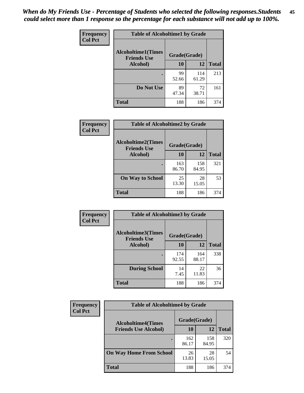| Frequency      | <b>Table of Alcoholtime1 by Grade</b> |              |              |              |
|----------------|---------------------------------------|--------------|--------------|--------------|
| <b>Col Pct</b> | <b>Alcoholtime1(Times</b>             | Grade(Grade) |              |              |
|                | <b>Friends Use</b><br>Alcohol)        | 10           | 12           | <b>Total</b> |
|                |                                       | 99<br>52.66  | 114<br>61.29 | 213          |
|                | Do Not Use                            | 89<br>47.34  | 72<br>38.71  | 161          |
|                | <b>Total</b>                          | 188          | 186          | 374          |

| Frequency      | <b>Table of Alcoholtime2 by Grade</b>           |              |              |              |
|----------------|-------------------------------------------------|--------------|--------------|--------------|
| <b>Col Pct</b> | <b>Alcoholtime2(Times</b><br><b>Friends Use</b> | Grade(Grade) |              |              |
|                | <b>Alcohol</b> )                                | 10           | 12           | <b>Total</b> |
|                |                                                 | 163<br>86.70 | 158<br>84.95 | 321          |
|                | <b>On Way to School</b>                         | 25<br>13.30  | 28<br>15.05  | 53           |
|                | <b>Total</b>                                    | 188          | 186          | 374          |

| Frequency<br><b>Col Pct</b> | <b>Table of Alcoholtime3 by Grade</b>                           |              |              |              |
|-----------------------------|-----------------------------------------------------------------|--------------|--------------|--------------|
|                             | <b>Alcoholtime3(Times</b><br>Grade(Grade)<br><b>Friends Use</b> |              |              |              |
|                             | Alcohol)                                                        | 10           | 12           | <b>Total</b> |
|                             |                                                                 | 174<br>92.55 | 164<br>88.17 | 338          |
|                             | <b>During School</b>                                            | 14<br>7.45   | 22<br>11.83  | 36           |
|                             | Total                                                           | 188          | 186          | 374          |

| <b>Frequency</b> | <b>Table of Alcoholtime4 by Grade</b> |                                           |              |              |  |
|------------------|---------------------------------------|-------------------------------------------|--------------|--------------|--|
| <b>Col Pct</b>   |                                       | Grade(Grade)<br><b>Alcoholtime4(Times</b> |              |              |  |
|                  | <b>Friends Use Alcohol)</b>           | 10                                        | 12           | <b>Total</b> |  |
|                  | ٠                                     | 162<br>86.17                              | 158<br>84.95 | 320          |  |
|                  | <b>On Way Home From School</b>        | 26<br>13.83                               | 28<br>15.05  | 54           |  |
|                  | <b>Total</b>                          | 188                                       | 186          | 374          |  |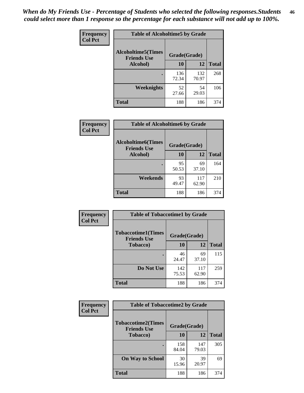*When do My Friends Use - Percentage of Students who selected the following responses.Students could select more than 1 response so the percentage for each substance will not add up to 100%.* **46**

| Frequency      | <b>Table of Alcoholtime5 by Grade</b>           |              |              |              |
|----------------|-------------------------------------------------|--------------|--------------|--------------|
| <b>Col Pct</b> | <b>Alcoholtime5(Times</b><br><b>Friends Use</b> | Grade(Grade) |              |              |
|                | Alcohol)                                        | 10           | 12           | <b>Total</b> |
|                |                                                 | 136<br>72.34 | 132<br>70.97 | 268          |
|                | Weeknights                                      | 52<br>27.66  | 54<br>29.03  | 106          |
|                | <b>Total</b>                                    | 188          | 186          | 374          |

| Frequency      | <b>Table of Alcoholtime6 by Grade</b>           |              |              |              |
|----------------|-------------------------------------------------|--------------|--------------|--------------|
| <b>Col Pct</b> | <b>Alcoholtime6(Times</b><br><b>Friends Use</b> | Grade(Grade) |              |              |
|                | Alcohol)                                        | 10           | 12           | <b>Total</b> |
|                |                                                 | 95<br>50.53  | 69<br>37.10  | 164          |
|                | Weekends                                        | 93<br>49.47  | 117<br>62.90 | 210          |
|                | <b>Total</b>                                    | 188          | 186          | 374          |

| Frequency<br><b>Col Pct</b> | <b>Table of Tobaccotime1 by Grade</b>           |              |              |              |  |
|-----------------------------|-------------------------------------------------|--------------|--------------|--------------|--|
|                             | <b>Tobaccotime1(Times</b><br><b>Friends Use</b> | Grade(Grade) |              |              |  |
|                             | <b>Tobacco</b> )                                | 10           | 12           | <b>Total</b> |  |
|                             |                                                 | 46<br>24.47  | 69<br>37.10  | 115          |  |
|                             | Do Not Use                                      | 142<br>75.53 | 117<br>62.90 | 259          |  |
|                             | <b>Total</b>                                    | 188          | 186          | 374          |  |

| <b>Frequency</b> | <b>Table of Tobaccotime2 by Grade</b>           |              |              |              |
|------------------|-------------------------------------------------|--------------|--------------|--------------|
| <b>Col Pct</b>   | <b>Tobaccotime2(Times</b><br><b>Friends Use</b> | Grade(Grade) |              |              |
|                  | <b>Tobacco</b> )                                | 10           | 12           | <b>Total</b> |
|                  |                                                 | 158<br>84.04 | 147<br>79.03 | 305          |
|                  | <b>On Way to School</b>                         | 30<br>15.96  | 39<br>20.97  | 69           |
|                  | <b>Total</b>                                    | 188          | 186          | 374          |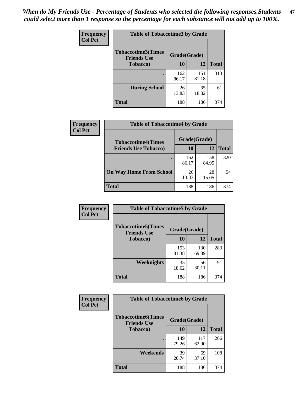*When do My Friends Use - Percentage of Students who selected the following responses.Students could select more than 1 response so the percentage for each substance will not add up to 100%.* **47**

| <b>Frequency</b> | <b>Table of Tobaccotime3 by Grade</b>           |              |              |              |  |
|------------------|-------------------------------------------------|--------------|--------------|--------------|--|
| <b>Col Pct</b>   | <b>Tobaccotime3(Times</b><br><b>Friends Use</b> | Grade(Grade) |              |              |  |
|                  | <b>Tobacco</b> )                                | 10           | 12           | <b>Total</b> |  |
|                  |                                                 | 162<br>86.17 | 151<br>81.18 | 313          |  |
|                  | <b>During School</b>                            | 26<br>13.83  | 35<br>18.82  | 61           |  |
|                  | <b>Total</b>                                    | 188          | 186          | 374          |  |

| <b>Frequency</b> | <b>Table of Tobaccotime4 by Grade</b> |              |              |              |
|------------------|---------------------------------------|--------------|--------------|--------------|
| <b>Col Pct</b>   | <b>Tobaccotime4(Times</b>             | Grade(Grade) |              |              |
|                  | <b>Friends Use Tobacco)</b>           | 10           | 12           | <b>Total</b> |
|                  |                                       | 162<br>86.17 | 158<br>84.95 | 320          |
|                  | <b>On Way Home From School</b>        | 26<br>13.83  | 28<br>15.05  | 54           |
|                  | <b>Total</b>                          | 188          | 186          | 374          |

| Frequency      | <b>Table of Tobaccotime5 by Grade</b>           |              |              |              |
|----------------|-------------------------------------------------|--------------|--------------|--------------|
| <b>Col Pct</b> | <b>Tobaccotime5(Times</b><br><b>Friends Use</b> | Grade(Grade) |              |              |
|                | <b>Tobacco</b> )                                | 10           | 12           | <b>Total</b> |
|                |                                                 | 153<br>81.38 | 130<br>69.89 | 283          |
|                | Weeknights                                      | 35<br>18.62  | 56<br>30.11  | 91           |
|                | <b>Total</b>                                    | 188          | 186          | 374          |

| <b>Frequency</b> | <b>Table of Tobaccotime6 by Grade</b>           |              |              |              |
|------------------|-------------------------------------------------|--------------|--------------|--------------|
| <b>Col Pct</b>   | <b>Tobaccotime6(Times</b><br><b>Friends Use</b> | Grade(Grade) |              |              |
|                  | <b>Tobacco</b> )                                | 10           | 12           | <b>Total</b> |
|                  | ٠                                               | 149<br>79.26 | 117<br>62.90 | 266          |
|                  | Weekends                                        | 39<br>20.74  | 69<br>37.10  | 108          |
|                  | <b>Total</b>                                    | 188          | 186          | 374          |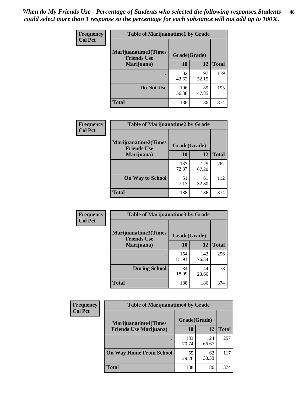| Frequency      | <b>Table of Marijuanatime1 by Grade</b>           |              |             |              |
|----------------|---------------------------------------------------|--------------|-------------|--------------|
| <b>Col Pct</b> | <b>Marijuanatime1(Times</b><br><b>Friends Use</b> | Grade(Grade) |             |              |
|                | Marijuana)                                        | 10           | 12          | <b>Total</b> |
|                |                                                   | 82<br>43.62  | 97<br>52.15 | 179          |
|                | Do Not Use                                        | 106<br>56.38 | 89<br>47.85 | 195          |
|                | <b>Total</b>                                      | 188          | 186         | 374          |

| Frequency      | <b>Table of Marijuanatime2 by Grade</b>           |              |              |              |
|----------------|---------------------------------------------------|--------------|--------------|--------------|
| <b>Col Pct</b> | <b>Marijuanatime2(Times</b><br><b>Friends Use</b> | Grade(Grade) |              |              |
|                | Marijuana)                                        | 10           | 12           | <b>Total</b> |
|                |                                                   | 137<br>72.87 | 125<br>67.20 | 262          |
|                | <b>On Way to School</b>                           | 51<br>27.13  | 61<br>32.80  | 112          |
|                | <b>Total</b>                                      | 188          | 186          | 374          |

| Frequency      | <b>Table of Marijuanatime3 by Grade</b>    |              |              |              |
|----------------|--------------------------------------------|--------------|--------------|--------------|
| <b>Col Pct</b> | Marijuanatime3(Times<br><b>Friends Use</b> | Grade(Grade) |              |              |
|                | Marijuana)                                 | 10           | 12           | <b>Total</b> |
|                |                                            | 154<br>81.91 | 142<br>76.34 | 296          |
|                | <b>During School</b>                       | 34<br>18.09  | 44<br>23.66  | 78           |
|                | Total                                      | 188          | 186          | 374          |

| <b>Frequency</b><br><b>Col Pct</b> | <b>Table of Marijuanatime4 by Grade</b> |              |              |              |
|------------------------------------|-----------------------------------------|--------------|--------------|--------------|
|                                    | <b>Marijuanatime4(Times</b>             | Grade(Grade) |              |              |
|                                    | <b>Friends Use Marijuana</b> )          | 10           | 12           | <b>Total</b> |
|                                    |                                         | 133<br>70.74 | 124<br>66.67 | 257          |
|                                    | <b>On Way Home From School</b>          | 55<br>29.26  | 62<br>33.33  | 117          |
|                                    | <b>Total</b>                            | 188          | 186          | 374          |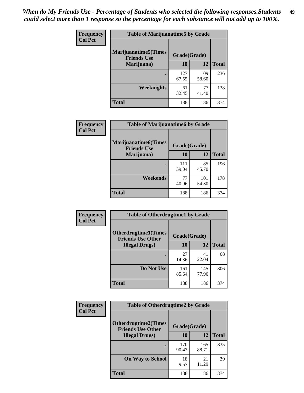| Frequency      | <b>Table of Marijuanatime5 by Grade</b>            |              |              |              |  |
|----------------|----------------------------------------------------|--------------|--------------|--------------|--|
| <b>Col Pct</b> | <b>Marijuanatime5</b> (Times<br><b>Friends Use</b> | Grade(Grade) |              |              |  |
|                | Marijuana)                                         | 10           | 12           | <b>Total</b> |  |
|                |                                                    | 127<br>67.55 | 109<br>58.60 | 236          |  |
|                | Weeknights                                         | 61<br>32.45  | 77<br>41.40  | 138          |  |
|                | <b>Total</b>                                       | 188          | 186          | 374          |  |

| Frequency      | <b>Table of Marijuanatime6 by Grade</b>            |              |              |              |
|----------------|----------------------------------------------------|--------------|--------------|--------------|
| <b>Col Pct</b> | <b>Marijuanatime6</b> (Times<br><b>Friends Use</b> | Grade(Grade) |              |              |
|                | Marijuana)                                         | 10           | 12           | <b>Total</b> |
|                |                                                    | 111<br>59.04 | 85<br>45.70  | 196          |
|                | Weekends                                           | 77<br>40.96  | 101<br>54.30 | 178          |
|                | <b>Total</b>                                       | 188          | 186          | 374          |

| <b>Frequency</b> | <b>Table of Otherdrugtime1 by Grade</b>                  |              |              |              |
|------------------|----------------------------------------------------------|--------------|--------------|--------------|
| <b>Col Pct</b>   | <b>Otherdrugtime1</b> (Times<br><b>Friends Use Other</b> | Grade(Grade) |              |              |
|                  | <b>Illegal Drugs</b> )                                   | 10           | 12           | <b>Total</b> |
|                  |                                                          | 27<br>14.36  | 41<br>22.04  | 68           |
|                  | Do Not Use                                               | 161<br>85.64 | 145<br>77.96 | 306          |
|                  | <b>Total</b>                                             | 188          | 186          | 374          |

| Frequency      | <b>Table of Otherdrugtime2 by Grade</b>                 |              |              |              |  |  |  |
|----------------|---------------------------------------------------------|--------------|--------------|--------------|--|--|--|
| <b>Col Pct</b> | <b>Otherdrugtime2(Times</b><br><b>Friends Use Other</b> | Grade(Grade) |              |              |  |  |  |
|                | <b>Illegal Drugs</b> )                                  | 10           | 12           | <b>Total</b> |  |  |  |
|                |                                                         | 170<br>90.43 | 165<br>88.71 | 335          |  |  |  |
|                | <b>On Way to School</b>                                 | 18<br>9.57   | 21<br>11.29  | 39           |  |  |  |
|                | Total                                                   | 188          | 186          | 374          |  |  |  |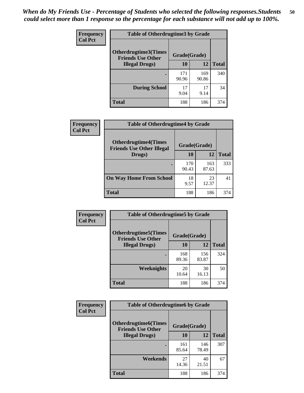| <b>Frequency</b> | <b>Table of Otherdrugtime3 by Grade</b>          |              |              |              |  |  |
|------------------|--------------------------------------------------|--------------|--------------|--------------|--|--|
| <b>Col Pct</b>   | Otherdrugtime3(Times<br><b>Friends Use Other</b> | Grade(Grade) |              |              |  |  |
|                  | <b>Illegal Drugs</b> )                           | 10           | 12           | <b>Total</b> |  |  |
|                  |                                                  | 171<br>90.96 | 169<br>90.86 | 340          |  |  |
|                  | <b>During School</b>                             | 17<br>9.04   | 17<br>9.14   | 34           |  |  |
|                  | Total                                            | 188          | 186          | 374          |  |  |

| Frequency      | <b>Table of Otherdrugtime4 by Grade</b>                         |              |              |              |  |  |
|----------------|-----------------------------------------------------------------|--------------|--------------|--------------|--|--|
| <b>Col Pct</b> | <b>Otherdrugtime4(Times</b><br><b>Friends Use Other Illegal</b> | Grade(Grade) |              |              |  |  |
|                | Drugs)                                                          | 10           | 12           | <b>Total</b> |  |  |
|                | ٠                                                               | 170<br>90.43 | 163<br>87.63 | 333          |  |  |
|                | <b>On Way Home From School</b>                                  | 18<br>9.57   | 23<br>12.37  | 41           |  |  |
|                | <b>Total</b>                                                    | 188          | 186          | 374          |  |  |

| <b>Frequency</b><br><b>Col Pct</b> | <b>Table of Otherdrugtime5 by Grade</b>                  |              |              |              |  |  |
|------------------------------------|----------------------------------------------------------|--------------|--------------|--------------|--|--|
|                                    | <b>Otherdrugtime5</b> (Times<br><b>Friends Use Other</b> | Grade(Grade) |              |              |  |  |
|                                    | <b>Illegal Drugs</b> )                                   | 10           | 12           | <b>Total</b> |  |  |
|                                    |                                                          | 168<br>89.36 | 156<br>83.87 | 324          |  |  |
|                                    | <b>Weeknights</b>                                        | 20<br>10.64  | 30<br>16.13  | 50           |  |  |
|                                    | Total                                                    | 188          | 186          | 374          |  |  |

| Frequency<br><b>Col Pct</b> | <b>Table of Otherdrugtime6 by Grade</b>                 |              |              |              |  |  |
|-----------------------------|---------------------------------------------------------|--------------|--------------|--------------|--|--|
|                             | <b>Otherdrugtime6(Times</b><br><b>Friends Use Other</b> |              | Grade(Grade) |              |  |  |
|                             | <b>Illegal Drugs)</b>                                   | 10           | 12           | <b>Total</b> |  |  |
|                             |                                                         | 161<br>85.64 | 146<br>78.49 | 307          |  |  |
|                             | Weekends                                                | 27<br>14.36  | 40<br>21.51  | 67           |  |  |
|                             | <b>Total</b>                                            | 188          | 186          | 374          |  |  |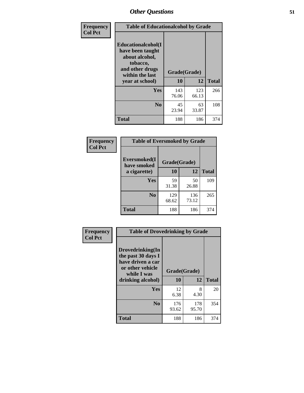| Frequency      | <b>Table of Educationalcohol by Grade</b>                                                                  |              |              |              |  |  |
|----------------|------------------------------------------------------------------------------------------------------------|--------------|--------------|--------------|--|--|
| <b>Col Pct</b> | Educationalcohol(I<br>have been taught<br>about alcohol,<br>tobacco,<br>and other drugs<br>within the last | Grade(Grade) |              |              |  |  |
|                | year at school)                                                                                            | 10           | 12           | <b>Total</b> |  |  |
|                | Yes                                                                                                        | 143<br>76.06 | 123<br>66.13 | 266          |  |  |
|                | N <sub>0</sub>                                                                                             | 45<br>23.94  | 63<br>33.87  | 108          |  |  |
|                | <b>Total</b>                                                                                               | 188          | 186          | 374          |  |  |

| Frequency      | <b>Table of Eversmoked by Grade</b> |              |              |              |  |  |  |
|----------------|-------------------------------------|--------------|--------------|--------------|--|--|--|
| <b>Col Pct</b> | Eversmoked(I<br>have smoked         | Grade(Grade) |              |              |  |  |  |
|                | a cigarette)                        | 10           | 12           | <b>Total</b> |  |  |  |
|                | <b>Yes</b>                          | 59<br>31.38  | 50<br>26.88  | 109          |  |  |  |
|                | N <sub>0</sub>                      | 129<br>68.62 | 136<br>73.12 | 265          |  |  |  |
|                | <b>Total</b>                        | 188          | 186          | 374          |  |  |  |

| Frequency      | <b>Table of Drovedrinking by Grade</b>                                                                              |                    |              |              |  |  |
|----------------|---------------------------------------------------------------------------------------------------------------------|--------------------|--------------|--------------|--|--|
| <b>Col Pct</b> | Drovedrinking(In<br>the past 30 days I<br>have driven a car<br>or other vehicle<br>while I was<br>drinking alcohol) | Grade(Grade)<br>10 | 12           | <b>Total</b> |  |  |
|                | <b>Yes</b>                                                                                                          | 12<br>6.38         | 8<br>4.30    | 20           |  |  |
|                | N <sub>0</sub>                                                                                                      | 176<br>93.62       | 178<br>95.70 | 354          |  |  |
|                | <b>Total</b>                                                                                                        | 188                | 186          | 374          |  |  |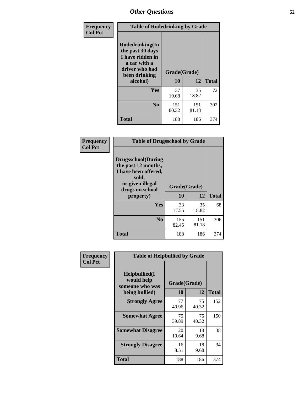| Frequency<br><b>Col Pct</b> | <b>Table of Rodedrinking by Grade</b>                                                                             |              |              |              |  |  |
|-----------------------------|-------------------------------------------------------------------------------------------------------------------|--------------|--------------|--------------|--|--|
|                             | <b>Rodedrinking(In</b><br>the past 30 days<br>I have ridden in<br>a car with a<br>driver who had<br>been drinking | Grade(Grade) |              |              |  |  |
|                             | alcohol)                                                                                                          | 10           | 12           | <b>Total</b> |  |  |
|                             | <b>Yes</b>                                                                                                        | 37<br>19.68  | 35<br>18.82  | 72           |  |  |
|                             | N <sub>0</sub>                                                                                                    | 151<br>80.32 | 151<br>81.18 | 302          |  |  |
|                             | <b>Total</b>                                                                                                      | 188          | 186          | 374          |  |  |

#### **Frequency Col Pct**

| <b>Table of Drugsschool by Grade</b>                                                                                      |              |              |              |  |  |  |
|---------------------------------------------------------------------------------------------------------------------------|--------------|--------------|--------------|--|--|--|
| <b>Drugsschool</b> (During<br>the past 12 months,<br>I have been offered,<br>sold,<br>or given illegal<br>drugs on school | Grade(Grade) |              |              |  |  |  |
| property)                                                                                                                 | 10           | 12           | <b>Total</b> |  |  |  |
| Yes                                                                                                                       | 33<br>17.55  | 35<br>18.82  | 68           |  |  |  |
| N <sub>0</sub>                                                                                                            | 155<br>82.45 | 151<br>81.18 | 306          |  |  |  |
| Total                                                                                                                     | 188          | 186          | 374          |  |  |  |

| Frequency      | <b>Table of Helpbullied by Grade</b>                              |                           |              |     |  |  |  |
|----------------|-------------------------------------------------------------------|---------------------------|--------------|-----|--|--|--|
| <b>Col Pct</b> | Helpbullied(I)<br>would help<br>someone who was<br>being bullied) | Grade(Grade)<br><b>10</b> | <b>Total</b> |     |  |  |  |
|                | <b>Strongly Agree</b>                                             | 77                        | 12<br>75     | 152 |  |  |  |
|                | <b>Somewhat Agree</b>                                             | 40.96<br>75               | 40.32<br>75  | 150 |  |  |  |
|                |                                                                   | 39.89                     | 40.32        |     |  |  |  |
|                | <b>Somewhat Disagree</b>                                          | 20<br>10.64               | 18<br>9.68   | 38  |  |  |  |
|                | <b>Strongly Disagree</b>                                          | 16<br>8.51                | 18<br>9.68   | 34  |  |  |  |
|                | <b>Total</b>                                                      | 188                       | 186          | 374 |  |  |  |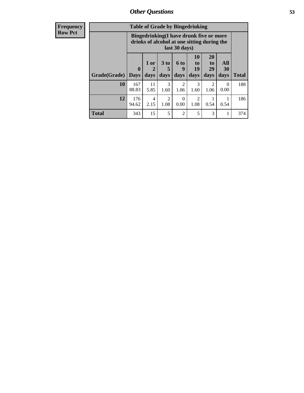| <b>Frequency</b> | <b>Table of Grade by Bingedrinking</b> |                                                                                                         |                              |                              |                        |                                                                            |                               |                          |              |
|------------------|----------------------------------------|---------------------------------------------------------------------------------------------------------|------------------------------|------------------------------|------------------------|----------------------------------------------------------------------------|-------------------------------|--------------------------|--------------|
| <b>Row Pct</b>   |                                        | Bingedrinking(I have drunk five or more<br>drinks of alcohol at one sitting during the<br>last 30 days) |                              |                              |                        |                                                                            |                               |                          |              |
|                  | Grade(Grade)                           | $\mathbf{0}$<br><b>Days</b>                                                                             | 1 or<br>$\mathbf{2}$<br>days | 3 <sub>to</sub><br>5<br>days | 6 to<br>9<br>days      | <b>10</b><br>$\mathbf{t}$ <sup><math>\mathbf{0}</math></sup><br>19<br>days | <b>20</b><br>to<br>29<br>days | All<br><b>30</b><br>days | <b>Total</b> |
|                  | 10                                     | 167<br>88.83                                                                                            | 11<br>5.85                   | 3<br>1.60                    | $\mathfrak{D}$<br>1.06 | 3<br>1.60                                                                  | $\mathfrak{D}$<br>1.06        | $\Omega$<br>0.00         | 188          |
|                  | 12                                     | 176<br>94.62                                                                                            | $\overline{4}$<br>2.15       | 2<br>1.08                    | $\Omega$<br>0.00       | $\mathfrak{D}$<br>1.08                                                     | 0.54                          | 0.54                     | 186          |
|                  | <b>Total</b>                           | 343                                                                                                     | 15                           | 5                            | $\overline{2}$         | 5                                                                          | 3                             |                          | 374          |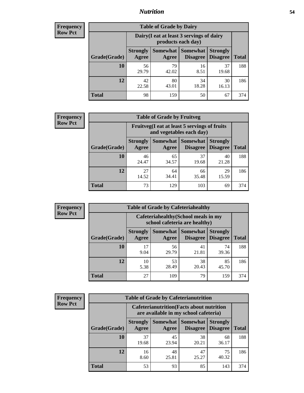## *Nutrition* **54**

| <b>Frequency</b> |
|------------------|
| <b>Row Pct</b>   |

| <b>Table of Grade by Dairy</b> |                                                                                                                    |                                                                 |             |             |     |  |  |  |
|--------------------------------|--------------------------------------------------------------------------------------------------------------------|-----------------------------------------------------------------|-------------|-------------|-----|--|--|--|
|                                |                                                                                                                    | Dairy (I eat at least 3 servings of dairy<br>products each day) |             |             |     |  |  |  |
| Grade(Grade)                   | Somewhat<br><b>Somewhat</b><br><b>Strongly</b><br><b>Strongly</b><br><b>Disagree</b><br>Disagree<br>Agree<br>Agree |                                                                 |             |             |     |  |  |  |
| 10                             | 56<br>29.79                                                                                                        | 79<br>42.02                                                     | 16<br>8.51  | 37<br>19.68 | 188 |  |  |  |
| 12                             | 42<br>22.58                                                                                                        | 80<br>43.01                                                     | 34<br>18.28 | 30<br>16.13 | 186 |  |  |  |
| <b>Total</b>                   | 98                                                                                                                 | 159                                                             | 50          | 67          | 374 |  |  |  |

| <b>Frequency</b> |  |
|------------------|--|
| <b>Row Pct</b>   |  |

| <b>Table of Grade by Fruitveg</b>                                        |                          |             |                                 |                                    |              |  |  |  |
|--------------------------------------------------------------------------|--------------------------|-------------|---------------------------------|------------------------------------|--------------|--|--|--|
| Fruitveg(I eat at least 5 servings of fruits<br>and vegetables each day) |                          |             |                                 |                                    |              |  |  |  |
| Grade(Grade)                                                             | <b>Strongly</b><br>Agree | Agree       | Somewhat   Somewhat<br>Disagree | <b>Strongly</b><br><b>Disagree</b> | <b>Total</b> |  |  |  |
| 10                                                                       | 46<br>24.47              | 65<br>34.57 | 37<br>19.68                     | 40<br>21.28                        | 188          |  |  |  |
| 12                                                                       | 27<br>14.52              | 64<br>34.41 | 66<br>35.48                     | 29<br>15.59                        | 186          |  |  |  |
| <b>Total</b>                                                             | 73                       | 129         | 103                             | 69                                 | 374          |  |  |  |

| <b>Frequency</b> | <b>Table of Grade by Cafeteriahealthy</b> |                                                                       |                            |                 |                                    |              |  |  |
|------------------|-------------------------------------------|-----------------------------------------------------------------------|----------------------------|-----------------|------------------------------------|--------------|--|--|
| <b>Row Pct</b>   |                                           | Cafeteriahealthy (School meals in my<br>school cafeteria are healthy) |                            |                 |                                    |              |  |  |
|                  | Grade(Grade)                              | <b>Strongly</b><br>Agree                                              | Somewhat Somewhat<br>Agree | <b>Disagree</b> | <b>Strongly</b><br><b>Disagree</b> | <b>Total</b> |  |  |
|                  | 10                                        | 17<br>9.04                                                            | 56<br>29.79                | 41<br>21.81     | 74<br>39.36                        | 188          |  |  |
|                  | 12                                        | 10<br>5.38                                                            | 53<br>28.49                | 38<br>20.43     | 85<br>45.70                        | 186          |  |  |
|                  | <b>Total</b>                              | 27                                                                    | 109                        | 79              | 159                                | 374          |  |  |

| <b>Frequency</b> |
|------------------|
| <b>Row Pct</b>   |

| <b>Table of Grade by Cafeterianutrition</b> |                          |                                                                                           |                                    |                                    |              |  |  |
|---------------------------------------------|--------------------------|-------------------------------------------------------------------------------------------|------------------------------------|------------------------------------|--------------|--|--|
|                                             |                          | <b>Cafeterianutrition</b> (Facts about nutrition<br>are available in my school cafeteria) |                                    |                                    |              |  |  |
| Grade(Grade)                                | <b>Strongly</b><br>Agree | Somewhat  <br>Agree                                                                       | <b>Somewhat</b><br><b>Disagree</b> | <b>Strongly</b><br><b>Disagree</b> | <b>Total</b> |  |  |
| 10                                          | 37<br>19.68              | 45<br>23.94                                                                               | 38<br>20.21                        | 68<br>36.17                        | 188          |  |  |
| 12                                          | 16<br>8.60               | 48<br>25.81                                                                               | 47<br>25.27                        | 75<br>40.32                        | 186          |  |  |
| Total                                       | 53                       | 93                                                                                        | 85                                 | 143                                | 374          |  |  |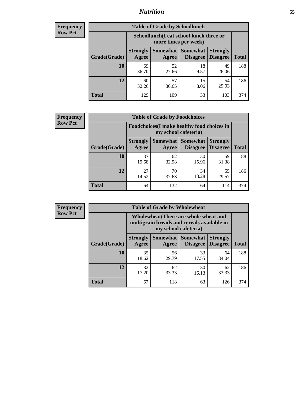## *Nutrition* **55**

| <b>Frequency</b> |
|------------------|
| <b>Row Pct</b>   |

| <b>Table of Grade by Schoollunch</b> |                                                                                                                                                  |                                                                 |            |             |     |  |  |  |
|--------------------------------------|--------------------------------------------------------------------------------------------------------------------------------------------------|-----------------------------------------------------------------|------------|-------------|-----|--|--|--|
|                                      |                                                                                                                                                  | Schoollunch(I eat school lunch three or<br>more times per week) |            |             |     |  |  |  |
| Grade(Grade)                         | <b>Somewhat</b><br><b>Somewhat</b><br><b>Strongly</b><br><b>Strongly</b><br><b>Disagree</b><br><b>Disagree</b><br><b>Total</b><br>Agree<br>Agree |                                                                 |            |             |     |  |  |  |
| 10                                   | 69<br>36.70                                                                                                                                      | 52<br>27.66                                                     | 18<br>9.57 | 49<br>26.06 | 188 |  |  |  |
| 12                                   | 60<br>32.26                                                                                                                                      | 57<br>30.65                                                     | 15<br>8.06 | 54<br>29.03 | 186 |  |  |  |
| <b>Total</b>                         | 129                                                                                                                                              | 109                                                             | 33         | 103         | 374 |  |  |  |

| <b>Frequency</b> |  |
|------------------|--|
| <b>Row Pct</b>   |  |

| <b>Table of Grade by Foodchoices</b>                                |                          |             |                               |                                    |              |  |  |  |
|---------------------------------------------------------------------|--------------------------|-------------|-------------------------------|------------------------------------|--------------|--|--|--|
| Foodchoices (I make healthy food choices in<br>my school cafeteria) |                          |             |                               |                                    |              |  |  |  |
| Grade(Grade)                                                        | <b>Strongly</b><br>Agree | Agree       | Somewhat Somewhat<br>Disagree | <b>Strongly</b><br><b>Disagree</b> | <b>Total</b> |  |  |  |
| 10                                                                  | 37<br>19.68              | 62<br>32.98 | 30<br>15.96                   | 59<br>31.38                        | 188          |  |  |  |
| 12                                                                  | 27<br>14.52              | 70<br>37.63 | 34<br>18.28                   | 55<br>29.57                        | 186          |  |  |  |
| <b>Total</b>                                                        | 64                       | 132         | 64                            | 114                                | 374          |  |  |  |

| Frequency      | <b>Table of Grade by Wholewheat</b> |                                                                                                             |             |                                   |                                    |              |  |  |  |
|----------------|-------------------------------------|-------------------------------------------------------------------------------------------------------------|-------------|-----------------------------------|------------------------------------|--------------|--|--|--|
| <b>Row Pct</b> |                                     | Wholewheat (There are whole wheat and<br>multigrain breads and cereals available in<br>my school cafeteria) |             |                                   |                                    |              |  |  |  |
|                | Grade(Grade)                        | <b>Strongly</b><br>Agree                                                                                    | Agree       | Somewhat   Somewhat  <br>Disagree | <b>Strongly</b><br><b>Disagree</b> | <b>Total</b> |  |  |  |
|                | 10                                  | 35<br>18.62                                                                                                 | 56<br>29.79 | 33<br>17.55                       | 64<br>34.04                        | 188          |  |  |  |
|                | 12                                  | 32<br>17.20                                                                                                 | 62<br>33.33 | 30<br>16.13                       | 62<br>33.33                        | 186          |  |  |  |
|                | <b>Total</b>                        | 67                                                                                                          | 118         | 63                                | 126                                | 374          |  |  |  |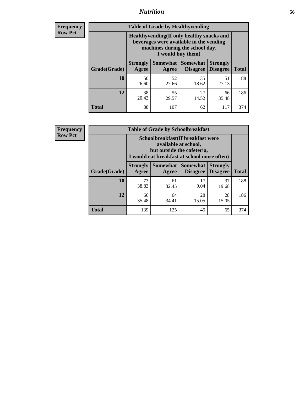## *Nutrition* **56**

**Frequency Row Pct**

| <b>Table of Grade by Healthyvending</b> |                                                                                                                                               |             |                                        |                                    |              |  |
|-----------------------------------------|-----------------------------------------------------------------------------------------------------------------------------------------------|-------------|----------------------------------------|------------------------------------|--------------|--|
|                                         | Healthyvending (If only healthy snacks and<br>beverages were available in the vending<br>machines during the school day,<br>I would buy them) |             |                                        |                                    |              |  |
| Grade(Grade)                            | <b>Strongly</b><br>Agree                                                                                                                      | Agree       | Somewhat   Somewhat<br><b>Disagree</b> | <b>Strongly</b><br><b>Disagree</b> | <b>Total</b> |  |
| 10                                      | 50<br>26.60                                                                                                                                   | 52<br>27.66 | 35<br>18.62                            | 51<br>27.13                        | 188          |  |
| 12                                      | 38<br>20.43                                                                                                                                   | 55<br>29.57 | 27<br>14.52                            | 66<br>35.48                        | 186          |  |
| <b>Total</b>                            | 88                                                                                                                                            | 107         | 62                                     | 117                                | 374          |  |

**Frequency Row Pct**

| <b>Table of Grade by Schoolbreakfast</b> |                                                                                                                                        |             |                                        |                                    |              |  |
|------------------------------------------|----------------------------------------------------------------------------------------------------------------------------------------|-------------|----------------------------------------|------------------------------------|--------------|--|
|                                          | Schoolbreakfast(If breakfast were<br>available at school,<br>but outside the cafeteria,<br>I would eat breakfast at school more often) |             |                                        |                                    |              |  |
| Grade(Grade)                             | <b>Strongly</b><br>Agree                                                                                                               | Agree       | Somewhat   Somewhat<br><b>Disagree</b> | <b>Strongly</b><br><b>Disagree</b> | <b>Total</b> |  |
| 10                                       | 73<br>38.83                                                                                                                            | 61<br>32.45 | 17<br>9.04                             | 37<br>19.68                        | 188          |  |
| 12                                       | 66<br>35.48                                                                                                                            | 64<br>34.41 | 28<br>15.05                            | 28<br>15.05                        | 186          |  |
| <b>Total</b>                             | 139                                                                                                                                    | 125         | 45                                     | 65                                 | 374          |  |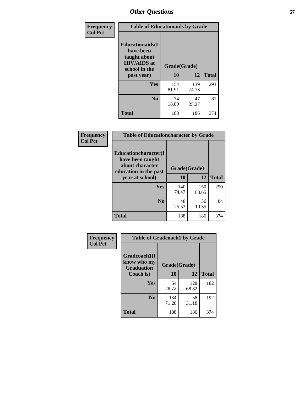| Frequency<br><b>Col Pct</b> |                                                                                             | <b>Table of Educationaids by Grade</b> |              |              |  |
|-----------------------------|---------------------------------------------------------------------------------------------|----------------------------------------|--------------|--------------|--|
|                             | <b>Educationaids</b> (I<br>have been<br>taught about<br><b>HIV/AIDS</b> at<br>school in the | Grade(Grade)<br>10                     | 12           | <b>Total</b> |  |
|                             | past year)                                                                                  |                                        |              |              |  |
|                             | Yes                                                                                         | 154<br>81.91                           | 139<br>74.73 | 293          |  |
|                             | N <sub>0</sub>                                                                              | 34<br>18.09                            | 47<br>25.27  | 81           |  |
|                             | <b>Total</b>                                                                                | 188                                    | 186          | 374          |  |

| Frequency<br><b>Col Pct</b> | <b>Table of Educationcharacter by Grade</b> |              |              |              |  |
|-----------------------------|---------------------------------------------|--------------|--------------|--------------|--|
|                             | Educationcharacter(I<br>have been taught    |              |              |              |  |
|                             | about character<br>education in the past    | Grade(Grade) |              |              |  |
|                             | year at school)                             | 10           | 12           | <b>Total</b> |  |
|                             | Yes                                         | 140<br>74.47 | 150<br>80.65 | 290          |  |
|                             | N <sub>0</sub>                              | 48<br>25.53  | 36<br>19.35  | 84           |  |
|                             | <b>Total</b>                                | 188          | 186          | 374          |  |

| Frequency      | <b>Table of Gradcoach1 by Grade</b>              |              |              |              |
|----------------|--------------------------------------------------|--------------|--------------|--------------|
| <b>Col Pct</b> | Gradcoach1(I<br>know who my<br><b>Graduation</b> | Grade(Grade) |              |              |
|                | Coach is)                                        | 10           | 12           | <b>Total</b> |
|                | Yes                                              | 54<br>28.72  | 128<br>68.82 | 182          |
|                | N <sub>0</sub>                                   | 134<br>71.28 | 58<br>31.18  | 192          |
|                | <b>Total</b>                                     | 188          | 186          | 374          |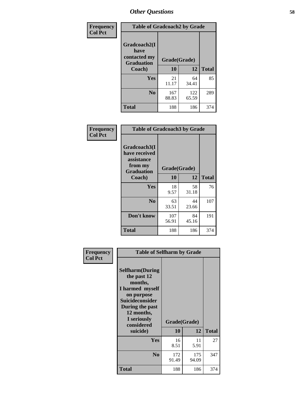| Frequency      | <b>Table of Gradcoach2 by Grade</b> |              |              |              |
|----------------|-------------------------------------|--------------|--------------|--------------|
| <b>Col Pct</b> | Gradcoach2(I<br>have                |              |              |              |
|                | contacted my<br><b>Graduation</b>   | Grade(Grade) |              |              |
|                | Coach)                              | 10           | 12           | <b>Total</b> |
|                | Yes                                 | 21<br>11.17  | 64<br>34.41  | 85           |
|                | N <sub>0</sub>                      | 167<br>88.83 | 122<br>65.59 | 289          |
|                | <b>Total</b>                        | 188          | 186          | 374          |

| Frequency<br><b>Col Pct</b> |                                                                             | <b>Table of Gradcoach3 by Grade</b> |             |              |  |  |
|-----------------------------|-----------------------------------------------------------------------------|-------------------------------------|-------------|--------------|--|--|
|                             | Gradcoach3(I<br>have received<br>assistance<br>from my<br><b>Graduation</b> | Grade(Grade)                        |             |              |  |  |
|                             | Coach)                                                                      | 10                                  | 12          | <b>Total</b> |  |  |
|                             | Yes                                                                         | 18<br>9.57                          | 58<br>31.18 | 76           |  |  |
|                             | N <sub>0</sub>                                                              | 63<br>33.51                         | 44<br>23.66 | 107          |  |  |
|                             | Don't know                                                                  | 107<br>56.91                        | 84<br>45.16 | 191          |  |  |
|                             | <b>Total</b>                                                                | 188                                 | 186         | 374          |  |  |

| Frequency      | <b>Table of Selfharm by Grade</b>                                                                                                                                                      |                    |              |              |
|----------------|----------------------------------------------------------------------------------------------------------------------------------------------------------------------------------------|--------------------|--------------|--------------|
| <b>Col Pct</b> | <b>Selfharm</b> (During<br>the past 12<br>months,<br>I harmed myself<br>on purpose<br><b>Suicideconsider</b><br>During the past<br>12 months,<br>I seriously<br>considered<br>suicide) | Grade(Grade)<br>10 | 12           | <b>Total</b> |
|                | Yes                                                                                                                                                                                    | 16<br>8.51         | 11<br>5.91   | 27           |
|                | N <sub>0</sub>                                                                                                                                                                         | 172<br>91.49       | 175<br>94.09 | 347          |
|                | Total                                                                                                                                                                                  | 188                | 186          | 374          |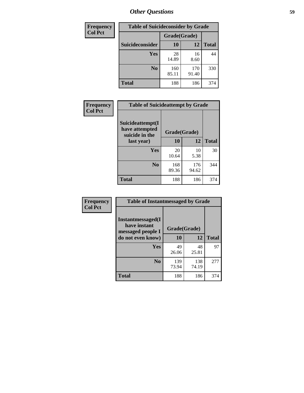| <b>Frequency</b> | <b>Table of Suicideconsider by Grade</b> |              |              |              |
|------------------|------------------------------------------|--------------|--------------|--------------|
| <b>Col Pct</b>   |                                          | Grade(Grade) |              |              |
|                  | <b>Suicideconsider</b>                   | 10           | 12           | <b>Total</b> |
|                  | <b>Yes</b>                               | 28<br>14.89  | 16<br>8.60   | 44           |
|                  | N <sub>0</sub>                           | 160<br>85.11 | 170<br>91.40 | 330          |
|                  | <b>Total</b>                             | 188          | 186          | 374          |

| Frequency      | <b>Table of Suicideattempt by Grade</b>              |              |              |              |
|----------------|------------------------------------------------------|--------------|--------------|--------------|
| <b>Col Pct</b> | Suicideattempt(I<br>have attempted<br>suicide in the | Grade(Grade) |              |              |
|                | last year)                                           | 10           | 12           | <b>Total</b> |
|                | Yes                                                  | 20<br>10.64  | 10<br>5.38   | 30           |
|                | $\bf No$                                             | 168<br>89.36 | 176<br>94.62 | 344          |
|                | <b>Total</b>                                         | 188          | 186          | 374          |

| Frequency      | <b>Table of Instantmessaged by Grade</b>                       |              |              |              |
|----------------|----------------------------------------------------------------|--------------|--------------|--------------|
| <b>Col Pct</b> | <b>Instantmessaged</b> (I<br>have instant<br>messaged people I | Grade(Grade) |              |              |
|                | do not even know)                                              | 10           | 12           | <b>Total</b> |
|                | Yes                                                            | 49<br>26.06  | 48<br>25.81  | 97           |
|                | N <sub>0</sub>                                                 | 139<br>73.94 | 138<br>74.19 | 277          |
|                | <b>Total</b>                                                   | 188          | 186          | 374          |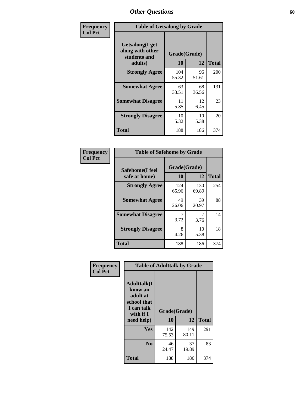| Frequency      | <b>Table of Getsalong by Grade</b>                          |              |             |              |
|----------------|-------------------------------------------------------------|--------------|-------------|--------------|
| <b>Col Pct</b> | <b>Getsalong</b> (I get<br>along with other<br>students and | Grade(Grade) |             |              |
|                | adults)                                                     | 10           | 12          | <b>Total</b> |
|                | <b>Strongly Agree</b>                                       | 104<br>55.32 | 96<br>51.61 | 200          |
|                | <b>Somewhat Agree</b>                                       | 63<br>33.51  | 68<br>36.56 | 131          |
|                | <b>Somewhat Disagree</b>                                    | 11<br>5.85   | 12<br>6.45  | 23           |
|                | <b>Strongly Disagree</b>                                    | 10<br>5.32   | 10<br>5.38  | 20           |
|                | <b>Total</b>                                                | 188          | 186         | 374          |

| Frequency      | <b>Table of Safehome by Grade</b> |                    |              |              |  |  |  |  |
|----------------|-----------------------------------|--------------------|--------------|--------------|--|--|--|--|
| <b>Col Pct</b> | Safehome(I feel<br>safe at home)  | Grade(Grade)<br>10 | 12           | <b>Total</b> |  |  |  |  |
|                | <b>Strongly Agree</b>             | 124<br>65.96       | 130<br>69.89 | 254          |  |  |  |  |
|                | <b>Somewhat Agree</b>             | 49<br>26.06        | 39<br>20.97  | 88           |  |  |  |  |
|                | <b>Somewhat Disagree</b>          | 3.72               | 7<br>3.76    | 14           |  |  |  |  |
|                | <b>Strongly Disagree</b>          | 8<br>4.26          | 10<br>5.38   | 18           |  |  |  |  |
|                | <b>Total</b>                      | 188                | 186          | 374          |  |  |  |  |

| Frequency      |                                                                                     | <b>Table of Adulttalk by Grade</b> |              |              |  |  |  |  |
|----------------|-------------------------------------------------------------------------------------|------------------------------------|--------------|--------------|--|--|--|--|
| <b>Col Pct</b> | <b>Adulttalk(I</b><br>know an<br>adult at<br>school that<br>I can talk<br>with if I | Grade(Grade)                       |              |              |  |  |  |  |
|                | need help)                                                                          | 10                                 | 12           | <b>Total</b> |  |  |  |  |
|                | Yes                                                                                 | 142<br>75.53                       | 149<br>80.11 | 291          |  |  |  |  |
|                | N <sub>0</sub>                                                                      | 46<br>24.47                        | 37<br>19.89  | 83           |  |  |  |  |
|                | <b>Total</b>                                                                        | 188                                | 186          | 374          |  |  |  |  |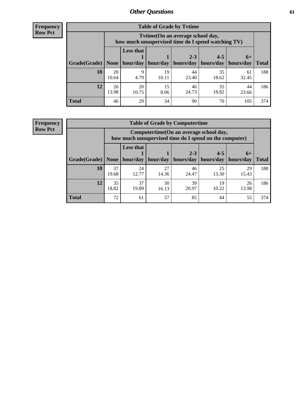**Frequency Row Pct**

| <b>Table of Grade by Tvtime</b> |             |                                                                                         |             |                      |                                    |             |              |  |  |  |
|---------------------------------|-------------|-----------------------------------------------------------------------------------------|-------------|----------------------|------------------------------------|-------------|--------------|--|--|--|
|                                 |             | Tytime (On an average school day,<br>how much unsupervised time do I spend watching TV) |             |                      |                                    |             |              |  |  |  |
| Grade(Grade)   None             |             | <b>Less that</b><br>hour/day                                                            | hour/day    | $2 - 3$<br>hours/day | $4 - 5$<br>  hours/day   hours/day | $6+$        | <b>Total</b> |  |  |  |
| 10                              | 20<br>10.64 | 9<br>4.79                                                                               | 19<br>10.11 | 44<br>23.40          | 35<br>18.62                        | 61<br>32.45 | 188          |  |  |  |
| 12                              | 26<br>13.98 | 20<br>10.75                                                                             | 15<br>8.06  | 46<br>24.73          | 35<br>18.82                        | 44<br>23.66 | 186          |  |  |  |
| <b>Total</b>                    | 46          | 29                                                                                      | 34          | 90                   | 70                                 | 105         | 374          |  |  |  |

**Frequency Row Pct**

| <b>Table of Grade by Computertime</b> |             |                                                                                                   |                     |                      |                      |                   |              |  |  |
|---------------------------------------|-------------|---------------------------------------------------------------------------------------------------|---------------------|----------------------|----------------------|-------------------|--------------|--|--|
|                                       |             | Computertime (On an average school day,<br>how much unsupervised time do I spend on the computer) |                     |                      |                      |                   |              |  |  |
| Grade(Grade)                          | None $ $    | <b>Less that</b>                                                                                  | hour/day   hour/day | $2 - 3$<br>hours/day | $4 - 5$<br>hours/day | $6+$<br>hours/day | <b>Total</b> |  |  |
| 10                                    | 37<br>19.68 | 24<br>12.77                                                                                       | 27<br>14.36         | 46<br>24.47          | 25<br>13.30          | 29<br>15.43       | 188          |  |  |
| 12                                    | 35<br>18.82 | 39<br>37<br>30<br>19<br>26<br>19.89<br>20.97<br>10.22<br>13.98<br>16.13                           |                     |                      |                      |                   |              |  |  |
| <b>Total</b>                          | 72          | 61                                                                                                | 57                  | 85                   | 44                   | 55                | 374          |  |  |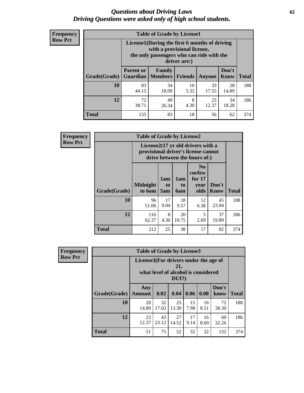#### *Questions about Driving Laws* **62** *Driving Questions were asked only of high school students.*

| <b>Frequency</b> |
|------------------|
| <b>Row Pct</b>   |

| <b>Table of Grade by License1</b> |                                                                       |                                                                                                                                           |                |               |               |              |  |  |  |
|-----------------------------------|-----------------------------------------------------------------------|-------------------------------------------------------------------------------------------------------------------------------------------|----------------|---------------|---------------|--------------|--|--|--|
|                                   |                                                                       | License1(During the first 6 months of driving<br>with a provisional license,<br>the only passengers who can ride with the<br>driver are:) |                |               |               |              |  |  |  |
| Grade(Grade)                      | <b>Parent or</b><br><b>Guardian</b>                                   | Family<br><b>Members</b>                                                                                                                  | <b>Friends</b> | <b>Anyone</b> | Don't<br>Know | <b>Total</b> |  |  |  |
| 10                                | 83<br>44.15                                                           | 34<br>18.09                                                                                                                               | 10<br>5.32     | 33<br>17.55   | 28<br>14.89   | 188          |  |  |  |
| 12                                | 72<br>49<br>8<br>23<br>34<br>12.37<br>18.28<br>38.71<br>4.30<br>26.34 |                                                                                                                                           |                |               |               |              |  |  |  |
| <b>Total</b>                      | 155                                                                   | 83                                                                                                                                        | 18             | 56            | 62            | 374          |  |  |  |

| Frequency      |              | <b>Table of Grade by License2</b>                                                                        |                  |                         |                                                      |               |              |  |  |
|----------------|--------------|----------------------------------------------------------------------------------------------------------|------------------|-------------------------|------------------------------------------------------|---------------|--------------|--|--|
| <b>Row Pct</b> |              | License2(17 yr old drivers with a<br>provisional driver's license cannot<br>drive between the hours of:) |                  |                         |                                                      |               |              |  |  |
|                | Grade(Grade) | <b>Midnight</b><br>to 6am                                                                                | 1am<br>to<br>5am | 1am<br>to<br><b>6am</b> | N <sub>0</sub><br>curfew<br>for $17$<br>year<br>olds | Don't<br>Know | <b>Total</b> |  |  |
|                | 10           | 96<br>51.06                                                                                              | 17<br>9.04       | 18<br>9.57              | 12<br>6.38                                           | 45<br>23.94   | 188          |  |  |
|                | 12           | 116<br>62.37                                                                                             | 8<br>4.30        | 20<br>10.75             | 5<br>2.69                                            | 37<br>19.89   | 186          |  |  |
|                | <b>Total</b> | 212                                                                                                      | 25               | 38                      | 17                                                   | 82            | 374          |  |  |

| Frequency      | <b>Table of Grade by License3</b> |                                       |             |                                                        |            |            |               |              |
|----------------|-----------------------------------|---------------------------------------|-------------|--------------------------------------------------------|------------|------------|---------------|--------------|
| <b>Row Pct</b> |                                   | License3(For drivers under the age of |             | 21,<br>what level of alcohol is considered<br>$DUI$ ?) |            |            |               |              |
|                | Grade(Grade)                      | Any<br><b>Amount</b>                  | 0.02        | 0.04                                                   | 0.06       | 0.08       | Don't<br>know | <b>Total</b> |
|                | <b>10</b>                         | 28<br>14.89                           | 32<br>17.02 | 25<br>13.30                                            | 15<br>7.98 | 16<br>8.51 | 72<br>38.30   | 188          |
|                | 12                                | 23<br>12.37                           | 43<br>23.12 | 27<br>14.52                                            | 17<br>9.14 | 16<br>8.60 | 60<br>32.26   | 186          |
|                | <b>Total</b>                      | 51                                    | 75          | 52                                                     | 32         | 32         | 132           | 374          |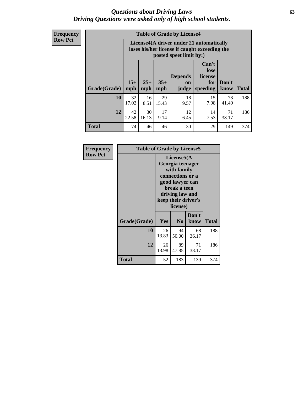#### *Questions about Driving Laws* **63** *Driving Questions were asked only of high school students.*

**Frequency Row Pct**

| <b>Table of Grade by License4</b> |              |                                                                                                                                                      |             |            |            |             |     |  |
|-----------------------------------|--------------|------------------------------------------------------------------------------------------------------------------------------------------------------|-------------|------------|------------|-------------|-----|--|
|                                   |              | License4(A driver under 21 automatically<br>loses his/her license if caught exceeding the<br>posted speet limit by:)                                 |             |            |            |             |     |  |
| Grade(Grade)                      | $15+$<br>mph | Can't<br>lose<br><b>Depends</b><br>license<br>$25+$<br>$35+$<br>Don't<br>for<br><b>on</b><br>speeding<br><b>Total</b><br>mph<br>know<br>mph<br>judge |             |            |            |             |     |  |
| 10                                | 32<br>17.02  | 16<br>8.51                                                                                                                                           | 29<br>15.43 | 18<br>9.57 | 15<br>7.98 | 78<br>41.49 | 188 |  |
| 12                                | 42<br>22.58  | 30<br>16.13                                                                                                                                          | 17<br>9.14  | 12<br>6.45 | 14<br>7.53 | 71<br>38.17 | 186 |  |
| <b>Total</b>                      | 74           | 46                                                                                                                                                   | 46          | 30         | 29         | 149         | 374 |  |

| Frequency      | <b>Table of Grade by License5</b> |             |                                                                                                                                      |                     |       |  |  |  |  |
|----------------|-----------------------------------|-------------|--------------------------------------------------------------------------------------------------------------------------------------|---------------------|-------|--|--|--|--|
| <b>Row Pct</b> |                                   |             | License5(A)<br>Georgia teenager<br>with family<br>connections or a<br>good lawyer can<br>break a teen<br>driving law and<br>license) | keep their driver's |       |  |  |  |  |
|                | Grade(Grade)                      | <b>Yes</b>  | N <sub>0</sub>                                                                                                                       | Don't<br>know       | Total |  |  |  |  |
|                | 10                                | 26<br>13.83 | 94<br>50.00                                                                                                                          | 68<br>36.17         | 188   |  |  |  |  |
|                | 12                                | 26<br>13.98 | 89<br>47.85                                                                                                                          | 71<br>38.17         | 186   |  |  |  |  |
|                | <b>Total</b>                      | 52          | 183                                                                                                                                  | 139                 | 374   |  |  |  |  |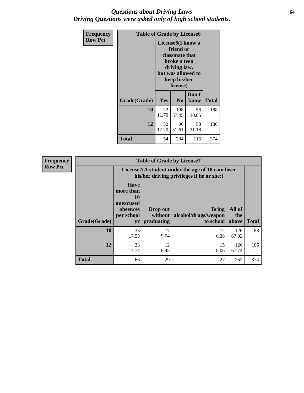#### *Questions about Driving Laws* **64** *Driving Questions were asked only of high school students.*

| <b>Frequency</b> | <b>Table of Grade by License6</b> |             |                                                                                                                           |                    |              |  |
|------------------|-----------------------------------|-------------|---------------------------------------------------------------------------------------------------------------------------|--------------------|--------------|--|
| <b>Row Pct</b>   |                                   |             | License <sub>6</sub> (I know a<br>friend or<br>classmate that<br>broke a teen<br>driving law,<br>keep his/her<br>license) | but was allowed to |              |  |
|                  | Grade(Grade)                      | Yes         | N <sub>0</sub>                                                                                                            | Don't<br>know      | <b>Total</b> |  |
|                  | 10                                | 22<br>11.70 | 108<br>57.45                                                                                                              | 58<br>30.85        | 188          |  |
|                  | 12                                | 32<br>17.20 | 96<br>51.61                                                                                                               | 58<br>31.18        | 186          |  |
|                  | Total                             | 54          | 204                                                                                                                       | 116                | 374          |  |

| Frequency      |              |                                                                             | <b>Table of Grade by License7</b>                                                             |                                                   |                        |              |  |  |  |
|----------------|--------------|-----------------------------------------------------------------------------|-----------------------------------------------------------------------------------------------|---------------------------------------------------|------------------------|--------------|--|--|--|
| <b>Row Pct</b> |              |                                                                             | License7(A student under the age of 18 cam loser<br>his/her driving privileges if he or she:) |                                                   |                        |              |  |  |  |
|                | Grade(Grade) | <b>Have</b><br>more than<br>10<br>unexcused<br>absences<br>per school<br>yr | Drop out<br>without  <br>graduating                                                           | <b>Bring</b><br>alcohol/drugs/weapon<br>to school | All of<br>the<br>above | <b>Total</b> |  |  |  |
|                | 10           | 33<br>17.55                                                                 | 17<br>9.04                                                                                    | 12<br>6.38                                        | 126<br>67.02           | 188          |  |  |  |
|                | 12           | 33<br>17.74                                                                 | 12<br>6.45                                                                                    | 15<br>8.06                                        | 126<br>67.74           | 186          |  |  |  |
|                | <b>Total</b> | 66                                                                          | 29                                                                                            | 27                                                | 252                    | 374          |  |  |  |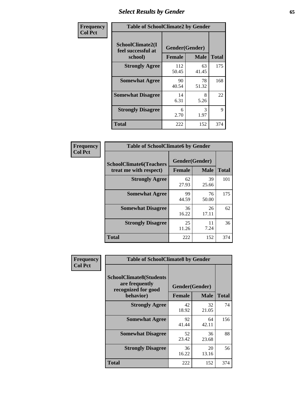# *Select Results by Gender* **65**

| Frequency      | <b>Table of SchoolClimate2 by Gender</b>          |                                 |             |              |  |
|----------------|---------------------------------------------------|---------------------------------|-------------|--------------|--|
| <b>Col Pct</b> | SchoolClimate2(I<br>feel successful at<br>school) | Gender(Gender)<br><b>Female</b> | <b>Male</b> | <b>Total</b> |  |
|                | <b>Strongly Agree</b>                             | 112<br>50.45                    | 63<br>41.45 | 175          |  |
|                | <b>Somewhat Agree</b>                             | 90<br>40.54                     | 78<br>51.32 | 168          |  |
|                | <b>Somewhat Disagree</b>                          | 14<br>6.31                      | 8<br>5.26   | 22           |  |
|                | <b>Strongly Disagree</b>                          | 6<br>2.70                       | 3<br>1.97   | 9            |  |
|                | <b>Total</b>                                      | 222                             | 152         | 374          |  |

| Frequency      | <b>Table of SchoolClimate6 by Gender</b>                 |                                 |             |              |  |
|----------------|----------------------------------------------------------|---------------------------------|-------------|--------------|--|
| <b>Col Pct</b> | <b>SchoolClimate6(Teachers</b><br>treat me with respect) | Gender(Gender)<br><b>Female</b> | <b>Male</b> | <b>Total</b> |  |
|                | <b>Strongly Agree</b>                                    | 62<br>27.93                     | 39<br>25.66 | 101          |  |
|                | <b>Somewhat Agree</b>                                    | 99<br>44.59                     | 76<br>50.00 | 175          |  |
|                | <b>Somewhat Disagree</b>                                 | 36<br>16.22                     | 26<br>17.11 | 62           |  |
|                | <b>Strongly Disagree</b>                                 | 25<br>11.26                     | 11<br>7.24  | 36           |  |
|                | <b>Total</b>                                             | 222                             | 152         | 374          |  |

| <b>Frequency</b> | <b>Table of SchoolClimate8 by Gender</b>                                             |                                 |             |              |
|------------------|--------------------------------------------------------------------------------------|---------------------------------|-------------|--------------|
| <b>Col Pct</b>   | <b>SchoolClimate8(Students</b><br>are frequently<br>recognized for good<br>behavior) | Gender(Gender)<br><b>Female</b> | <b>Male</b> | <b>Total</b> |
|                  | <b>Strongly Agree</b>                                                                | 42                              | 32          | 74           |
|                  |                                                                                      | 18.92                           | 21.05       |              |
|                  | <b>Somewhat Agree</b>                                                                | 92<br>41.44                     | 64<br>42.11 | 156          |
|                  | <b>Somewhat Disagree</b>                                                             | 52<br>23.42                     | 36<br>23.68 | 88           |
|                  | <b>Strongly Disagree</b>                                                             | 36<br>16.22                     | 20<br>13.16 | 56           |
|                  | Total                                                                                | 222                             | 152         | 374          |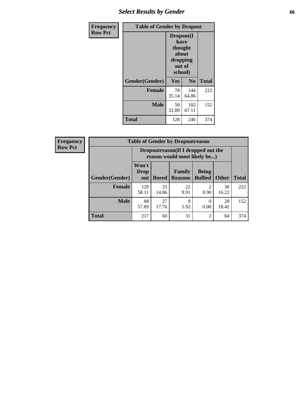# *Select Results by Gender* **66**

| Frequency      | <b>Table of Gender by Dropout</b> |                                                                        |                |              |
|----------------|-----------------------------------|------------------------------------------------------------------------|----------------|--------------|
| <b>Row Pct</b> |                                   | Dropout(I<br>have<br>thought<br>about<br>dropping<br>out of<br>school) |                |              |
|                | Gender(Gender)                    | Yes                                                                    | N <sub>0</sub> | <b>Total</b> |
|                | <b>Female</b>                     | 78<br>35.14                                                            | 144<br>64.86   | 222          |
|                | <b>Male</b>                       | 50<br>32.89                                                            | 102<br>67.11   | 152          |
|                | <b>Total</b>                      | 128                                                                    | 246            | 374          |

| <b>Frequency</b> |                        | <b>Table of Gender by Dropoutreason</b> |              |                                                                     |                                     |              |              |  |
|------------------|------------------------|-----------------------------------------|--------------|---------------------------------------------------------------------|-------------------------------------|--------------|--------------|--|
| <b>Row Pct</b>   |                        |                                         |              | Dropoutreason (If I dropped out the<br>reason would most likely be) |                                     |              |              |  |
|                  | <b>Gender</b> (Gender) | Won't<br>Drop<br>out                    | <b>Bored</b> | Family<br><b>Reasons</b>                                            | <b>Being</b><br><b>Bullied</b>      | <b>Other</b> | <b>Total</b> |  |
|                  | Female                 | 129<br>58.11                            | 33<br>14.86  | 22<br>9.91                                                          | $\mathcal{D}_{\mathcal{L}}$<br>0.90 | 36<br>16.22  | 222          |  |
|                  | <b>Male</b>            | 88<br>57.89                             | 27<br>17.76  | 9<br>5.92                                                           | 0<br>0.00                           | 28<br>18.42  | 152          |  |
|                  | <b>Total</b>           | 217                                     | 60           | 31                                                                  | $\overline{2}$                      | 64           | 374          |  |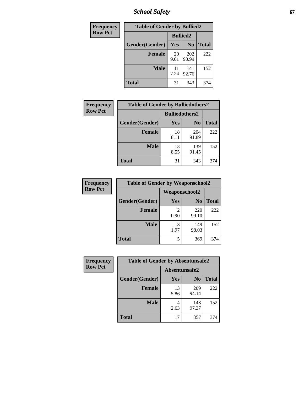*School Safety* **67**

| Frequency      | <b>Table of Gender by Bullied2</b> |                 |                |              |
|----------------|------------------------------------|-----------------|----------------|--------------|
| <b>Row Pct</b> |                                    | <b>Bullied2</b> |                |              |
|                | Gender(Gender)                     | Yes             | N <sub>0</sub> | <b>Total</b> |
|                | Female                             | 20<br>9.01      | 202<br>90.99   | 222          |
|                | <b>Male</b>                        | 11<br>7.24      | 141<br>92.76   | 152          |
|                | <b>Total</b>                       | 31              | 343            | 374          |

| Frequency      | <b>Table of Gender by Bulliedothers2</b> |                       |                |              |
|----------------|------------------------------------------|-----------------------|----------------|--------------|
| <b>Row Pct</b> |                                          | <b>Bulliedothers2</b> |                |              |
|                | Gender(Gender)                           | Yes                   | N <sub>0</sub> | <b>Total</b> |
|                | <b>Female</b>                            | 18<br>8.11            | 204<br>91.89   | 222          |
|                | Male                                     | 13<br>8.55            | 139<br>91.45   | 152          |
|                | <b>Total</b>                             | 31                    | 343            | 374          |

| <b>Frequency</b> | <b>Table of Gender by Weaponschool2</b> |               |                |              |
|------------------|-----------------------------------------|---------------|----------------|--------------|
| <b>Row Pct</b>   |                                         | Weaponschool2 |                |              |
|                  | Gender(Gender)                          | Yes           | N <sub>0</sub> | <b>Total</b> |
|                  | <b>Female</b>                           | 2<br>0.90     | 220<br>99.10   | 222          |
|                  | <b>Male</b>                             | 3<br>1.97     | 149<br>98.03   | 152          |
|                  | <b>Total</b>                            | 5             | 369            | 374          |

| Frequency      | <b>Table of Gender by Absentunsafe2</b> |               |                |              |
|----------------|-----------------------------------------|---------------|----------------|--------------|
| <b>Row Pct</b> |                                         | Absentunsafe2 |                |              |
|                | Gender(Gender)                          | Yes           | N <sub>0</sub> | <b>Total</b> |
|                | <b>Female</b>                           | 13<br>5.86    | 209<br>94.14   | 222          |
|                | <b>Male</b>                             | 2.63          | 148<br>97.37   | 152          |
|                | <b>Total</b>                            | 17            | 357            | 374          |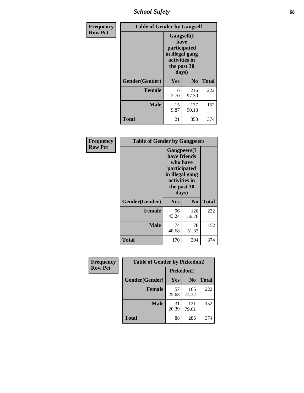*School Safety* **68**

| Frequency      | <b>Table of Gender by Gangself</b> |                                                                                                        |                |              |
|----------------|------------------------------------|--------------------------------------------------------------------------------------------------------|----------------|--------------|
| <b>Row Pct</b> |                                    | <b>Gangself</b> (I<br>have<br>participated<br>in illegal gang<br>activities in<br>the past 30<br>days) |                |              |
|                | Gender(Gender)                     | Yes                                                                                                    | N <sub>0</sub> | <b>Total</b> |
|                | <b>Female</b>                      | 6<br>2.70                                                                                              | 216<br>97.30   | 222          |
|                | <b>Male</b>                        | 15<br>9.87                                                                                             | 137<br>90.13   | 152          |
|                | <b>Total</b>                       | 21                                                                                                     | 353            | 374          |

| Frequency      | <b>Table of Gender by Gangpeers</b> |                                                                                                                             |                |              |
|----------------|-------------------------------------|-----------------------------------------------------------------------------------------------------------------------------|----------------|--------------|
| <b>Row Pct</b> |                                     | <b>Gangpeers</b> (I<br>have friends<br>who have<br>participated<br>in illegal gang<br>activities in<br>the past 30<br>days) |                |              |
|                | Gender(Gender)                      | Yes                                                                                                                         | N <sub>0</sub> | <b>Total</b> |
|                | <b>Female</b>                       | 96<br>43.24                                                                                                                 | 126<br>56.76   | 222          |
|                | <b>Male</b>                         | 74<br>48.68                                                                                                                 | 78<br>51.32    | 152          |
|                | <b>Total</b>                        | 170                                                                                                                         | 204            | 374          |

| Frequency      | <b>Table of Gender by Pickedon2</b> |             |                |              |
|----------------|-------------------------------------|-------------|----------------|--------------|
| <b>Row Pct</b> |                                     | Pickedon2   |                |              |
|                | Gender(Gender)                      | Yes         | N <sub>0</sub> | <b>Total</b> |
|                | <b>Female</b>                       | 57<br>25.68 | 165<br>74.32   | 222          |
|                | <b>Male</b>                         | 31<br>20.39 | 121<br>79.61   | 152          |
|                | <b>Total</b>                        | 88          | 286            | 374          |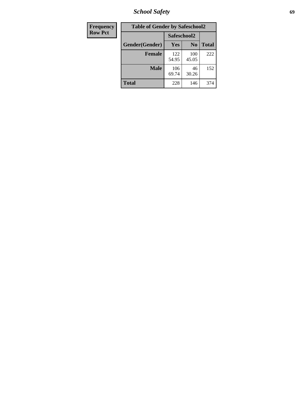*School Safety* **69**

| Frequency      | <b>Table of Gender by Safeschool2</b><br>Safeschool2 |              |                |              |  |
|----------------|------------------------------------------------------|--------------|----------------|--------------|--|
| <b>Row Pct</b> |                                                      |              |                |              |  |
|                | Gender(Gender)                                       | <b>Yes</b>   | N <sub>0</sub> | <b>Total</b> |  |
|                | <b>Female</b>                                        | 122<br>54.95 | 100<br>45.05   | 222          |  |
|                | <b>Male</b>                                          | 106<br>69.74 | 46<br>30.26    | 152          |  |
|                | <b>Total</b>                                         | 228          | 146            | 374          |  |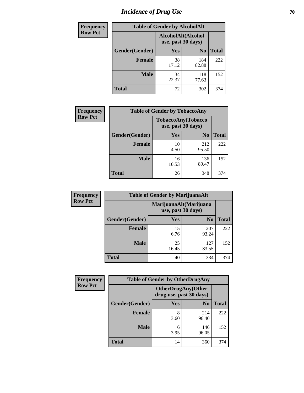# *Incidence of Drug Use* **70**

| <b>Frequency</b> | <b>Table of Gender by AlcoholAlt</b>     |             |                |              |  |
|------------------|------------------------------------------|-------------|----------------|--------------|--|
| <b>Row Pct</b>   | AlcoholAlt(Alcohol<br>use, past 30 days) |             |                |              |  |
|                  | Gender(Gender)                           | Yes         | N <sub>0</sub> | <b>Total</b> |  |
|                  | <b>Female</b>                            | 38<br>17.12 | 184<br>82.88   | 222          |  |
|                  | <b>Male</b>                              | 34<br>22.37 | 118<br>77.63   | 152          |  |
|                  | <b>Total</b>                             | 72          | 302            | 374          |  |

| <b>Frequency</b> | <b>Table of Gender by TobaccoAny</b> |                                          |                |              |  |
|------------------|--------------------------------------|------------------------------------------|----------------|--------------|--|
| <b>Row Pct</b>   |                                      | TobaccoAny(Tobacco<br>use, past 30 days) |                |              |  |
|                  | Gender(Gender)                       | Yes                                      | N <sub>0</sub> | <b>Total</b> |  |
|                  | <b>Female</b>                        | 10<br>4.50                               | 212<br>95.50   | 222          |  |
|                  | <b>Male</b>                          | 16<br>10.53                              | 136<br>89.47   | 152          |  |
|                  | <b>Total</b>                         | 26                                       | 348            | 374          |  |

| <b>Frequency</b> | <b>Table of Gender by MarijuanaAlt</b> |                    |                        |              |  |
|------------------|----------------------------------------|--------------------|------------------------|--------------|--|
| <b>Row Pct</b>   |                                        | use, past 30 days) | MarijuanaAlt(Marijuana |              |  |
|                  | Gender(Gender)                         | <b>Yes</b>         | N <sub>0</sub>         | <b>Total</b> |  |
|                  | <b>Female</b>                          | 15<br>6.76         | 207<br>93.24           | 222          |  |
|                  | <b>Male</b>                            | 25<br>16.45        | 127<br>83.55           | 152          |  |
|                  | <b>Total</b>                           | 40                 | 334                    | 374          |  |

| <b>Frequency</b> | <b>Table of Gender by OtherDrugAny</b> |                                                      |                |              |  |
|------------------|----------------------------------------|------------------------------------------------------|----------------|--------------|--|
| <b>Row Pct</b>   |                                        | <b>OtherDrugAny(Other</b><br>drug use, past 30 days) |                |              |  |
|                  | Gender(Gender)                         | <b>Yes</b>                                           | N <sub>0</sub> | <b>Total</b> |  |
|                  | <b>Female</b>                          | 8<br>3.60                                            | 214<br>96.40   | 222          |  |
|                  | <b>Male</b>                            | 6<br>3.95                                            | 146<br>96.05   | 152          |  |
|                  | <b>Total</b>                           | 14                                                   | 360            | 374          |  |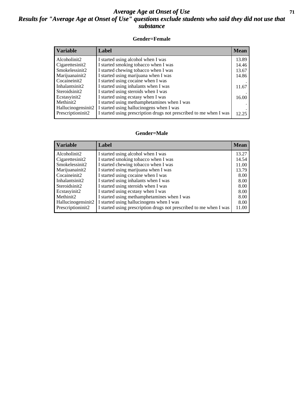### *Average Age at Onset of Use* **71** *Results for "Average Age at Onset of Use" questions exclude students who said they did not use that substance*

#### **Gender=Female**

| <b>Variable</b>                 | Label                                                              | <b>Mean</b> |
|---------------------------------|--------------------------------------------------------------------|-------------|
| Alcoholinit2                    | I started using alcohol when I was                                 | 13.89       |
| Cigarettesinit2                 | I started smoking tobacco when I was                               | 14.46       |
| Smokelessinit2                  | I started chewing tobacco when I was                               | 13.67       |
| Marijuanainit2                  | I started using marijuana when I was                               | 14.86       |
| Cocaineinit2                    | I started using cocaine when I was                                 |             |
| Inhalantsinit2                  | I started using inhalants when I was                               | 11.67       |
| Steroidsinit2                   | I started using steroids when I was                                |             |
| Ecstasyinit2                    | I started using ecstasy when I was                                 | 16.00       |
| Methinit2                       | I started using methamphetamines when I was                        |             |
| Hallucinogensinit2              | I started using hallucinogens when I was                           |             |
| Prescription in it <sub>2</sub> | I started using prescription drugs not prescribed to me when I was | 12.25       |

#### **Gender=Male**

| <b>Variable</b>       | Label                                                              | <b>Mean</b> |
|-----------------------|--------------------------------------------------------------------|-------------|
| Alcoholinit2          | I started using alcohol when I was                                 | 13.27       |
| Cigarettesinit2       | I started smoking tobacco when I was                               | 14.54       |
| Smokelessinit2        | I started chewing tobacco when I was                               | 11.00       |
| Marijuanainit2        | I started using marijuana when I was                               | 13.79       |
| Cocaineinit2          | I started using cocaine when I was                                 | 8.00        |
| Inhalantsinit2        | I started using inhalants when I was                               | 8.00        |
| Steroidsinit2         | I started using steroids when I was                                | 8.00        |
| Ecstasyinit2          | I started using ecstasy when I was                                 | 8.00        |
| Methinit <sub>2</sub> | I started using methamphetamines when I was                        | 8.00        |
| Hallucinogensinit2    | I started using hallucinogens when I was                           | 8.00        |
| Prescriptioninit2     | I started using prescription drugs not prescribed to me when I was | 11.00       |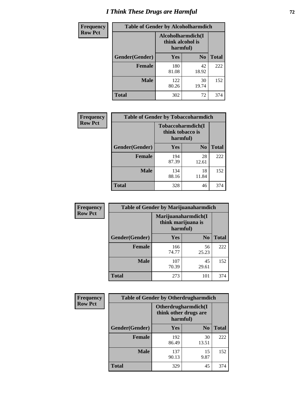# *I Think These Drugs are Harmful* **72**

| Frequency      | <b>Table of Gender by Alcoholharmdich</b> |                  |                               |              |
|----------------|-------------------------------------------|------------------|-------------------------------|--------------|
| <b>Row Pct</b> |                                           | think alcohol is | Alcoholharmdich(I<br>harmful) |              |
|                | Gender(Gender)                            | <b>Yes</b>       | N <sub>0</sub>                | <b>Total</b> |
|                | Female                                    | 180<br>81.08     | 42<br>18.92                   | 222          |
|                | <b>Male</b>                               | 122<br>80.26     | 30<br>19.74                   | 152          |
|                | <b>Total</b>                              | 302              | 72                            | 374          |

| Frequency      | <b>Table of Gender by Tobaccoharmdich</b> |                  |                               |              |  |
|----------------|-------------------------------------------|------------------|-------------------------------|--------------|--|
| <b>Row Pct</b> |                                           | think tobacco is | Tobaccoharmdich(I<br>harmful) |              |  |
|                | Gender(Gender)                            | <b>Yes</b>       | N <sub>0</sub>                | <b>Total</b> |  |
|                | <b>Female</b>                             | 194<br>87.39     | 28<br>12.61                   | 222          |  |
|                | <b>Male</b>                               | 134<br>88.16     | 18<br>11.84                   | 152          |  |
|                | <b>Total</b>                              | 328              | 46                            | 374          |  |

| Frequency      | <b>Table of Gender by Marijuanaharmdich</b> |                                                       |                |              |  |
|----------------|---------------------------------------------|-------------------------------------------------------|----------------|--------------|--|
| <b>Row Pct</b> |                                             | Marijuanaharmdich(I<br>think marijuana is<br>harmful) |                |              |  |
|                | Gender(Gender)                              | <b>Yes</b>                                            | N <sub>0</sub> | <b>Total</b> |  |
|                | <b>Female</b>                               | 166<br>74.77                                          | 56<br>25.23    | 222          |  |
|                | <b>Male</b>                                 | 107<br>70.39                                          | 45<br>29.61    | 152          |  |
|                | <b>Total</b>                                | 273                                                   | 101            | 374          |  |

| Frequency      | <b>Table of Gender by Otherdrugharmdich</b> |                                                          |                |              |  |
|----------------|---------------------------------------------|----------------------------------------------------------|----------------|--------------|--|
| <b>Row Pct</b> |                                             | Otherdrugharmdich(I<br>think other drugs are<br>harmful) |                |              |  |
|                | Gender(Gender)                              | <b>Yes</b>                                               | N <sub>0</sub> | <b>Total</b> |  |
|                | <b>Female</b>                               | 192<br>86.49                                             | 30<br>13.51    | 222          |  |
|                | <b>Male</b>                                 | 137<br>90.13                                             | 15<br>9.87     | 152          |  |
|                | <b>Total</b>                                | 329                                                      | 45             | 374          |  |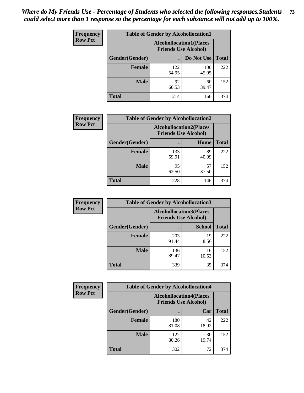| <b>Frequency</b> | <b>Table of Gender by Alcohollocation1</b> |                                                               |              |              |
|------------------|--------------------------------------------|---------------------------------------------------------------|--------------|--------------|
| <b>Row Pct</b>   |                                            | <b>Alcohollocation1(Places</b><br><b>Friends Use Alcohol)</b> |              |              |
|                  | Gender(Gender)                             |                                                               | Do Not Use   | <b>Total</b> |
|                  | <b>Female</b>                              | 122<br>54.95                                                  | 100<br>45.05 | 222          |
|                  | <b>Male</b>                                | 92<br>60.53                                                   | 60<br>39.47  | 152          |
|                  | <b>Total</b>                               | 214                                                           | 160          | 374          |

| <b>Frequency</b> | <b>Table of Gender by Alcohollocation2</b> |              |                                                               |              |
|------------------|--------------------------------------------|--------------|---------------------------------------------------------------|--------------|
| <b>Row Pct</b>   |                                            |              | <b>Alcohollocation2(Places</b><br><b>Friends Use Alcohol)</b> |              |
|                  | Gender(Gender)                             |              | Home                                                          | <b>Total</b> |
|                  | <b>Female</b>                              | 133<br>59.91 | 89<br>40.09                                                   | 222          |
|                  | <b>Male</b>                                | 95<br>62.50  | 57<br>37.50                                                   | 152          |
|                  | <b>Total</b>                               | 228          | 146                                                           | 374          |

| Frequency      | <b>Table of Gender by Alcohollocation3</b> |                                                               |               |              |
|----------------|--------------------------------------------|---------------------------------------------------------------|---------------|--------------|
| <b>Row Pct</b> |                                            | <b>Alcohollocation3(Places</b><br><b>Friends Use Alcohol)</b> |               |              |
|                | Gender(Gender)                             |                                                               | <b>School</b> | <b>Total</b> |
|                | <b>Female</b>                              | 203<br>91.44                                                  | 19<br>8.56    | 222          |
|                | <b>Male</b>                                | 136<br>89.47                                                  | 16<br>10.53   | 152          |
|                | <b>Total</b>                               | 339                                                           | 35            | 374          |

| Frequency      | <b>Table of Gender by Alcohollocation4</b> |                                                               |             |              |  |
|----------------|--------------------------------------------|---------------------------------------------------------------|-------------|--------------|--|
| <b>Row Pct</b> |                                            | <b>Alcohollocation4(Places</b><br><b>Friends Use Alcohol)</b> |             |              |  |
|                | Gender(Gender)                             |                                                               | Car         | <b>Total</b> |  |
|                | Female                                     | 180<br>81.08                                                  | 42<br>18.92 | 222          |  |
|                | <b>Male</b>                                | 122<br>80.26                                                  | 30<br>19.74 | 152          |  |
|                | <b>Total</b>                               | 302                                                           | 72          | 374          |  |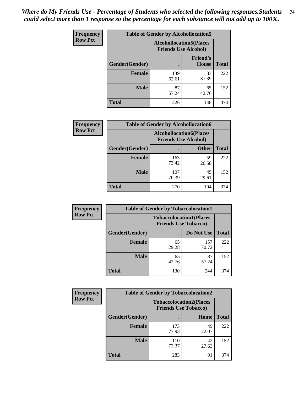| <b>Frequency</b> | <b>Table of Gender by Alcohollocation5</b> |                                                                |                                 |              |
|------------------|--------------------------------------------|----------------------------------------------------------------|---------------------------------|--------------|
| <b>Row Pct</b>   |                                            | <b>Alcohollocation5</b> (Places<br><b>Friends Use Alcohol)</b> |                                 |              |
|                  | <b>Gender</b> (Gender)                     |                                                                | <b>Friend's</b><br><b>House</b> | <b>Total</b> |
|                  | <b>Female</b>                              | 139<br>62.61                                                   | 83<br>37.39                     | 222          |
|                  | <b>Male</b>                                | 87<br>57.24                                                    | 65<br>42.76                     | 152          |
|                  | <b>Total</b>                               | 226                                                            | 148                             | 374          |

| Frequency      | <b>Table of Gender by Alcohollocation6</b> |                                                               |              |              |
|----------------|--------------------------------------------|---------------------------------------------------------------|--------------|--------------|
| <b>Row Pct</b> |                                            | <b>Alcohollocation6(Places</b><br><b>Friends Use Alcohol)</b> |              |              |
|                | Gender(Gender)                             |                                                               | <b>Other</b> | <b>Total</b> |
|                | <b>Female</b>                              | 163<br>73.42                                                  | 59<br>26.58  | 222          |
|                | <b>Male</b>                                | 107<br>70.39                                                  | 45<br>29.61  | 152          |
|                | <b>Total</b>                               | 270                                                           | 104          | 374          |

| Frequency      | <b>Table of Gender by Tobaccolocation1</b> |                                                               |              |              |  |
|----------------|--------------------------------------------|---------------------------------------------------------------|--------------|--------------|--|
| <b>Row Pct</b> |                                            | <b>Tobaccolocation1(Places</b><br><b>Friends Use Tobacco)</b> |              |              |  |
|                | Gender(Gender)                             |                                                               | Do Not Use   | <b>Total</b> |  |
|                | Female                                     | 65<br>29.28                                                   | 157<br>70.72 | 222          |  |
|                | <b>Male</b>                                | 65<br>42.76                                                   | 87<br>57.24  | 152          |  |
|                | <b>Total</b>                               | 130                                                           | 244          | 374          |  |

| <b>Frequency</b> | <b>Table of Gender by Tobaccolocation2</b> |                                                               |             |              |
|------------------|--------------------------------------------|---------------------------------------------------------------|-------------|--------------|
| <b>Row Pct</b>   |                                            | <b>Tobaccolocation2(Places</b><br><b>Friends Use Tobacco)</b> |             |              |
|                  | Gender(Gender)                             |                                                               | Home        | <b>Total</b> |
|                  | Female                                     | 173<br>77.93                                                  | 49<br>22.07 | 222          |
|                  | <b>Male</b>                                | 110<br>72.37                                                  | 42<br>27.63 | 152          |
|                  | <b>Total</b>                               | 283                                                           | 91          | 374          |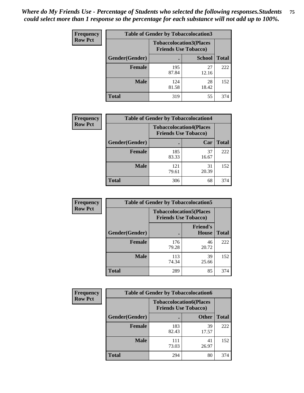| <b>Frequency</b> | <b>Table of Gender by Tobaccolocation3</b> |                                                               |               |              |  |
|------------------|--------------------------------------------|---------------------------------------------------------------|---------------|--------------|--|
| <b>Row Pct</b>   |                                            | <b>Tobaccolocation3(Places</b><br><b>Friends Use Tobacco)</b> |               |              |  |
|                  | Gender(Gender)                             |                                                               | <b>School</b> | <b>Total</b> |  |
|                  | <b>Female</b>                              | 195<br>87.84                                                  | 27<br>12.16   | 222          |  |
|                  | <b>Male</b>                                | 124<br>81.58                                                  | 28<br>18.42   | 152          |  |
|                  | <b>Total</b>                               | 319                                                           | 55            | 374          |  |

| <b>Frequency</b> | <b>Table of Gender by Tobaccolocation4</b> |              |                                                               |              |
|------------------|--------------------------------------------|--------------|---------------------------------------------------------------|--------------|
| <b>Row Pct</b>   |                                            |              | <b>Tobaccolocation4(Places</b><br><b>Friends Use Tobacco)</b> |              |
|                  | Gender(Gender)                             | с            | Car                                                           | <b>Total</b> |
|                  | Female                                     | 185<br>83.33 | 37<br>16.67                                                   | 222          |
|                  | <b>Male</b>                                | 121<br>79.61 | 31<br>20.39                                                   | 152          |
|                  | <b>Total</b>                               | 306          | 68                                                            | 374          |

| <b>Frequency</b> | <b>Table of Gender by Tobaccolocation5</b> |                                                               |                                 |              |
|------------------|--------------------------------------------|---------------------------------------------------------------|---------------------------------|--------------|
| <b>Row Pct</b>   |                                            | <b>Tobaccolocation5(Places</b><br><b>Friends Use Tobacco)</b> |                                 |              |
|                  | Gender(Gender)                             |                                                               | <b>Friend's</b><br><b>House</b> | <b>Total</b> |
|                  | <b>Female</b>                              | 176<br>79.28                                                  | 46<br>20.72                     | 222          |
|                  | <b>Male</b>                                | 113<br>74.34                                                  | 39<br>25.66                     | 152          |
|                  | <b>Total</b>                               | 289                                                           | 85                              | 374          |

| <b>Frequency</b> |                | <b>Table of Gender by Tobaccolocation6</b>                    |              |              |
|------------------|----------------|---------------------------------------------------------------|--------------|--------------|
| <b>Row Pct</b>   |                | <b>Tobaccolocation6(Places</b><br><b>Friends Use Tobacco)</b> |              |              |
|                  | Gender(Gender) |                                                               | <b>Other</b> | <b>Total</b> |
|                  | <b>Female</b>  | 183<br>82.43                                                  | 39<br>17.57  | 222          |
|                  | <b>Male</b>    | 111<br>73.03                                                  | 41<br>26.97  | 152          |
|                  | <b>Total</b>   | 294                                                           | 80           | 374          |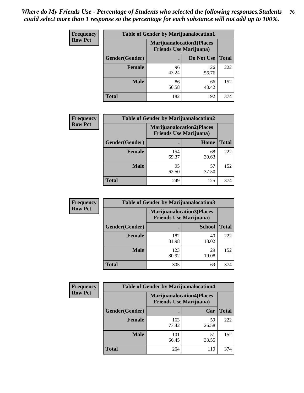| <b>Frequency</b> | <b>Table of Gender by Marijuanalocation1</b> |                                                                    |              |              |
|------------------|----------------------------------------------|--------------------------------------------------------------------|--------------|--------------|
| <b>Row Pct</b>   |                                              | <b>Marijuanalocation1(Places</b><br><b>Friends Use Marijuana</b> ) |              |              |
|                  | Gender(Gender)                               |                                                                    | Do Not Use   | <b>Total</b> |
|                  | <b>Female</b>                                | 96<br>43.24                                                        | 126<br>56.76 | 222          |
|                  | <b>Male</b>                                  | 86<br>56.58                                                        | 66<br>43.42  | 152          |
|                  | <b>Total</b>                                 | 182                                                                | 192          | 374          |

| <b>Frequency</b> | <b>Table of Gender by Marijuanalocation2</b> |                                                                    |             |              |
|------------------|----------------------------------------------|--------------------------------------------------------------------|-------------|--------------|
| <b>Row Pct</b>   |                                              | <b>Marijuanalocation2(Places</b><br><b>Friends Use Marijuana</b> ) |             |              |
|                  | Gender(Gender)                               |                                                                    | Home        | <b>Total</b> |
|                  | <b>Female</b>                                | 154<br>69.37                                                       | 68<br>30.63 | 222          |
|                  | <b>Male</b>                                  | 95<br>62.50                                                        | 57<br>37.50 | 152          |
|                  | <b>Total</b>                                 | 249                                                                | 125         | 374          |

| Frequency      | <b>Table of Gender by Marijuanalocation3</b> |              |                                                                    |              |  |
|----------------|----------------------------------------------|--------------|--------------------------------------------------------------------|--------------|--|
| <b>Row Pct</b> |                                              |              | <b>Marijuanalocation3(Places</b><br><b>Friends Use Marijuana</b> ) |              |  |
|                | Gender(Gender)                               |              | <b>School</b>                                                      | <b>Total</b> |  |
|                | Female                                       | 182<br>81.98 | 40<br>18.02                                                        | 222          |  |
|                | <b>Male</b>                                  | 123<br>80.92 | 29<br>19.08                                                        | 152          |  |
|                | <b>Total</b>                                 | 305          | 69                                                                 | 374          |  |

| <b>Frequency</b> | <b>Table of Gender by Marijuanalocation4</b> |                                |                                  |              |  |
|------------------|----------------------------------------------|--------------------------------|----------------------------------|--------------|--|
| <b>Row Pct</b>   |                                              | <b>Friends Use Marijuana</b> ) | <b>Marijuanalocation4(Places</b> |              |  |
|                  | Gender(Gender)                               |                                | Car                              | <b>Total</b> |  |
|                  | <b>Female</b>                                | 163<br>73.42                   | 59<br>26.58                      | 222          |  |
|                  | <b>Male</b>                                  | 101<br>66.45                   | 51<br>33.55                      | 152          |  |
|                  | <b>Total</b>                                 | 264                            | 110                              | 374          |  |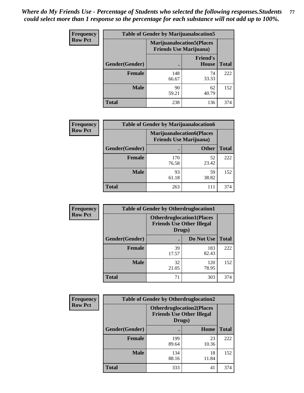| <b>Frequency</b> | <b>Table of Gender by Marijuanalocation5</b> |                                                                     |                                 |              |
|------------------|----------------------------------------------|---------------------------------------------------------------------|---------------------------------|--------------|
| <b>Row Pct</b>   |                                              | <b>Marijuanalocation5</b> (Places<br><b>Friends Use Marijuana</b> ) |                                 |              |
|                  | Gender(Gender)                               |                                                                     | <b>Friend's</b><br><b>House</b> | <b>Total</b> |
|                  | <b>Female</b>                                | 148<br>66.67                                                        | 74<br>33.33                     | 222          |
|                  | <b>Male</b>                                  | 90<br>59.21                                                         | 62<br>40.79                     | 152          |
|                  | <b>Total</b>                                 | 238                                                                 | 136                             | 374          |

| <b>Frequency</b> | <b>Table of Gender by Marijuanalocation6</b> |                                |                                  |              |
|------------------|----------------------------------------------|--------------------------------|----------------------------------|--------------|
| <b>Row Pct</b>   |                                              | <b>Friends Use Marijuana</b> ) | <b>Marijuanalocation6(Places</b> |              |
|                  | <b>Gender</b> (Gender)                       |                                | <b>Other</b>                     | <b>Total</b> |
|                  | Female                                       | 170<br>76.58                   | 52<br>23.42                      | 222          |
|                  | <b>Male</b>                                  | 93<br>61.18                    | 59<br>38.82                      | 152          |
|                  | Total                                        | 263                            | 111                              | 374          |

| <b>Frequency</b> | <b>Table of Gender by Otherdruglocation1</b> |                                            |                                  |              |
|------------------|----------------------------------------------|--------------------------------------------|----------------------------------|--------------|
| <b>Row Pct</b>   |                                              | <b>Friends Use Other Illegal</b><br>Drugs) | <b>Otherdruglocation1(Places</b> |              |
|                  | Gender(Gender)                               |                                            | Do Not Use                       | <b>Total</b> |
|                  | Female                                       | 39<br>17.57                                | 183<br>82.43                     | 222          |
|                  | <b>Male</b>                                  | 32<br>21.05                                | 120<br>78.95                     | 152          |
|                  | <b>Total</b>                                 | 71                                         | 303                              | 374          |

| <b>Frequency</b> | <b>Table of Gender by Otherdruglocation2</b> |                                            |                                  |              |
|------------------|----------------------------------------------|--------------------------------------------|----------------------------------|--------------|
| <b>Row Pct</b>   |                                              | <b>Friends Use Other Illegal</b><br>Drugs) | <b>Otherdruglocation2(Places</b> |              |
|                  | Gender(Gender)                               |                                            | Home                             | <b>Total</b> |
|                  | Female                                       | 199<br>89.64                               | 23<br>10.36                      | 222          |
|                  | <b>Male</b>                                  | 134<br>88.16                               | 18<br>11.84                      | 152          |
|                  | <b>Total</b>                                 | 333                                        | 41                               | 374          |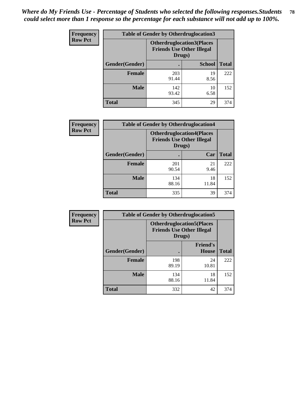| <b>Frequency</b> | <b>Table of Gender by Otherdruglocation3</b> |                                                                                |               |              |
|------------------|----------------------------------------------|--------------------------------------------------------------------------------|---------------|--------------|
| <b>Row Pct</b>   |                                              | <b>Otherdruglocation3(Places</b><br><b>Friends Use Other Illegal</b><br>Drugs) |               |              |
|                  | Gender(Gender)                               |                                                                                | <b>School</b> | <b>Total</b> |
|                  | <b>Female</b>                                | 203<br>91.44                                                                   | 19<br>8.56    | 222          |
|                  | <b>Male</b>                                  | 142<br>93.42                                                                   | 10<br>6.58    | 152          |
|                  | <b>Total</b>                                 | 345                                                                            | 29            | 374          |

| Frequency      | <b>Table of Gender by Otherdruglocation4</b> |                                                                                |             |              |
|----------------|----------------------------------------------|--------------------------------------------------------------------------------|-------------|--------------|
| <b>Row Pct</b> |                                              | <b>Otherdruglocation4(Places</b><br><b>Friends Use Other Illegal</b><br>Drugs) |             |              |
|                | Gender(Gender)                               |                                                                                | Car         | <b>Total</b> |
|                | Female                                       | 201<br>90.54                                                                   | 21<br>9.46  | 222          |
|                | <b>Male</b>                                  | 134<br>88.16                                                                   | 18<br>11.84 | 152          |
|                | <b>Total</b>                                 | 335                                                                            | 39          | 374          |

| Frequency      | <b>Table of Gender by Otherdruglocation5</b> |                                                                                |                                 |              |
|----------------|----------------------------------------------|--------------------------------------------------------------------------------|---------------------------------|--------------|
| <b>Row Pct</b> |                                              | <b>Otherdruglocation5(Places</b><br><b>Friends Use Other Illegal</b><br>Drugs) |                                 |              |
|                | Gender(Gender)                               |                                                                                | <b>Friend's</b><br><b>House</b> | <b>Total</b> |
|                | <b>Female</b>                                | 198<br>89.19                                                                   | 24<br>10.81                     | 222          |
|                | <b>Male</b>                                  | 134<br>88.16                                                                   | 18<br>11.84                     | 152          |
|                | <b>Total</b>                                 | 332                                                                            | 42                              | 374          |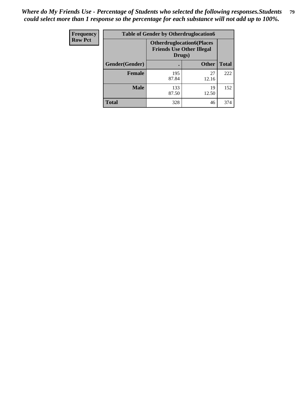| Frequency      | <b>Table of Gender by Otherdruglocation6</b> |                                                                                |              |              |
|----------------|----------------------------------------------|--------------------------------------------------------------------------------|--------------|--------------|
| <b>Row Pct</b> |                                              | <b>Otherdruglocation6(Places</b><br><b>Friends Use Other Illegal</b><br>Drugs) |              |              |
|                | Gender(Gender)                               |                                                                                | <b>Other</b> | <b>Total</b> |
|                | Female                                       | 195<br>87.84                                                                   | 27<br>12.16  | 222          |
|                | <b>Male</b>                                  | 133<br>87.50                                                                   | 19<br>12.50  | 152          |
|                | <b>Total</b>                                 | 328                                                                            | 46           | 374          |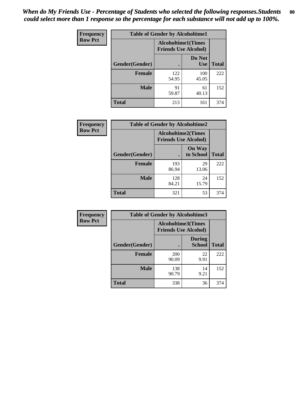| <b>Frequency</b> | <b>Table of Gender by Alcoholtime1</b> |                                                          |                      |              |
|------------------|----------------------------------------|----------------------------------------------------------|----------------------|--------------|
| <b>Row Pct</b>   |                                        | <b>Alcoholtime1(Times</b><br><b>Friends Use Alcohol)</b> |                      |              |
|                  | Gender(Gender)                         | $\bullet$                                                | Do Not<br><b>Use</b> | <b>Total</b> |
|                  | <b>Female</b>                          | 122<br>54.95                                             | 100<br>45.05         | 222          |
|                  | <b>Male</b>                            | 91<br>59.87                                              | 61<br>40.13          | 152          |
|                  | <b>Total</b>                           | 213                                                      | 161                  | 374          |

| Frequency      | <b>Table of Gender by Alcoholtime2</b> |                                                          |                            |              |
|----------------|----------------------------------------|----------------------------------------------------------|----------------------------|--------------|
| <b>Row Pct</b> |                                        | <b>Alcoholtime2(Times</b><br><b>Friends Use Alcohol)</b> |                            |              |
|                | Gender(Gender)                         |                                                          | <b>On Way</b><br>to School | <b>Total</b> |
|                | <b>Female</b>                          | 193<br>86.94                                             | 29<br>13.06                | 222          |
|                | <b>Male</b>                            | 128<br>84.21                                             | 24<br>15.79                | 152          |
|                | <b>Total</b>                           | 321                                                      | 53                         | 374          |

| <b>Frequency</b> | <b>Table of Gender by Alcoholtime3</b> |                                                   |                                |              |
|------------------|----------------------------------------|---------------------------------------------------|--------------------------------|--------------|
| <b>Row Pct</b>   |                                        | Alcoholtime3(Times<br><b>Friends Use Alcohol)</b> |                                |              |
|                  | Gender(Gender)                         |                                                   | <b>During</b><br><b>School</b> | <b>Total</b> |
|                  | Female                                 | 200<br>90.09                                      | 22<br>9.91                     | 222          |
|                  | <b>Male</b>                            | 138<br>90.79                                      | 14<br>9.21                     | 152          |
|                  | <b>Total</b>                           | 338                                               | 36                             | 374          |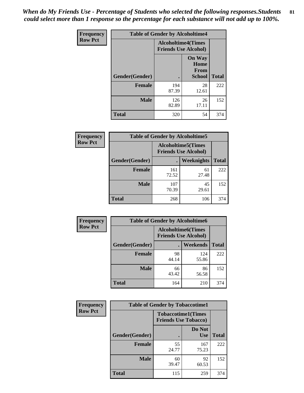*When do My Friends Use - Percentage of Students who selected the following responses.Students could select more than 1 response so the percentage for each substance will not add up to 100%.* **81**

| <b>Frequency</b> | <b>Table of Gender by Alcoholtime4</b> |                                                          |                                                       |              |
|------------------|----------------------------------------|----------------------------------------------------------|-------------------------------------------------------|--------------|
| <b>Row Pct</b>   |                                        | <b>Alcoholtime4(Times</b><br><b>Friends Use Alcohol)</b> |                                                       |              |
|                  | Gender(Gender)                         |                                                          | <b>On Way</b><br>Home<br><b>From</b><br><b>School</b> | <b>Total</b> |
|                  | <b>Female</b>                          | 194<br>87.39                                             | 28<br>12.61                                           | 222          |
|                  | <b>Male</b>                            | 126<br>82.89                                             | 26<br>17.11                                           | 152          |
|                  | <b>Total</b>                           | 320                                                      | 54                                                    | 374          |

| <b>Frequency</b> | <b>Table of Gender by Alcoholtime5</b> |              |                                                          |              |
|------------------|----------------------------------------|--------------|----------------------------------------------------------|--------------|
| <b>Row Pct</b>   |                                        |              | <b>Alcoholtime5(Times</b><br><b>Friends Use Alcohol)</b> |              |
|                  | Gender(Gender)                         |              | <b>Weeknights</b>                                        | <b>Total</b> |
|                  | <b>Female</b>                          | 161<br>72.52 | 61<br>27.48                                              | 222          |
|                  | <b>Male</b>                            | 107<br>70.39 | 45<br>29.61                                              | 152          |
|                  | <b>Total</b>                           | 268          | 106                                                      | 374          |

| <b>Frequency</b> | <b>Table of Gender by Alcoholtime6</b> |                                                          |              |              |  |
|------------------|----------------------------------------|----------------------------------------------------------|--------------|--------------|--|
| <b>Row Pct</b>   |                                        | <b>Alcoholtime6(Times</b><br><b>Friends Use Alcohol)</b> |              |              |  |
|                  | Gender(Gender)                         |                                                          | Weekends     | <b>Total</b> |  |
|                  | Female                                 | 98<br>44.14                                              | 124<br>55.86 | 222          |  |
|                  | <b>Male</b>                            | 66<br>43.42                                              | 86<br>56.58  | 152          |  |
|                  | <b>Total</b>                           | 164                                                      | 210          | 374          |  |

| <b>Frequency</b> | <b>Table of Gender by Tobaccotime1</b> |                                                          |                      |              |
|------------------|----------------------------------------|----------------------------------------------------------|----------------------|--------------|
| <b>Row Pct</b>   |                                        | <b>Tobaccotime1(Times</b><br><b>Friends Use Tobacco)</b> |                      |              |
|                  | Gender(Gender)                         |                                                          | Do Not<br><b>Use</b> | <b>Total</b> |
|                  | <b>Female</b>                          | 55<br>24.77                                              | 167<br>75.23         | 222          |
|                  | <b>Male</b>                            | 60<br>39.47                                              | 92<br>60.53          | 152          |
|                  | <b>Total</b>                           | 115                                                      | 259                  | 374          |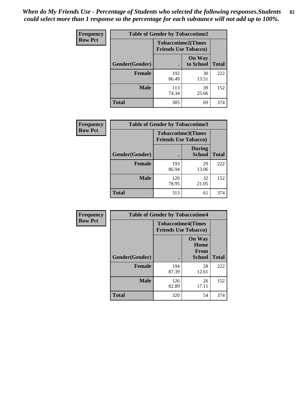*When do My Friends Use - Percentage of Students who selected the following responses.Students could select more than 1 response so the percentage for each substance will not add up to 100%.* **82**

| Frequency      | <b>Table of Gender by Tobaccotime2</b> |                                                          |                            |              |  |
|----------------|----------------------------------------|----------------------------------------------------------|----------------------------|--------------|--|
| <b>Row Pct</b> |                                        | <b>Tobaccotime2(Times</b><br><b>Friends Use Tobacco)</b> |                            |              |  |
|                | Gender(Gender)                         | $\bullet$                                                | <b>On Way</b><br>to School | <b>Total</b> |  |
|                | <b>Female</b>                          | 192<br>86.49                                             | 30<br>13.51                | 222          |  |
|                | <b>Male</b>                            | 113<br>74.34                                             | 39<br>25.66                | 152          |  |
|                | Total                                  | 305                                                      | 69                         | 374          |  |

| Frequency      | <b>Table of Gender by Tobaccotime3</b> |                                                          |                                |              |
|----------------|----------------------------------------|----------------------------------------------------------|--------------------------------|--------------|
| <b>Row Pct</b> |                                        | <b>Tobaccotime3(Times</b><br><b>Friends Use Tobacco)</b> |                                |              |
|                | Gender(Gender)                         |                                                          | <b>During</b><br><b>School</b> | <b>Total</b> |
|                | Female                                 | 193<br>86.94                                             | 29<br>13.06                    | 222          |
|                | <b>Male</b>                            | 120<br>78.95                                             | 32<br>21.05                    | 152          |
|                | <b>Total</b>                           | 313                                                      | 61                             | 374          |

| Frequency      | <b>Table of Gender by Tobaccotime4</b> |                                                          |                                                |              |
|----------------|----------------------------------------|----------------------------------------------------------|------------------------------------------------|--------------|
| <b>Row Pct</b> |                                        | <b>Tobaccotime4(Times</b><br><b>Friends Use Tobacco)</b> |                                                |              |
|                | Gender(Gender)                         |                                                          | <b>On Way</b><br>Home<br>From<br><b>School</b> | <b>Total</b> |
|                | <b>Female</b>                          | 194<br>87.39                                             | 28<br>12.61                                    | 222          |
|                | <b>Male</b>                            | 126<br>82.89                                             | 26<br>17.11                                    | 152          |
|                | <b>Total</b>                           | 320                                                      | 54                                             | 374          |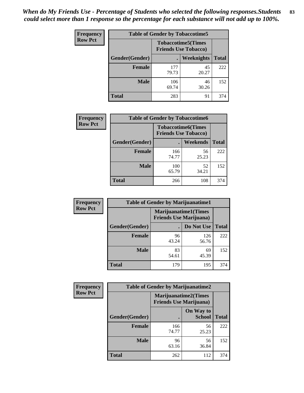| <b>Frequency</b> | <b>Table of Gender by Tobaccotime5</b> |              |                                                           |              |  |
|------------------|----------------------------------------|--------------|-----------------------------------------------------------|--------------|--|
| <b>Row Pct</b>   |                                        |              | <b>Tobaccotime5</b> (Times<br><b>Friends Use Tobacco)</b> |              |  |
|                  | <b>Gender</b> (Gender)                 |              | Weeknights                                                | <b>Total</b> |  |
|                  | <b>Female</b>                          | 177<br>79.73 | 45<br>20.27                                               | 222          |  |
|                  | <b>Male</b>                            | 106<br>69.74 | 46<br>30.26                                               | 152          |  |
|                  | Total                                  | 283          | 91                                                        | 374          |  |

| <b>Frequency</b> | <b>Table of Gender by Tobaccotime6</b> |                                                          |                 |              |  |
|------------------|----------------------------------------|----------------------------------------------------------|-----------------|--------------|--|
| <b>Row Pct</b>   |                                        | <b>Tobaccotime6(Times</b><br><b>Friends Use Tobacco)</b> |                 |              |  |
|                  | Gender(Gender)                         |                                                          | <b>Weekends</b> | <b>Total</b> |  |
|                  | Female                                 | 166<br>74.77                                             | 56<br>25.23     | 222          |  |
|                  | <b>Male</b>                            | 100<br>65.79                                             | 52<br>34.21     | 152          |  |
|                  | <b>Total</b>                           | 266                                                      | 108             | 374          |  |

| Frequency      |                | <b>Table of Gender by Marijuanatime1</b> |                             |              |
|----------------|----------------|------------------------------------------|-----------------------------|--------------|
| <b>Row Pct</b> |                | <b>Friends Use Marijuana</b> )           | <b>Marijuanatime1(Times</b> |              |
|                | Gender(Gender) |                                          | Do Not Use                  | <b>Total</b> |
|                | <b>Female</b>  | 96<br>43.24                              | 126<br>56.76                | 222          |
|                | <b>Male</b>    | 83<br>54.61                              | 69<br>45.39                 | 152          |
|                | <b>Total</b>   | 179                                      | 195                         | 374          |

| <b>Frequency</b> | <b>Table of Gender by Marijuanatime2</b> |                                                        |                            |              |
|------------------|------------------------------------------|--------------------------------------------------------|----------------------------|--------------|
| <b>Row Pct</b>   |                                          | Marijuanatime2(Times<br><b>Friends Use Marijuana</b> ) |                            |              |
|                  | Gender(Gender)                           |                                                        | On Way to<br><b>School</b> | <b>Total</b> |
|                  | <b>Female</b>                            | 166<br>74.77                                           | 56<br>25.23                | 222          |
|                  | <b>Male</b>                              | 96<br>63.16                                            | 56<br>36.84                | 152          |
|                  | <b>Total</b>                             | 262                                                    | 112                        | 374          |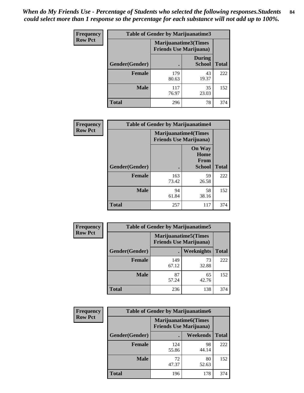| Frequency      | <b>Table of Gender by Marijuanatime3</b> |                                                        |                                |              |
|----------------|------------------------------------------|--------------------------------------------------------|--------------------------------|--------------|
| <b>Row Pct</b> |                                          | Marijuanatime3(Times<br><b>Friends Use Marijuana</b> ) |                                |              |
|                | Gender(Gender)                           |                                                        | <b>During</b><br><b>School</b> | <b>Total</b> |
|                | <b>Female</b>                            | 179<br>80.63                                           | 43<br>19.37                    | 222          |
|                | <b>Male</b>                              | 117<br>76.97                                           | 35<br>23.03                    | 152          |
|                | <b>Total</b>                             | 296                                                    | 78                             | 374          |

| Frequency      | <b>Table of Gender by Marijuanatime4</b> |                                                                |                                                       |              |
|----------------|------------------------------------------|----------------------------------------------------------------|-------------------------------------------------------|--------------|
| <b>Row Pct</b> |                                          | <b>Marijuanatime4</b> (Times<br><b>Friends Use Marijuana</b> ) |                                                       |              |
|                | Gender(Gender)                           |                                                                | <b>On Way</b><br>Home<br><b>From</b><br><b>School</b> | <b>Total</b> |
|                | <b>Female</b>                            | 163<br>73.42                                                   | 59<br>26.58                                           | 222          |
|                | <b>Male</b>                              | 94<br>61.84                                                    | 58<br>38.16                                           | 152          |
|                | <b>Total</b>                             | 257                                                            | 117                                                   | 374          |

| Frequency      | <b>Table of Gender by Marijuanatime5</b> |                                                                |             |              |  |
|----------------|------------------------------------------|----------------------------------------------------------------|-------------|--------------|--|
| <b>Row Pct</b> |                                          | <b>Marijuanatime5</b> (Times<br><b>Friends Use Marijuana</b> ) |             |              |  |
|                | Gender(Gender)                           |                                                                | Weeknights  | <b>Total</b> |  |
|                | <b>Female</b>                            | 149<br>67.12                                                   | 73<br>32.88 | 222          |  |
|                | <b>Male</b>                              | 87<br>57.24                                                    | 65<br>42.76 | 152          |  |
|                | <b>Total</b>                             | 236                                                            | 138         | 374          |  |

| Frequency      | <b>Table of Gender by Marijuanatime6</b> |                                                               |                 |              |  |
|----------------|------------------------------------------|---------------------------------------------------------------|-----------------|--------------|--|
| <b>Row Pct</b> |                                          | <b>Marijuanatime6(Times</b><br><b>Friends Use Marijuana</b> ) |                 |              |  |
|                | Gender(Gender)                           |                                                               | <b>Weekends</b> | <b>Total</b> |  |
|                | <b>Female</b>                            | 124<br>55.86                                                  | 98<br>44.14     | 222          |  |
|                | <b>Male</b>                              | 72<br>47.37                                                   | 80<br>52.63     | 152          |  |
|                | <b>Total</b>                             | 196                                                           | 178             | 374          |  |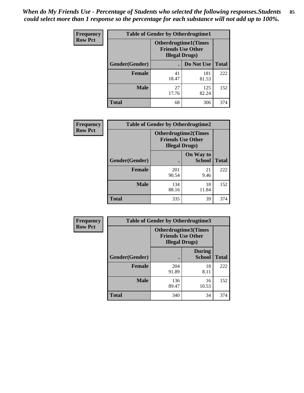*When do My Friends Use - Percentage of Students who selected the following responses.Students could select more than 1 response so the percentage for each substance will not add up to 100%.* **85**

| <b>Frequency</b> | <b>Table of Gender by Otherdrugtime1</b> |                        |                                                          |              |
|------------------|------------------------------------------|------------------------|----------------------------------------------------------|--------------|
| <b>Row Pct</b>   |                                          | <b>Illegal Drugs</b> ) | <b>Otherdrugtime1</b> (Times<br><b>Friends Use Other</b> |              |
|                  | Gender(Gender)                           |                        | Do Not Use                                               | <b>Total</b> |
|                  | <b>Female</b>                            | 41<br>18.47            | 181<br>81.53                                             | 222          |
|                  | <b>Male</b>                              | 27<br>17.76            | 125<br>82.24                                             | 152          |
|                  | <b>Total</b>                             | 68                     | 306                                                      | 374          |

| Frequency      | <b>Table of Gender by Otherdrugtime2</b> |                                                                                   |                            |              |  |
|----------------|------------------------------------------|-----------------------------------------------------------------------------------|----------------------------|--------------|--|
| <b>Row Pct</b> |                                          | <b>Otherdrugtime2(Times</b><br><b>Friends Use Other</b><br><b>Illegal Drugs</b> ) |                            |              |  |
|                | Gender(Gender)                           |                                                                                   | On Way to<br><b>School</b> | <b>Total</b> |  |
|                | <b>Female</b>                            | 201<br>90.54                                                                      | 21<br>9.46                 | 222          |  |
|                | <b>Male</b>                              | 134<br>88.16                                                                      | 18<br>11.84                | 152          |  |
|                | <b>Total</b>                             | 335                                                                               | 39                         | 374          |  |

| Frequency      | <b>Table of Gender by Otherdrugtime3</b> |                        |                                                         |              |
|----------------|------------------------------------------|------------------------|---------------------------------------------------------|--------------|
| <b>Row Pct</b> |                                          | <b>Illegal Drugs</b> ) | <b>Otherdrugtime3(Times</b><br><b>Friends Use Other</b> |              |
|                | Gender(Gender)                           |                        | <b>During</b><br><b>School</b>                          | <b>Total</b> |
|                | <b>Female</b>                            | 204<br>91.89           | 18<br>8.11                                              | 222          |
|                | <b>Male</b>                              | 136<br>89.47           | 16<br>10.53                                             | 152          |
|                | <b>Total</b>                             | 340                    | 34                                                      | 374          |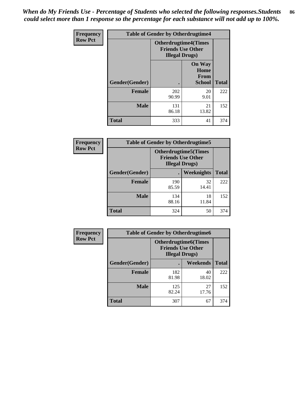*When do My Friends Use - Percentage of Students who selected the following responses.Students could select more than 1 response so the percentage for each substance will not add up to 100%.* **86**

| <b>Frequency</b> | <b>Table of Gender by Otherdrugtime4</b> |                                                    |                                                       |              |
|------------------|------------------------------------------|----------------------------------------------------|-------------------------------------------------------|--------------|
| <b>Row Pct</b>   |                                          | <b>Friends Use Other</b><br><b>Illegal Drugs</b> ) | <b>Otherdrugtime4(Times</b>                           |              |
|                  | Gender(Gender)                           |                                                    | <b>On Way</b><br>Home<br><b>From</b><br><b>School</b> | <b>Total</b> |
|                  | <b>Female</b>                            | 202<br>90.99                                       | 20<br>9.01                                            | 222          |
|                  | <b>Male</b>                              | 131<br>86.18                                       | 21<br>13.82                                           | 152          |
|                  | Total                                    | 333                                                | 41                                                    | 374          |

| Frequency      | <b>Table of Gender by Otherdrugtime5</b> |                                                                                    |             |              |
|----------------|------------------------------------------|------------------------------------------------------------------------------------|-------------|--------------|
| <b>Row Pct</b> |                                          | <b>Otherdrugtime5</b> (Times<br><b>Friends Use Other</b><br><b>Illegal Drugs</b> ) |             |              |
|                | Gender(Gender)                           |                                                                                    | Weeknights  | <b>Total</b> |
|                | <b>Female</b>                            | 190<br>85.59                                                                       | 32<br>14.41 | 222          |
|                | <b>Male</b>                              | 134<br>88.16                                                                       | 18<br>11.84 | 152          |
|                | <b>Total</b>                             | 324                                                                                | 50          | 374          |

| <b>Frequency</b> | <b>Table of Gender by Otherdrugtime6</b> |                                                                                   |             |              |
|------------------|------------------------------------------|-----------------------------------------------------------------------------------|-------------|--------------|
| <b>Row Pct</b>   |                                          | <b>Otherdrugtime6(Times</b><br><b>Friends Use Other</b><br><b>Illegal Drugs</b> ) |             |              |
|                  | Gender(Gender)                           |                                                                                   | Weekends    | <b>Total</b> |
|                  | Female                                   | 182<br>81.98                                                                      | 40<br>18.02 | 222          |
|                  | <b>Male</b>                              | 125<br>82.24                                                                      | 27<br>17.76 | 152          |
|                  | <b>Total</b>                             | 307                                                                               | 67          | 374          |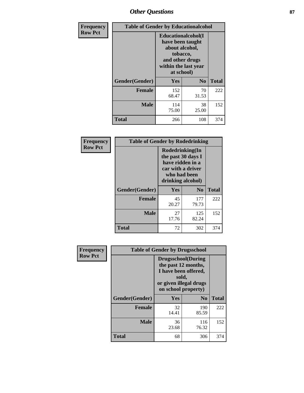# *Other Questions* **87**

| <b>Frequency</b> | <b>Table of Gender by Educationalcohol</b> |                                                                                                                                       |             |              |
|------------------|--------------------------------------------|---------------------------------------------------------------------------------------------------------------------------------------|-------------|--------------|
| <b>Row Pct</b>   |                                            | <b>Educationalcohol</b> (I<br>have been taught<br>about alcohol,<br>tobacco,<br>and other drugs<br>within the last year<br>at school) |             |              |
|                  | Gender(Gender)                             | <b>Yes</b>                                                                                                                            | $\bf No$    | <b>Total</b> |
|                  | <b>Female</b>                              | 152<br>68.47                                                                                                                          | 70<br>31.53 | 222          |
|                  | <b>Male</b>                                | 114<br>75.00                                                                                                                          | 38<br>25.00 | 152          |
|                  | <b>Total</b>                               | 266                                                                                                                                   | 108         | 374          |

| Frequency      | <b>Table of Gender by Rodedrinking</b> |                                                                                                                     |                |              |  |
|----------------|----------------------------------------|---------------------------------------------------------------------------------------------------------------------|----------------|--------------|--|
| <b>Row Pct</b> |                                        | Rodedrinking(In<br>the past 30 days I<br>have ridden in a<br>car with a driver<br>who had been<br>drinking alcohol) |                |              |  |
|                | Gender(Gender)                         | Yes                                                                                                                 | N <sub>0</sub> | <b>Total</b> |  |
|                | <b>Female</b>                          | 45<br>20.27                                                                                                         | 177<br>79.73   | 222          |  |
|                | <b>Male</b>                            | 27<br>17.76                                                                                                         | 125<br>82.24   | 152          |  |
|                | <b>Total</b>                           | 72                                                                                                                  | 302            | 374          |  |

| Frequency      | <b>Table of Gender by Drugsschool</b> |                                                                                                                                     |                |              |  |
|----------------|---------------------------------------|-------------------------------------------------------------------------------------------------------------------------------------|----------------|--------------|--|
| <b>Row Pct</b> |                                       | <b>Drugsschool</b> (During<br>the past 12 months,<br>I have been offered,<br>sold,<br>or given illegal drugs<br>on school property) |                |              |  |
|                | Gender(Gender)                        | Yes                                                                                                                                 | N <sub>0</sub> | <b>Total</b> |  |
|                | <b>Female</b>                         | 32<br>14.41                                                                                                                         | 190<br>85.59   | 222          |  |
|                | <b>Male</b>                           | 36<br>23.68                                                                                                                         | 116<br>76.32   | 152          |  |
|                | <b>Total</b>                          | 68                                                                                                                                  | 306            | 374          |  |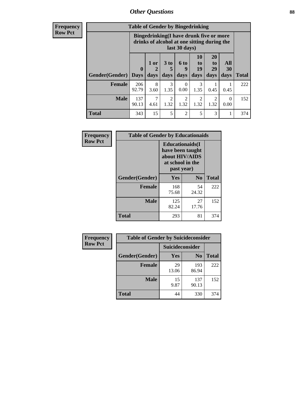# *Other Questions* **88**

**Frequency Row Pct**

| <b>Table of Gender by Bingedrinking</b> |                         |                                                                                                         |                        |                        |                        |                               |                   |              |
|-----------------------------------------|-------------------------|---------------------------------------------------------------------------------------------------------|------------------------|------------------------|------------------------|-------------------------------|-------------------|--------------|
|                                         |                         | Bingedrinking(I have drunk five or more<br>drinks of alcohol at one sitting during the<br>last 30 days) |                        |                        |                        |                               |                   |              |
| <b>Gender</b> (Gender)                  | $\bf{0}$<br><b>Days</b> | 1 or<br>days                                                                                            | 3 to<br>5<br>days      | 6 to<br>9<br>days      | 10<br>to<br>19<br>days | <b>20</b><br>to<br>29<br>days | All<br>30<br>days | <b>Total</b> |
|                                         |                         |                                                                                                         |                        |                        |                        |                               |                   |              |
| <b>Female</b>                           | 206<br>92.79            | 8<br>3.60                                                                                               | 3<br>1.35              | 0<br>0.00              | 3<br>1.35              | 0.45                          | 0.45              | 222          |
| <b>Male</b>                             | 137<br>90.13            | 4.61                                                                                                    | $\overline{2}$<br>1.32 | $\mathfrak{D}$<br>1.32 | 2<br>1.32              | 2<br>1.32                     | 0<br>0.00         | 152          |

| Frequency      | <b>Table of Gender by Educationaids</b> |                                                                                                 |                |              |  |
|----------------|-----------------------------------------|-------------------------------------------------------------------------------------------------|----------------|--------------|--|
| <b>Row Pct</b> |                                         | <b>Educationaids</b> (I<br>have been taught<br>about HIV/AIDS<br>at school in the<br>past year) |                |              |  |
|                | Gender(Gender)                          | Yes                                                                                             | N <sub>0</sub> | <b>Total</b> |  |
|                | <b>Female</b>                           | 168<br>75.68                                                                                    | 54<br>24.32    | 222          |  |
|                | <b>Male</b>                             | 125<br>82.24                                                                                    | 27<br>17.76    | 152          |  |
|                | <b>Total</b>                            | 293                                                                                             | 81             | 374          |  |

| <b>Frequency</b> | <b>Table of Gender by Suicideconsider</b> |                 |                |              |  |
|------------------|-------------------------------------------|-----------------|----------------|--------------|--|
| <b>Row Pct</b>   |                                           | Suicideconsider |                |              |  |
|                  | Gender(Gender)                            | Yes             | N <sub>0</sub> | <b>Total</b> |  |
|                  | <b>Female</b>                             | 29<br>13.06     | 193<br>86.94   | 222          |  |
|                  | <b>Male</b>                               | 15<br>9.87      | 137<br>90.13   | 152          |  |
|                  | <b>Total</b>                              | 44              | 330            | 374          |  |